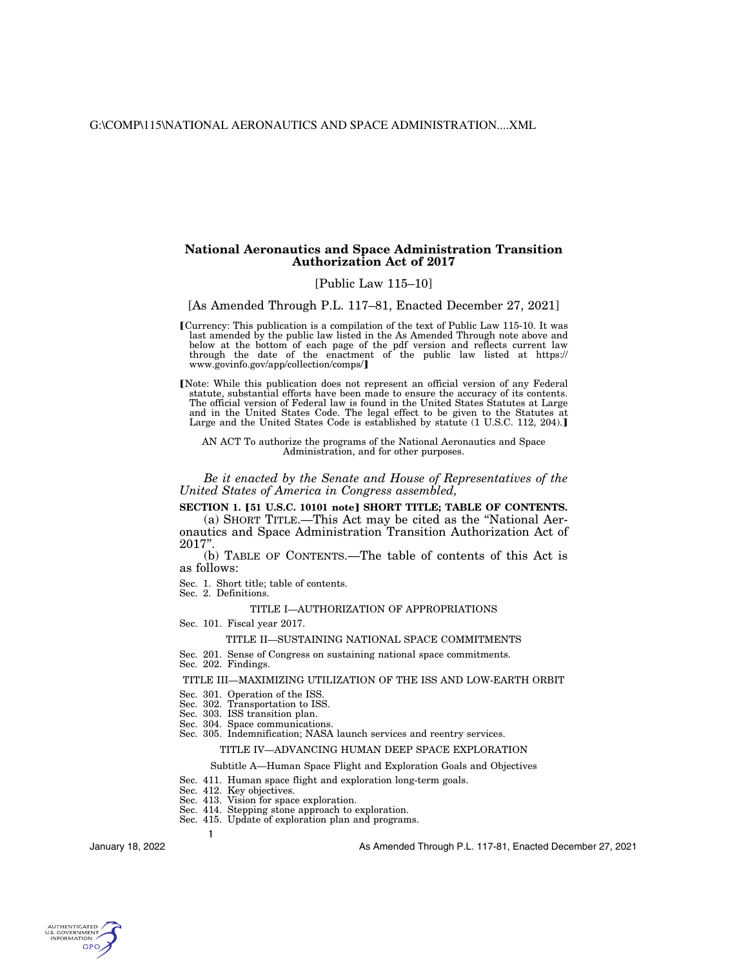# **National Aeronautics and Space Administration Transition Authorization Act of 2017**

## [Public Law 115–10]

[As Amended Through P.L. 117–81, Enacted December 27, 2021]

øCurrency: This publication is a compilation of the text of Public Law 115-10. It was last amended by the public law listed in the As Amended Through note above and below at the bottom of each page of the pdf version and reflects current law through the date of the enactment of the public law listed at https:// www.govinfo.gov/app/collection/comps/

[Note: While this publication does not represent an official version of any Federal statute, substantial efforts have been made to ensure the accuracy of its contents. The official version of Federal law is found in the United States Statutes at Large and in the United States Code. The legal effect to be given to the Statutes at Large and the United States Code is established by statute (1 U.S.C. 112, 204).]

AN ACT To authorize the programs of the National Aeronautics and Space Administration, and for other purposes.

*Be it enacted by the Senate and House of Representatives of the United States of America in Congress assembled,* 

# **SECTION 1. [51 U.S.C. 10101 note] SHORT TITLE; TABLE OF CONTENTS.**

(a) SHORT TITLE.—This Act may be cited as the ''National Aeronautics and Space Administration Transition Authorization Act of 2017''.

(b) TABLE OF CONTENTS.—The table of contents of this Act is as follows:

Sec. 1. Short title; table of contents. Sec. 2. Definitions.

# TITLE I—AUTHORIZATION OF APPROPRIATIONS

Sec. 101. Fiscal year 2017.

#### TITLE II—SUSTAINING NATIONAL SPACE COMMITMENTS

- Sec. 201. Sense of Congress on sustaining national space commitments.
- Sec. 202. Findings.

#### TITLE III—MAXIMIZING UTILIZATION OF THE ISS AND LOW-EARTH ORBIT

- Sec. 301. Operation of the ISS.
- Sec. 302. Transportation to ISS.
- Sec. 303. ISS transition plan.
- Sec. 304. Space communications.
- Sec. 305. Indemnification; NASA launch services and reentry services.

# TITLE IV—ADVANCING HUMAN DEEP SPACE EXPLORATION

#### Subtitle A—Human Space Flight and Exploration Goals and Objectives

- Sec. 411. Human space flight and exploration long-term goals.
- Sec. 412. Key objectives.

**1** 

- Sec. 413. Vision for space exploration.
- Sec. 414. Stepping stone approach to exploration.
- Sec. 415. Update of exploration plan and programs.

January 18, 2022

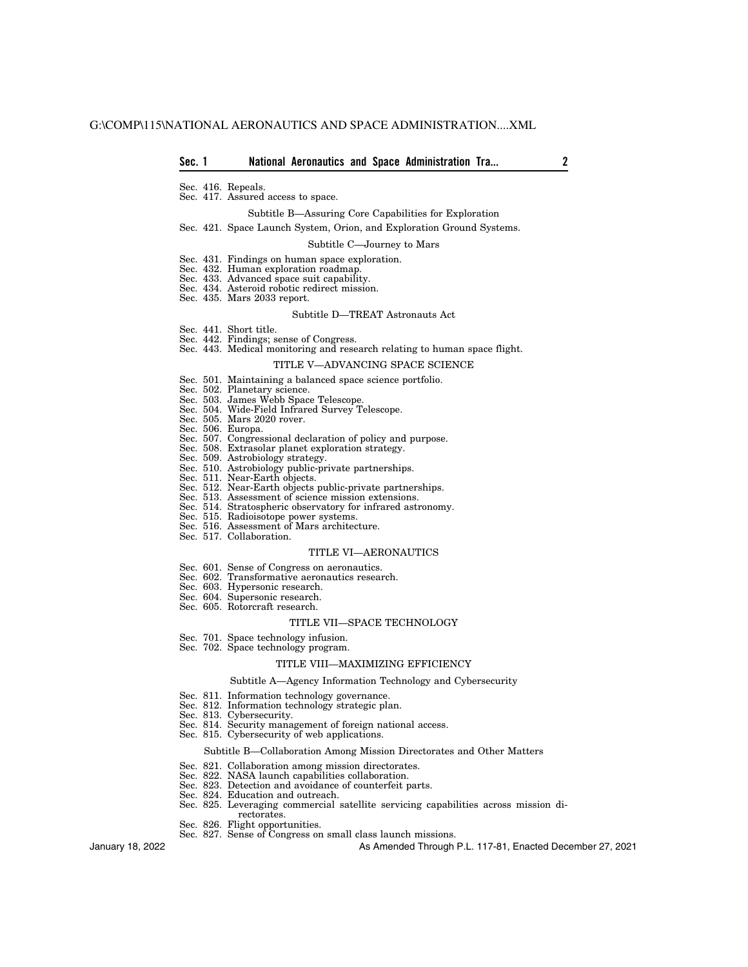Sec. 416. Repeals.

Sec. 417. Assured access to space.

#### Subtitle B—Assuring Core Capabilities for Exploration

#### Sec. 421. Space Launch System, Orion, and Exploration Ground Systems.

#### Subtitle C—Journey to Mars

- Sec. 431. Findings on human space exploration.
- Sec. 432. Human exploration roadmap.
- Sec. 433. Advanced space suit capability.
- Sec. 434. Asteroid robotic redirect mission.
- Sec. 435. Mars 2033 report.

#### Subtitle D—TREAT Astronauts Act

- Sec. 441. Short title.
- Sec. 442. Findings; sense of Congress.
- Sec. 443. Medical monitoring and research relating to human space flight.

#### TITLE V—ADVANCING SPACE SCIENCE

- Sec. 501. Maintaining a balanced space science portfolio.
- Sec. 502. Planetary science.
- Sec. 503. James Webb Space Telescope<br>Sec. 504. Wide-Field Infrared Survey T
- Wide-Field Infrared Survey Telescope.
- Sec. 505. Mars 2020 rover.
- Sec. 506. Europa.
- Sec. 507. Congressional declaration of policy and purpose.
- Sec. 508. Extrasolar planet exploration strategy.
- Sec. 509. Astrobiology strategy.
- Sec. 510. Astrobiology public-private partnerships.
- Sec. 511. Near-Earth objects.
- Sec. 512. Near-Earth objects public-private partnerships.
- Sec. 513. Assessment of science mission extensions.
- Sec. 514. Stratospheric observatory for infrared astronomy.
- Sec. 515. Radioisotope power systems.
- Sec. 516. Assessment of Mars architecture.
- Sec. 517. Collaboration.

## TITLE VI—AERONAUTICS

- Sec. 601. Sense of Congress on aeronautics.
- Sec. 602. Transformative aeronautics research.
- Sec. 603. Hypersonic research.
- Sec. 604. Supersonic research.
- Sec. 605. Rotorcraft research.

## TITLE VII—SPACE TECHNOLOGY

- Sec. 701. Space technology infusion.
- Sec. 702. Space technology program.

#### TITLE VIII—MAXIMIZING EFFICIENCY

#### Subtitle A—Agency Information Technology and Cybersecurity

- Sec. 811. Information technology governance.
- Sec. 812. Information technology strategic plan.
- Sec. 813. Cybersecurity.
- Sec. 814. Security management of foreign national access.
- Sec. 815. Cybersecurity of web applications.

### Subtitle B—Collaboration Among Mission Directorates and Other Matters

- Sec. 821. Collaboration among mission directorates.
- Sec. 822. NASA launch capabilities collaboration.
- Sec. 823. Detection and avoidance of counterfeit parts.
- Sec. 824. Education and outreach.
- Sec. 825. Leveraging commercial satellite servicing capabilities across mission directorates.
- Sec. 826. Flight opportunities.
- Sec. 827. Sense of Congress on small class launch missions.

As Amended Through P.L. 117-81, Enacted December 27, 2021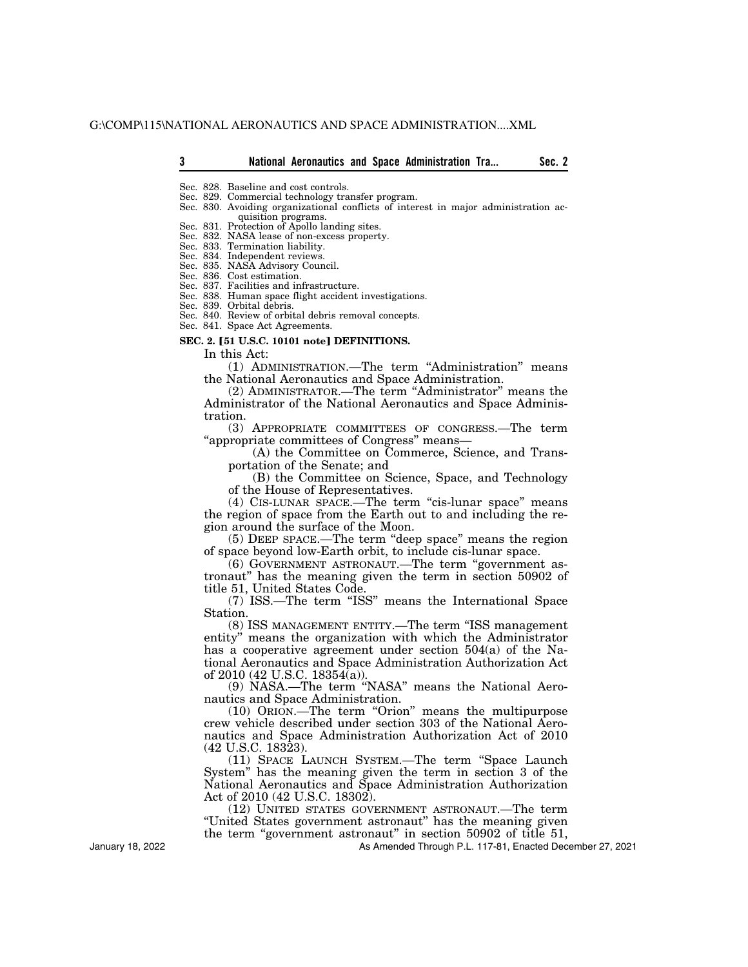- Sec. 828. Baseline and cost controls.
- Sec. 829. Commercial technology transfer program.
- Sec. 830. Avoiding organizational conflicts of interest in major administration acquisition programs.
- Sec. 831. Protection of Apollo landing sites.
- Sec. 832. NASA lease of non-excess property.
- Sec. 833. Termination liability.
- Sec. 834. Independent reviews.
- Sec. 835. NASA Advisory Council.
- Sec. 836. Cost estimation. Sec. 837. Facilities and infrastructure.
- Sec. 838. Human space flight accident investigations.
- Sec. 839. Orbital debris.
- Sec. 840. Review of orbital debris removal concepts.
- Sec. 841. Space Act Agreements.

## **SEC. 2. [51 U.S.C. 10101 note] DEFINITIONS.**

In this Act:

(1) ADMINISTRATION.—The term ''Administration'' means the National Aeronautics and Space Administration.

(2) ADMINISTRATOR.—The term ''Administrator'' means the Administrator of the National Aeronautics and Space Administration.

(3) APPROPRIATE COMMITTEES OF CONGRESS.—The term ''appropriate committees of Congress'' means—

(A) the Committee on Commerce, Science, and Transportation of the Senate; and

(B) the Committee on Science, Space, and Technology of the House of Representatives.

(4) CIS-LUNAR SPACE.—The term "cis-lunar space" means the region of space from the Earth out to and including the region around the surface of the Moon.

(5) DEEP SPACE.—The term ''deep space'' means the region of space beyond low-Earth orbit, to include cis-lunar space.

(6) GOVERNMENT ASTRONAUT.—The term ''government astronaut'' has the meaning given the term in section 50902 of title 51, United States Code.

(7) ISS.—The term ''ISS'' means the International Space Station.

(8) ISS MANAGEMENT ENTITY.—The term ''ISS management entity'' means the organization with which the Administrator has a cooperative agreement under section 504(a) of the National Aeronautics and Space Administration Authorization Act of 2010 (42 U.S.C. 18354(a)).

(9) NASA.—The term ''NASA'' means the National Aeronautics and Space Administration.

(10) ORION.—The term ''Orion'' means the multipurpose crew vehicle described under section 303 of the National Aeronautics and Space Administration Authorization Act of 2010 (42 U.S.C. 18323).

(11) SPACE LAUNCH SYSTEM.—The term ''Space Launch System'' has the meaning given the term in section 3 of the National Aeronautics and Space Administration Authorization Act of 2010 (42 U.S.C. 18302).

(12) UNITED STATES GOVERNMENT ASTRONAUT.—The term ''United States government astronaut'' has the meaning given the term "government astronaut" in section 50902 of title 51,

As Amended Through P.L. 117-81, Enacted December 27, 2021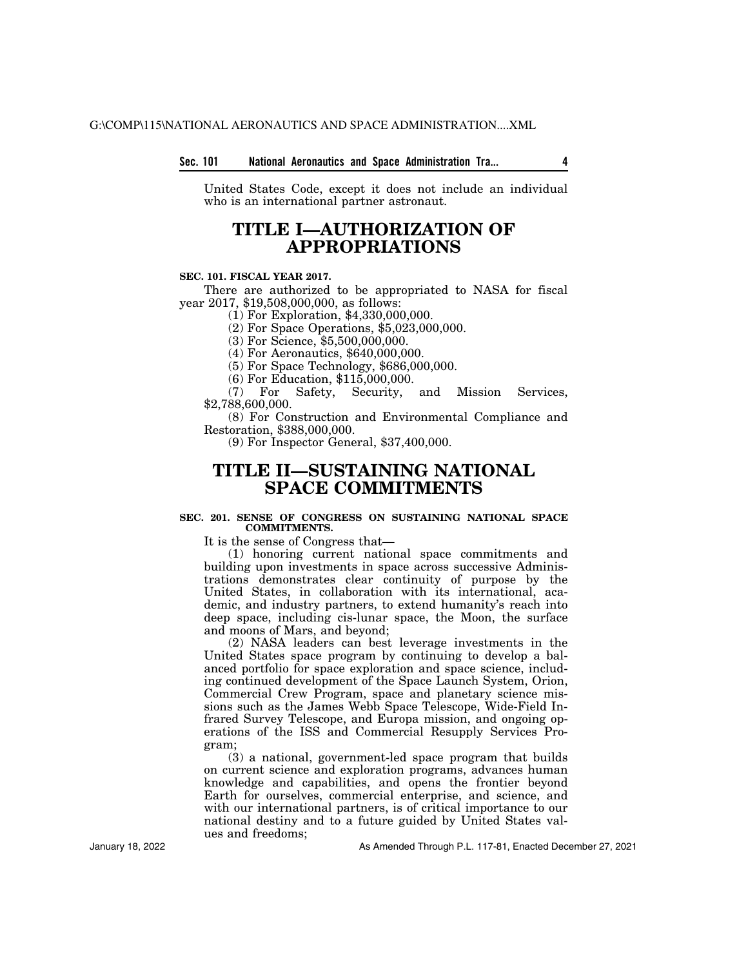# **Sec. 101 National Aeronautics and Space Administration Tra... 4**

United States Code, except it does not include an individual who is an international partner astronaut.

# **TITLE I—AUTHORIZATION OF APPROPRIATIONS**

## **SEC. 101. FISCAL YEAR 2017.**

There are authorized to be appropriated to NASA for fiscal year 2017, \$19,508,000,000, as follows:

(1) For Exploration, \$4,330,000,000.

(2) For Space Operations, \$5,023,000,000.

(3) For Science, \$5,500,000,000.

(4) For Aeronautics, \$640,000,000.

(5) For Space Technology, \$686,000,000.

(6) For Education, \$115,000,000.

Safety, Security, and Mission Services, \$2,788,600,000.

(8) For Construction and Environmental Compliance and Restoration, \$388,000,000.

(9) For Inspector General, \$37,400,000.

# **TITLE II—SUSTAINING NATIONAL SPACE COMMITMENTS**

# **SEC. 201. SENSE OF CONGRESS ON SUSTAINING NATIONAL SPACE COMMITMENTS.**

It is the sense of Congress that—

(1) honoring current national space commitments and building upon investments in space across successive Administrations demonstrates clear continuity of purpose by the United States, in collaboration with its international, academic, and industry partners, to extend humanity's reach into deep space, including cis-lunar space, the Moon, the surface and moons of Mars, and beyond;

(2) NASA leaders can best leverage investments in the United States space program by continuing to develop a balanced portfolio for space exploration and space science, including continued development of the Space Launch System, Orion, Commercial Crew Program, space and planetary science missions such as the James Webb Space Telescope, Wide-Field Infrared Survey Telescope, and Europa mission, and ongoing operations of the ISS and Commercial Resupply Services Program;

(3) a national, government-led space program that builds on current science and exploration programs, advances human knowledge and capabilities, and opens the frontier beyond Earth for ourselves, commercial enterprise, and science, and with our international partners, is of critical importance to our national destiny and to a future guided by United States values and freedoms;

As Amended Through P.L. 117-81, Enacted December 27, 2021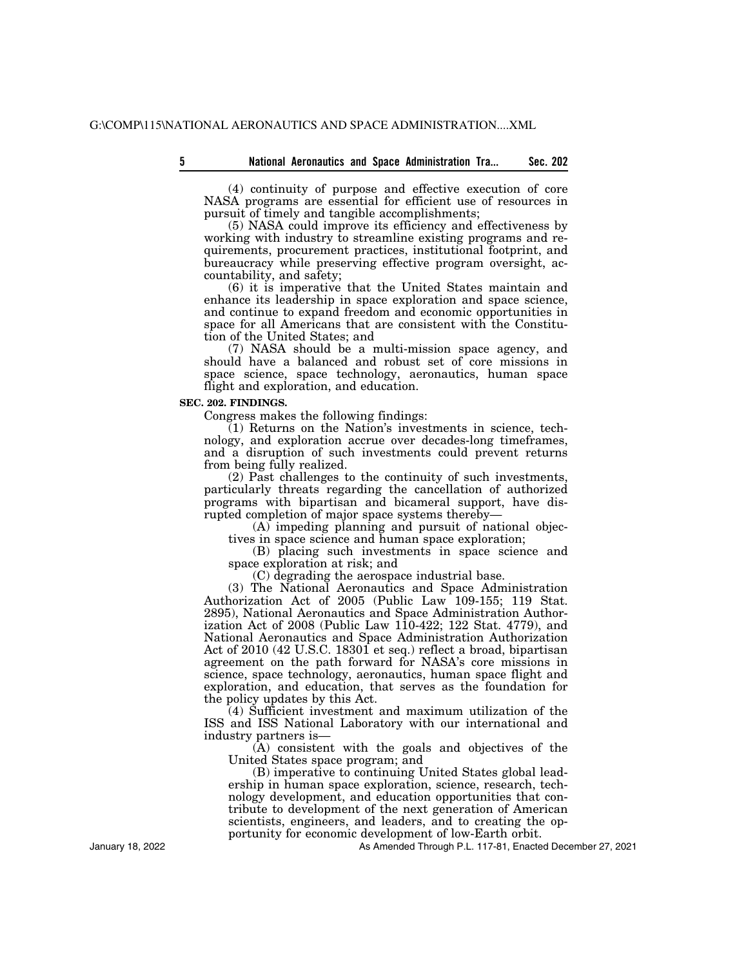(4) continuity of purpose and effective execution of core NASA programs are essential for efficient use of resources in pursuit of timely and tangible accomplishments;

(5) NASA could improve its efficiency and effectiveness by working with industry to streamline existing programs and requirements, procurement practices, institutional footprint, and bureaucracy while preserving effective program oversight, accountability, and safety;

(6) it is imperative that the United States maintain and enhance its leadership in space exploration and space science, and continue to expand freedom and economic opportunities in space for all Americans that are consistent with the Constitution of the United States; and

(7) NASA should be a multi-mission space agency, and should have a balanced and robust set of core missions in space science, space technology, aeronautics, human space flight and exploration, and education.

# **SEC. 202. FINDINGS.**

Congress makes the following findings:

(1) Returns on the Nation's investments in science, technology, and exploration accrue over decades-long timeframes, and a disruption of such investments could prevent returns from being fully realized.

(2) Past challenges to the continuity of such investments, particularly threats regarding the cancellation of authorized programs with bipartisan and bicameral support, have disrupted completion of major space systems thereby—

(A) impeding planning and pursuit of national objectives in space science and human space exploration;

(B) placing such investments in space science and space exploration at risk; and

(C) degrading the aerospace industrial base.

(3) The National Aeronautics and Space Administration Authorization Act of 2005 (Public Law 109-155; 119 Stat. 2895), National Aeronautics and Space Administration Authorization Act of 2008 (Public Law 110-422; 122 Stat. 4779), and National Aeronautics and Space Administration Authorization Act of 2010 (42 U.S.C. 18301 et seq.) reflect a broad, bipartisan agreement on the path forward for NASA's core missions in science, space technology, aeronautics, human space flight and exploration, and education, that serves as the foundation for the policy updates by this Act.

(4) Sufficient investment and maximum utilization of the ISS and ISS National Laboratory with our international and industry partners is—

(A) consistent with the goals and objectives of the United States space program; and

(B) imperative to continuing United States global leadership in human space exploration, science, research, technology development, and education opportunities that contribute to development of the next generation of American scientists, engineers, and leaders, and to creating the opportunity for economic development of low-Earth orbit.

As Amended Through P.L. 117-81, Enacted December 27, 2021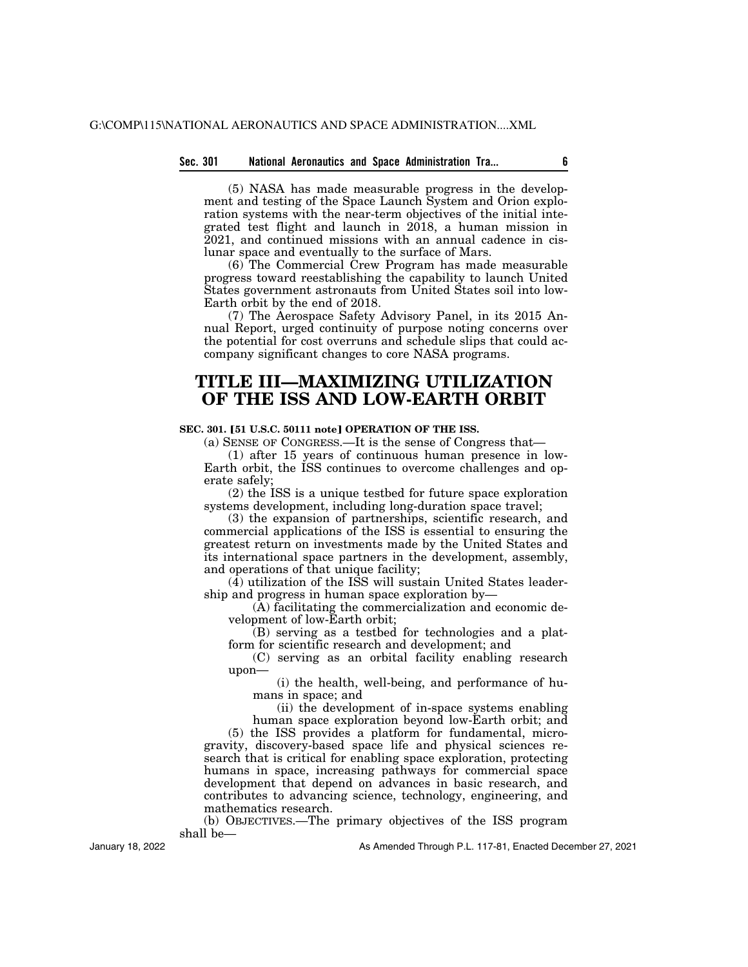# **Sec. 301 National Aeronautics and Space Administration Tra... 6**

(5) NASA has made measurable progress in the development and testing of the Space Launch System and Orion exploration systems with the near-term objectives of the initial integrated test flight and launch in 2018, a human mission in 2021, and continued missions with an annual cadence in cislunar space and eventually to the surface of Mars.

(6) The Commercial Crew Program has made measurable progress toward reestablishing the capability to launch United States government astronauts from United States soil into low-Earth orbit by the end of 2018.

(7) The Aerospace Safety Advisory Panel, in its 2015 Annual Report, urged continuity of purpose noting concerns over the potential for cost overruns and schedule slips that could accompany significant changes to core NASA programs.

# **TITLE III—MAXIMIZING UTILIZATION OF THE ISS AND LOW-EARTH ORBIT**

# **SEC. 301. [51 U.S.C. 50111 note] OPERATION OF THE ISS.**

(a) SENSE OF CONGRESS.—It is the sense of Congress that—

(1) after 15 years of continuous human presence in low-Earth orbit, the ISS continues to overcome challenges and operate safely;

(2) the ISS is a unique testbed for future space exploration systems development, including long-duration space travel;

(3) the expansion of partnerships, scientific research, and commercial applications of the ISS is essential to ensuring the greatest return on investments made by the United States and its international space partners in the development, assembly, and operations of that unique facility;

 $(\overline{4})$  utilization of the ISS will sustain United States leadership and progress in human space exploration by—

(A) facilitating the commercialization and economic development of low-Earth orbit;

(B) serving as a testbed for technologies and a platform for scientific research and development; and

(C) serving as an orbital facility enabling research upon—

(i) the health, well-being, and performance of humans in space; and

(ii) the development of in-space systems enabling human space exploration beyond low-Earth orbit; and

(5) the ISS provides a platform for fundamental, microgravity, discovery-based space life and physical sciences research that is critical for enabling space exploration, protecting humans in space, increasing pathways for commercial space development that depend on advances in basic research, and contributes to advancing science, technology, engineering, and mathematics research.

(b) OBJECTIVES.—The primary objectives of the ISS program shall be—

January 18, 2022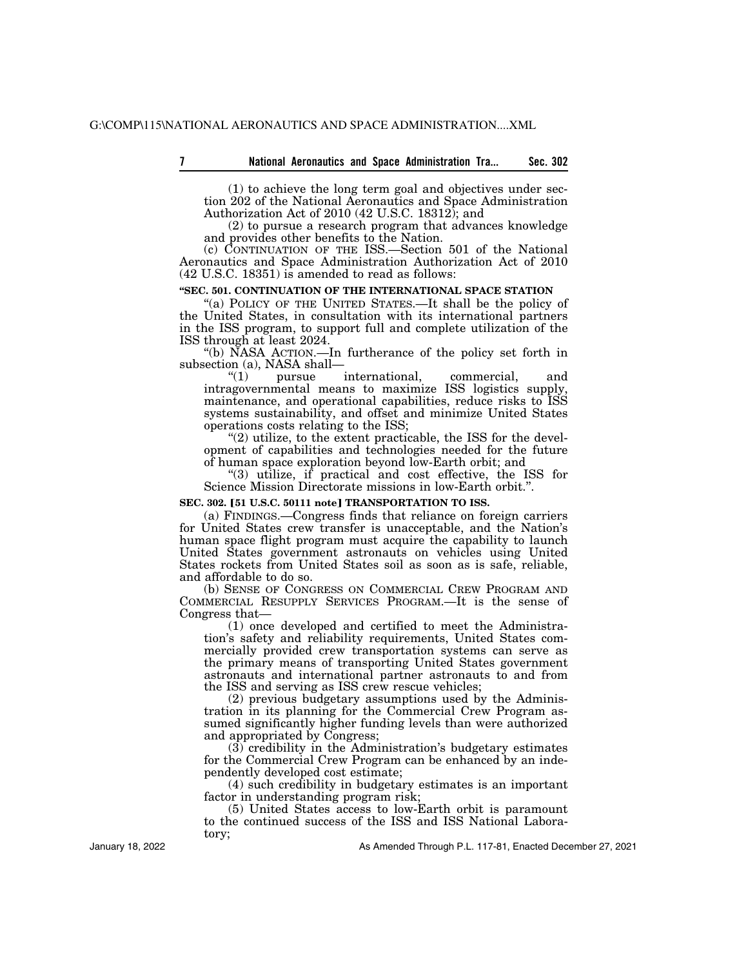|  |  | National Aeronautics and Space Administration Tra | Sec. 302 |
|--|--|---------------------------------------------------|----------|
|  |  |                                                   |          |

(1) to achieve the long term goal and objectives under section 202 of the National Aeronautics and Space Administration Authorization Act of 2010 (42 U.S.C. 18312); and

(2) to pursue a research program that advances knowledge and provides other benefits to the Nation.

(c) CONTINUATION OF THE ISS.—Section 501 of the National Aeronautics and Space Administration Authorization Act of 2010 (42 U.S.C. 18351) is amended to read as follows:

## **''SEC. 501. CONTINUATION OF THE INTERNATIONAL SPACE STATION**

"(a) POLICY OF THE UNITED STATES.—It shall be the policy of the United States, in consultation with its international partners in the ISS program, to support full and complete utilization of the ISS through at least 2024.

''(b) NASA ACTION.—In furtherance of the policy set forth in subsection (a), NASA shall—<br>
"(1) pursue

''(1) pursue international, commercial, and intragovernmental means to maximize ISS logistics supply, maintenance, and operational capabilities, reduce risks to ISS systems sustainability, and offset and minimize United States operations costs relating to the ISS;

 $\degree$ (2) utilize, to the extent practicable, the ISS for the development of capabilities and technologies needed for the future of human space exploration beyond low-Earth orbit; and

''(3) utilize, if practical and cost effective, the ISS for Science Mission Directorate missions in low-Earth orbit.''.

#### **SEC. 302. [51 U.S.C. 50111 note] <b>TRANSPORTATION TO ISS.**

(a) FINDINGS.—Congress finds that reliance on foreign carriers for United States crew transfer is unacceptable, and the Nation's human space flight program must acquire the capability to launch United States government astronauts on vehicles using United States rockets from United States soil as soon as is safe, reliable, and affordable to do so.

(b) SENSE OF CONGRESS ON COMMERCIAL CREW PROGRAM AND COMMERCIAL RESUPPLY SERVICES PROGRAM.—It is the sense of Congress that—

(1) once developed and certified to meet the Administration's safety and reliability requirements, United States commercially provided crew transportation systems can serve as the primary means of transporting United States government astronauts and international partner astronauts to and from the ISS and serving as ISS crew rescue vehicles;

(2) previous budgetary assumptions used by the Administration in its planning for the Commercial Crew Program assumed significantly higher funding levels than were authorized and appropriated by Congress;

 $(3)$  credibility in the Administration's budgetary estimates for the Commercial Crew Program can be enhanced by an independently developed cost estimate;

(4) such credibility in budgetary estimates is an important factor in understanding program risk;

(5) United States access to low-Earth orbit is paramount to the continued success of the ISS and ISS National Laboratory;

As Amended Through P.L. 117-81, Enacted December 27, 2021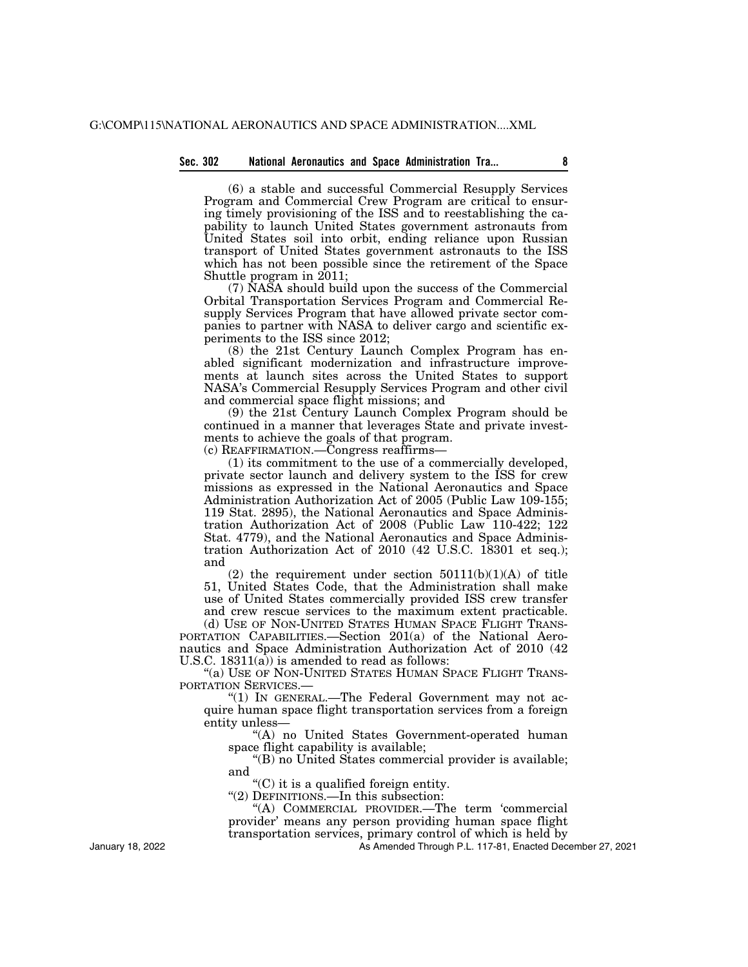# **Sec. 302 National Aeronautics and Space Administration Tra... 8**

(6) a stable and successful Commercial Resupply Services Program and Commercial Crew Program are critical to ensuring timely provisioning of the ISS and to reestablishing the capability to launch United States government astronauts from United States soil into orbit, ending reliance upon Russian transport of United States government astronauts to the ISS which has not been possible since the retirement of the Space Shuttle program in 2011;

(7) NASA should build upon the success of the Commercial Orbital Transportation Services Program and Commercial Resupply Services Program that have allowed private sector companies to partner with NASA to deliver cargo and scientific experiments to the ISS since 2012;

(8) the 21st Century Launch Complex Program has enabled significant modernization and infrastructure improvements at launch sites across the United States to support NASA's Commercial Resupply Services Program and other civil and commercial space flight missions; and

(9) the 21st Century Launch Complex Program should be continued in a manner that leverages State and private investments to achieve the goals of that program.

(c) REAFFIRMATION.—Congress reaffirms—

(1) its commitment to the use of a commercially developed, private sector launch and delivery system to the ISS for crew missions as expressed in the National Aeronautics and Space Administration Authorization Act of 2005 (Public Law 109-155; 119 Stat. 2895), the National Aeronautics and Space Administration Authorization Act of 2008 (Public Law 110-422; 122 Stat. 4779), and the National Aeronautics and Space Administration Authorization Act of 2010 (42 U.S.C. 18301 et seq.); and

(2) the requirement under section  $50111(b)(1)(A)$  of title 51, United States Code, that the Administration shall make use of United States commercially provided ISS crew transfer and crew rescue services to the maximum extent practicable. (d) USE OF NON-UNITED STATES HUMAN SPACE FLIGHT TRANS-

PORTATION CAPABILITIES.—Section 201(a) of the National Aeronautics and Space Administration Authorization Act of 2010 (42 U.S.C.  $18311(a)$  is amended to read as follows:

''(a) USE OF NON-UNITED STATES HUMAN SPACE FLIGHT TRANS-PORTATION SERVICES.

"(1) IN GENERAL.—The Federal Government may not acquire human space flight transportation services from a foreign entity unless—

''(A) no United States Government-operated human space flight capability is available;

''(B) no United States commercial provider is available; and

''(C) it is a qualified foreign entity.

''(2) DEFINITIONS.—In this subsection:

''(A) COMMERCIAL PROVIDER.—The term 'commercial provider' means any person providing human space flight transportation services, primary control of which is held by

As Amended Through P.L. 117-81, Enacted December 27, 2021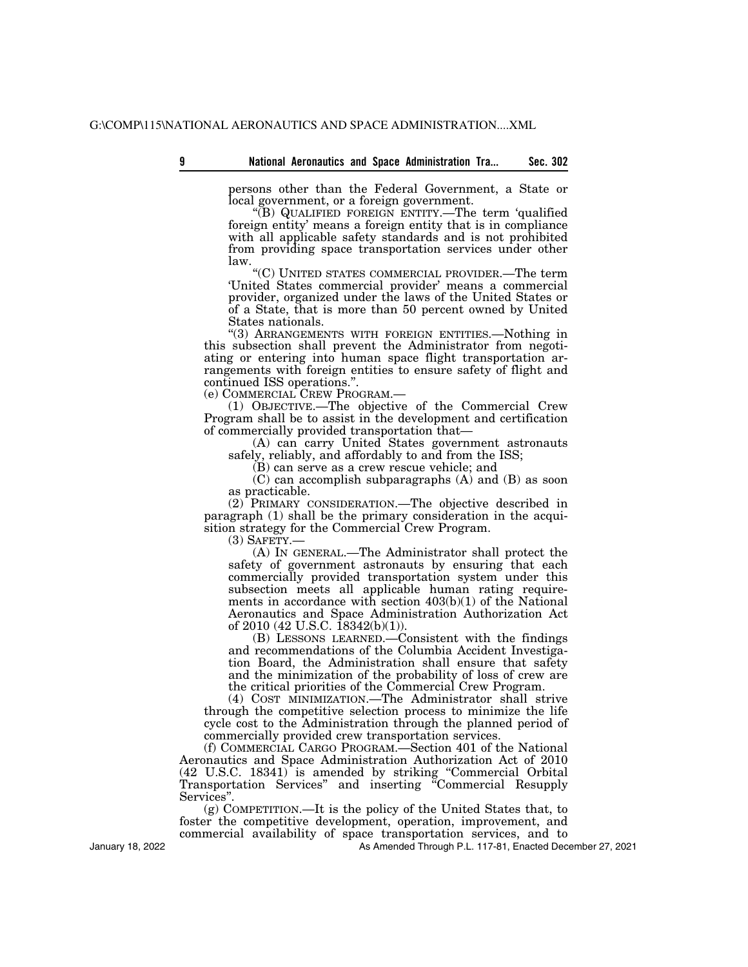|  | National Aeronautics and Space Administration Tra |  |  | Sec. 302 |
|--|---------------------------------------------------|--|--|----------|
|--|---------------------------------------------------|--|--|----------|

persons other than the Federal Government, a State or local government, or a foreign government.

''(B) QUALIFIED FOREIGN ENTITY.—The term 'qualified foreign entity' means a foreign entity that is in compliance with all applicable safety standards and is not prohibited from providing space transportation services under other law.

''(C) UNITED STATES COMMERCIAL PROVIDER.—The term 'United States commercial provider' means a commercial provider, organized under the laws of the United States or of a State, that is more than 50 percent owned by United States nationals.

''(3) ARRANGEMENTS WITH FOREIGN ENTITIES.—Nothing in this subsection shall prevent the Administrator from negotiating or entering into human space flight transportation arrangements with foreign entities to ensure safety of flight and continued ISS operations.".<br>(e) COMMERCIAL CREW PROGRAM.—

(1) OBJECTIVE.—The objective of the Commercial Crew Program shall be to assist in the development and certification of commercially provided transportation that—

(A) can carry United States government astronauts safely, reliably, and affordably to and from the ISS;

(B) can serve as a crew rescue vehicle; and

(C) can accomplish subparagraphs (A) and (B) as soon as practicable.

(2) PRIMARY CONSIDERATION.—The objective described in paragraph (1) shall be the primary consideration in the acquisition strategy for the Commercial Crew Program.

(3) SAFETY.—

(A) IN GENERAL.—The Administrator shall protect the safety of government astronauts by ensuring that each commercially provided transportation system under this subsection meets all applicable human rating requirements in accordance with section 403(b)(1) of the National Aeronautics and Space Administration Authorization Act of 2010 (42 U.S.C. 18342(b)(1)).

(B) LESSONS LEARNED.—Consistent with the findings and recommendations of the Columbia Accident Investigation Board, the Administration shall ensure that safety and the minimization of the probability of loss of crew are the critical priorities of the Commercial Crew Program.

(4) COST MINIMIZATION.—The Administrator shall strive through the competitive selection process to minimize the life cycle cost to the Administration through the planned period of commercially provided crew transportation services.

(f) COMMERCIAL CARGO PROGRAM.—Section 401 of the National Aeronautics and Space Administration Authorization Act of 2010 (42 U.S.C. 18341) is amended by striking ''Commercial Orbital Transportation Services'' and inserting ''Commercial Resupply Services''.

(g) COMPETITION.—It is the policy of the United States that, to foster the competitive development, operation, improvement, and commercial availability of space transportation services, and to

As Amended Through P.L. 117-81, Enacted December 27, 2021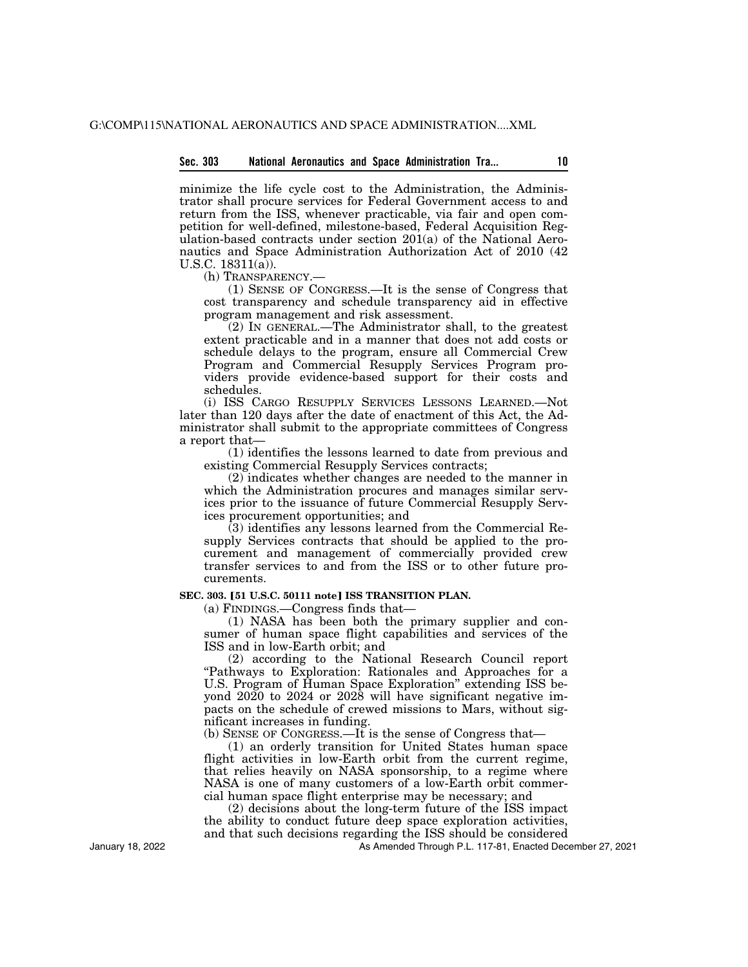minimize the life cycle cost to the Administration, the Administrator shall procure services for Federal Government access to and return from the ISS, whenever practicable, via fair and open competition for well-defined, milestone-based, Federal Acquisition Regulation-based contracts under section 201(a) of the National Aeronautics and Space Administration Authorization Act of 2010 (42 U.S.C. 18311(a)).

(h) TRANSPARENCY.—

(1) SENSE OF CONGRESS.—It is the sense of Congress that cost transparency and schedule transparency aid in effective program management and risk assessment.

(2) IN GENERAL.—The Administrator shall, to the greatest extent practicable and in a manner that does not add costs or schedule delays to the program, ensure all Commercial Crew Program and Commercial Resupply Services Program providers provide evidence-based support for their costs and schedules.

(i) ISS CARGO RESUPPLY SERVICES LESSONS LEARNED.—Not later than 120 days after the date of enactment of this Act, the Administrator shall submit to the appropriate committees of Congress a report that—

(1) identifies the lessons learned to date from previous and existing Commercial Resupply Services contracts;

(2) indicates whether changes are needed to the manner in which the Administration procures and manages similar services prior to the issuance of future Commercial Resupply Services procurement opportunities; and

(3) identifies any lessons learned from the Commercial Resupply Services contracts that should be applied to the procurement and management of commercially provided crew transfer services to and from the ISS or to other future procurements.

## **SEC. 303. [51 U.S.C. 50111 note] ISS TRANSITION PLAN.**

(a) FINDINGS.—Congress finds that—

(1) NASA has been both the primary supplier and consumer of human space flight capabilities and services of the ISS and in low-Earth orbit; and

(2) according to the National Research Council report ''Pathways to Exploration: Rationales and Approaches for a U.S. Program of Human Space Exploration'' extending ISS beyond 2020 to 2024 or 2028 will have significant negative impacts on the schedule of crewed missions to Mars, without significant increases in funding.

(b) SENSE OF CONGRESS.—It is the sense of Congress that—

(1) an orderly transition for United States human space flight activities in low-Earth orbit from the current regime, that relies heavily on NASA sponsorship, to a regime where NASA is one of many customers of a low-Earth orbit commercial human space flight enterprise may be necessary; and

(2) decisions about the long-term future of the ISS impact the ability to conduct future deep space exploration activities, and that such decisions regarding the ISS should be considered

As Amended Through P.L. 117-81, Enacted December 27, 2021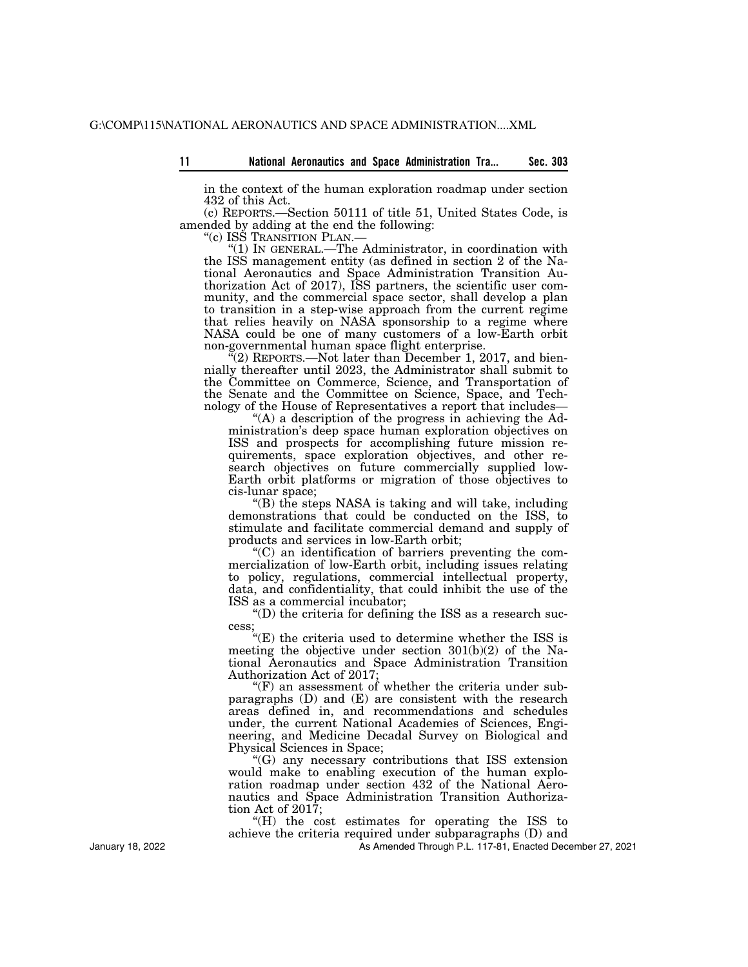in the context of the human exploration roadmap under section 432 of this Act.

(c) REPORTS.—Section 50111 of title 51, United States Code, is amended by adding at the end the following:<br>"(c) ISS TRANSITION PLAN.—

" $(1)$  IN GENERAL.—The Administrator, in coordination with the ISS management entity (as defined in section 2 of the National Aeronautics and Space Administration Transition Authorization Act of 2017), ISS partners, the scientific user community, and the commercial space sector, shall develop a plan to transition in a step-wise approach from the current regime that relies heavily on NASA sponsorship to a regime where NASA could be one of many customers of a low-Earth orbit non-governmental human space flight enterprise.

 $\mathbb{I}(2)$  REPORTS.—Not later than December 1, 2017, and biennially thereafter until 2023, the Administrator shall submit to the Committee on Commerce, Science, and Transportation of the Senate and the Committee on Science, Space, and Technology of the House of Representatives a report that includes—

"(A) a description of the progress in achieving the Administration's deep space human exploration objectives on ISS and prospects for accomplishing future mission requirements, space exploration objectives, and other research objectives on future commercially supplied low-Earth orbit platforms or migration of those objectives to cis-lunar space;

''(B) the steps NASA is taking and will take, including demonstrations that could be conducted on the ISS, to stimulate and facilitate commercial demand and supply of products and services in low-Earth orbit;

''(C) an identification of barriers preventing the commercialization of low-Earth orbit, including issues relating to policy, regulations, commercial intellectual property, data, and confidentiality, that could inhibit the use of the ISS as a commercial incubator;

 $\mathrm{``(D)}$  the criteria for defining the ISS as a research success;

''(E) the criteria used to determine whether the ISS is meeting the objective under section 301(b)(2) of the National Aeronautics and Space Administration Transition Authorization Act of 2017;

 $f(F)$  an assessment of whether the criteria under subparagraphs (D) and (E) are consistent with the research areas defined in, and recommendations and schedules under, the current National Academies of Sciences, Engineering, and Medicine Decadal Survey on Biological and Physical Sciences in Space;

''(G) any necessary contributions that ISS extension would make to enabling execution of the human exploration roadmap under section 432 of the National Aeronautics and Space Administration Transition Authorization Act of 2017;

''(H) the cost estimates for operating the ISS to achieve the criteria required under subparagraphs (D) and

As Amended Through P.L. 117-81, Enacted December 27, 2021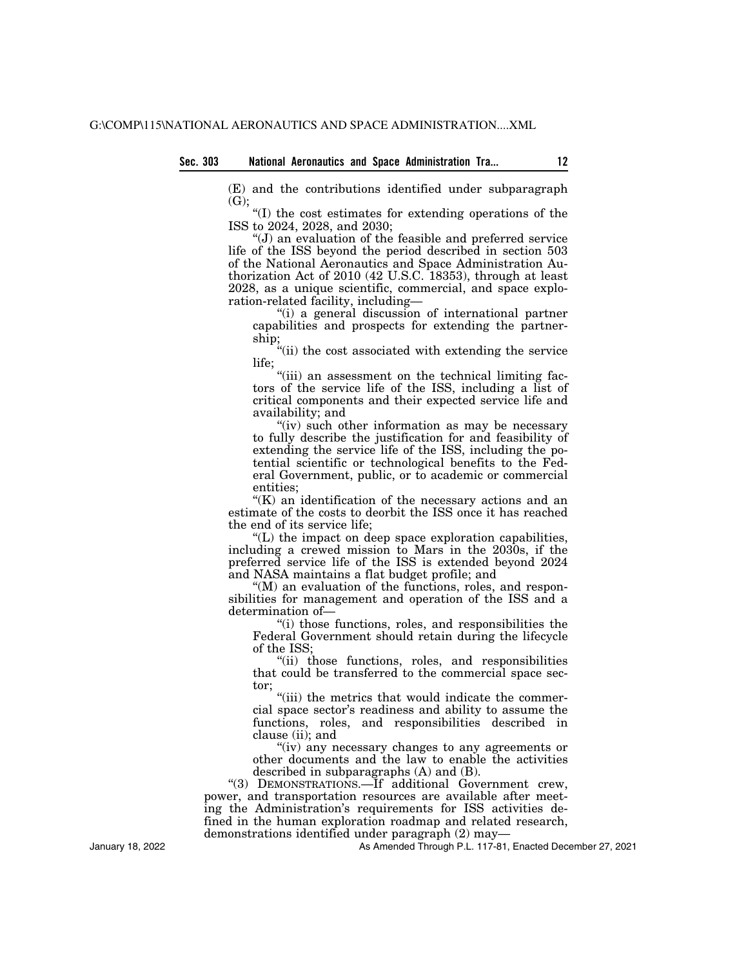(E) and the contributions identified under subparagraph (G);

''(I) the cost estimates for extending operations of the ISS to 2024, 2028, and 2030;

''(J) an evaluation of the feasible and preferred service life of the ISS beyond the period described in section 503 of the National Aeronautics and Space Administration Authorization Act of 2010 (42 U.S.C. 18353), through at least 2028, as a unique scientific, commercial, and space exploration-related facility, including—

''(i) a general discussion of international partner capabilities and prospects for extending the partnership;

''(ii) the cost associated with extending the service life;

"(iii) an assessment on the technical limiting factors of the service life of the ISS, including a list of critical components and their expected service life and availability; and

"(iv) such other information as may be necessary to fully describe the justification for and feasibility of extending the service life of the ISS, including the potential scientific or technological benefits to the Federal Government, public, or to academic or commercial entities;

 $K(K)$  an identification of the necessary actions and an estimate of the costs to deorbit the ISS once it has reached the end of its service life;

 $(L)$  the impact on deep space exploration capabilities, including a crewed mission to Mars in the 2030s, if the preferred service life of the ISS is extended beyond 2024 and NASA maintains a flat budget profile; and

 $(M)$  an evaluation of the functions, roles, and responsibilities for management and operation of the ISS and a determination of—

''(i) those functions, roles, and responsibilities the Federal Government should retain during the lifecycle of the ISS;

''(ii) those functions, roles, and responsibilities that could be transferred to the commercial space sector;

"(iii) the metrics that would indicate the commercial space sector's readiness and ability to assume the functions, roles, and responsibilities described in clause (ii); and

''(iv) any necessary changes to any agreements or other documents and the law to enable the activities described in subparagraphs (A) and (B).

''(3) DEMONSTRATIONS.—If additional Government crew, power, and transportation resources are available after meeting the Administration's requirements for ISS activities defined in the human exploration roadmap and related research, demonstrations identified under paragraph (2) may—

As Amended Through P.L. 117-81, Enacted December 27, 2021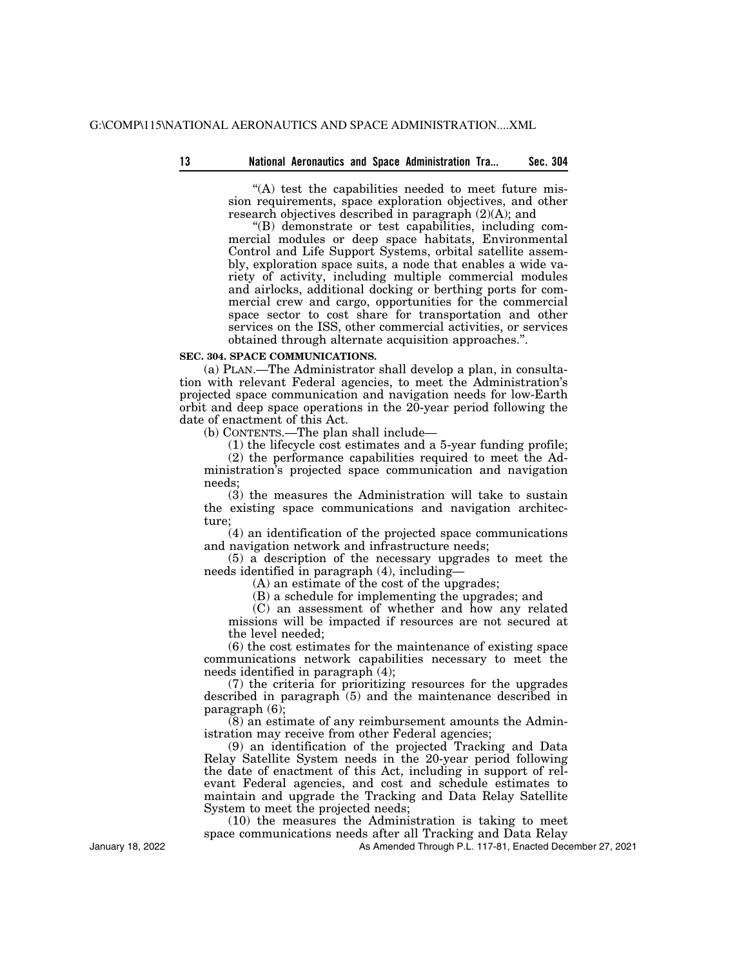''(A) test the capabilities needed to meet future mission requirements, space exploration objectives, and other research objectives described in paragraph (2)(A); and

''(B) demonstrate or test capabilities, including commercial modules or deep space habitats, Environmental Control and Life Support Systems, orbital satellite assembly, exploration space suits, a node that enables a wide variety of activity, including multiple commercial modules and airlocks, additional docking or berthing ports for commercial crew and cargo, opportunities for the commercial space sector to cost share for transportation and other services on the ISS, other commercial activities, or services obtained through alternate acquisition approaches.''.

# **SEC. 304. SPACE COMMUNICATIONS.**

(a) PLAN.—The Administrator shall develop a plan, in consultation with relevant Federal agencies, to meet the Administration's projected space communication and navigation needs for low-Earth orbit and deep space operations in the 20-year period following the date of enactment of this Act.

(b) CONTENTS.—The plan shall include—

(1) the lifecycle cost estimates and a 5-year funding profile;

(2) the performance capabilities required to meet the Administration's projected space communication and navigation needs;

(3) the measures the Administration will take to sustain the existing space communications and navigation architecture;

(4) an identification of the projected space communications and navigation network and infrastructure needs;

(5) a description of the necessary upgrades to meet the needs identified in paragraph (4), including—

(A) an estimate of the cost of the upgrades;

(B) a schedule for implementing the upgrades; and

(C) an assessment of whether and how any related missions will be impacted if resources are not secured at the level needed;

(6) the cost estimates for the maintenance of existing space communications network capabilities necessary to meet the needs identified in paragraph (4);

(7) the criteria for prioritizing resources for the upgrades described in paragraph (5) and the maintenance described in paragraph (6);

(8) an estimate of any reimbursement amounts the Administration may receive from other Federal agencies;

(9) an identification of the projected Tracking and Data Relay Satellite System needs in the 20-year period following the date of enactment of this Act, including in support of relevant Federal agencies, and cost and schedule estimates to maintain and upgrade the Tracking and Data Relay Satellite System to meet the projected needs;

(10) the measures the Administration is taking to meet space communications needs after all Tracking and Data Relay

As Amended Through P.L. 117-81, Enacted December 27, 2021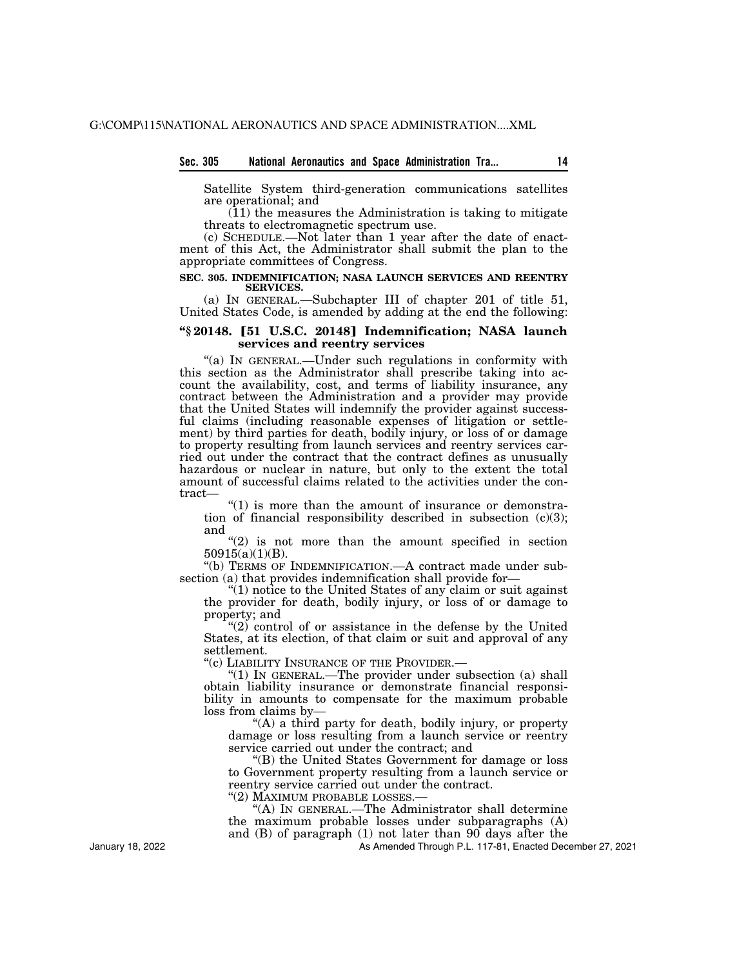# **Sec. 305 National Aeronautics and Space Administration Tra... 14**

Satellite System third-generation communications satellites are operational; and

(11) the measures the Administration is taking to mitigate threats to electromagnetic spectrum use.

(c) SCHEDULE.—Not later than 1 year after the date of enactment of this Act, the Administrator shall submit the plan to the appropriate committees of Congress.

### **SEC. 305. INDEMNIFICATION; NASA LAUNCH SERVICES AND REENTRY SERVICES.**

(a) IN GENERAL.—Subchapter III of chapter 201 of title 51, United States Code, is amended by adding at the end the following:

## **''§ 20148.** ø**51 U.S.C. 20148**¿ **Indemnification; NASA launch services and reentry services**

''(a) IN GENERAL.—Under such regulations in conformity with this section as the Administrator shall prescribe taking into account the availability, cost, and terms of liability insurance, any contract between the Administration and a provider may provide that the United States will indemnify the provider against successful claims (including reasonable expenses of litigation or settlement) by third parties for death, bodily injury, or loss of or damage to property resulting from launch services and reentry services carried out under the contract that the contract defines as unusually hazardous or nuclear in nature, but only to the extent the total amount of successful claims related to the activities under the contract—

 $\degree$ (1) is more than the amount of insurance or demonstration of financial responsibility described in subsection  $(c)(3)$ ; and

 $(2)$  is not more than the amount specified in section 50915(a)(1)(B).

''(b) TERMS OF INDEMNIFICATION.—A contract made under subsection (a) that provides indemnification shall provide for-

 $''(1)$  notice to the United States of any claim or suit against the provider for death, bodily injury, or loss of or damage to property; and

" $(2)$  control of or assistance in the defense by the United States, at its election, of that claim or suit and approval of any settlement.<br>"(c) LIABILITY INSURANCE OF THE PROVIDER.—

"(1) IN GENERAL.—The provider under subsection (a) shall obtain liability insurance or demonstrate financial responsibility in amounts to compensate for the maximum probable loss from claims by—

''(A) a third party for death, bodily injury, or property damage or loss resulting from a launch service or reentry service carried out under the contract; and

''(B) the United States Government for damage or loss to Government property resulting from a launch service or reentry service carried out under the contract.

''(2) MAXIMUM PROBABLE LOSSES.—

''(A) IN GENERAL.—The Administrator shall determine the maximum probable losses under subparagraphs (A)

and (B) of paragraph (1) not later than 90 days after the

As Amended Through P.L. 117-81, Enacted December 27, 2021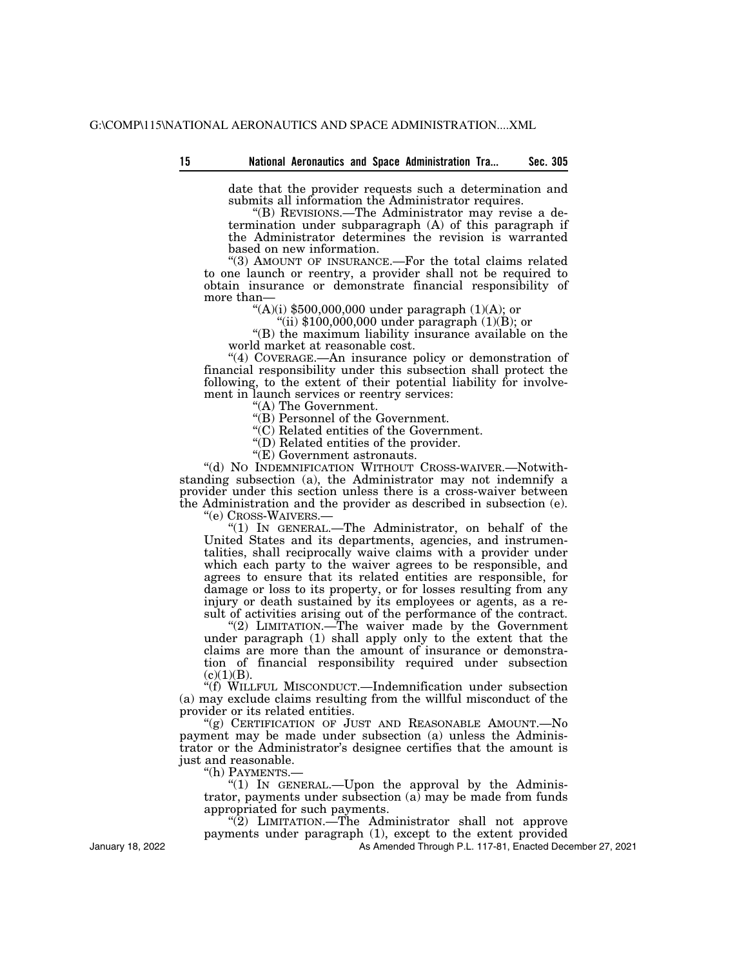| 15 |  |  |  |  | National Aeronautics and Space Administration Tra |  | Sec. 305 |
|----|--|--|--|--|---------------------------------------------------|--|----------|
|----|--|--|--|--|---------------------------------------------------|--|----------|

date that the provider requests such a determination and submits all information the Administrator requires.

''(B) REVISIONS.—The Administrator may revise a determination under subparagraph (A) of this paragraph if the Administrator determines the revision is warranted based on new information.

"(3) AMOUNT OF INSURANCE.—For the total claims related to one launch or reentry, a provider shall not be required to obtain insurance or demonstrate financial responsibility of more than— $\frac{((A)(i) \$500,000,000 \text{ under paragraph } (1)(A))}{(B)(i) \$500,000,000 \text{ under paragraph } (1)(A))}$ 

"(ii)  $$100,000,000$  under paragraph (1)(B); or

''(B) the maximum liability insurance available on the world market at reasonable cost.

''(4) COVERAGE.—An insurance policy or demonstration of financial responsibility under this subsection shall protect the following, to the extent of their potential liability for involvement in launch services or reentry services:

''(A) The Government.

''(B) Personnel of the Government.

''(C) Related entities of the Government.

''(D) Related entities of the provider.

''(E) Government astronauts.

''(d) NO INDEMNIFICATION WITHOUT CROSS-WAIVER.—Notwithstanding subsection (a), the Administrator may not indemnify a provider under this section unless there is a cross-waiver between the Administration and the provider as described in subsection (e).  $"$ (e) CROSS-WAIVERS.—

"(1) In GENERAL.—The Administrator, on behalf of the United States and its departments, agencies, and instrumentalities, shall reciprocally waive claims with a provider under which each party to the waiver agrees to be responsible, and agrees to ensure that its related entities are responsible, for damage or loss to its property, or for losses resulting from any injury or death sustained by its employees or agents, as a result of activities arising out of the performance of the contract.

"(2) LIMITATION.—The waiver made by the Government under paragraph (1) shall apply only to the extent that the claims are more than the amount of insurance or demonstration of financial responsibility required under subsection  $(c)(1)(B).$ 

''(f) WILLFUL MISCONDUCT.—Indemnification under subsection (a) may exclude claims resulting from the willful misconduct of the provider or its related entities.

"(g) CERTIFICATION OF JUST AND REASONABLE AMOUNT.—No payment may be made under subsection (a) unless the Administrator or the Administrator's designee certifies that the amount is just and reasonable.

''(h) PAYMENTS.—

"(1) IN GENERAL.—Upon the approval by the Administrator, payments under subsection (a) may be made from funds appropriated for such payments.

" $(2)$  LIMITATION.—The Administrator shall not approve payments under paragraph (1), except to the extent provided

As Amended Through P.L. 117-81, Enacted December 27, 2021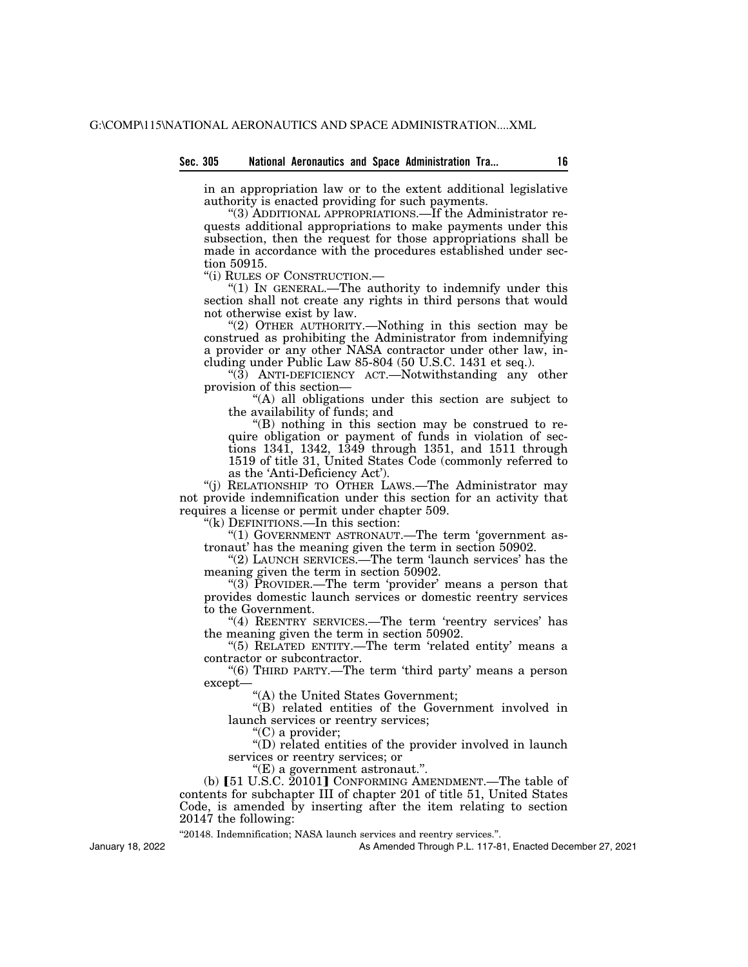in an appropriation law or to the extent additional legislative authority is enacted providing for such payments.

''(3) ADDITIONAL APPROPRIATIONS.—If the Administrator requests additional appropriations to make payments under this subsection, then the request for those appropriations shall be made in accordance with the procedures established under section 50915.

''(i) RULES OF CONSTRUCTION.—

''(1) IN GENERAL.—The authority to indemnify under this section shall not create any rights in third persons that would not otherwise exist by law.

''(2) OTHER AUTHORITY.—Nothing in this section may be construed as prohibiting the Administrator from indemnifying a provider or any other NASA contractor under other law, including under Public Law 85-804 (50 U.S.C. 1431 et seq.).

" $(3)$  ANTI-DEFICIENCY ACT.—Notwithstanding any other provision of this section—

''(A) all obligations under this section are subject to the availability of funds; and

''(B) nothing in this section may be construed to require obligation or payment of funds in violation of sections 1341, 1342, 1349 through 1351, and 1511 through 1519 of title 31, United States Code (commonly referred to as the 'Anti-Deficiency Act').

''(j) RELATIONSHIP TO OTHER LAWS.—The Administrator may not provide indemnification under this section for an activity that requires a license or permit under chapter 509.

"(k) DEFINITIONS.—In this section:

"(1) GOVERNMENT ASTRONAUT.—The term 'government astronaut' has the meaning given the term in section 50902.

" $(2)$  LAUNCH SERVICES.—The term 'launch services' has the meaning given the term in section 50902.

"(3) PROVIDER.—The term 'provider' means a person that provides domestic launch services or domestic reentry services to the Government.

"(4) REENTRY SERVICES.—The term 'reentry services' has the meaning given the term in section 50902.

"(5) RELATED ENTITY.—The term 'related entity' means a contractor or subcontractor.

"(6) THIRD PARTY.—The term 'third party' means a person except—

''(A) the United States Government;

''(B) related entities of the Government involved in launch services or reentry services;

"(C) a provider;

''(D) related entities of the provider involved in launch services or reentry services; or

''(E) a government astronaut.''.

(b) [51 U.S.C. 20101] CONFORMING AMENDMENT.—The table of contents for subchapter III of chapter 201 of title 51, United States Code, is amended by inserting after the item relating to section 20147 the following:

''20148. Indemnification; NASA launch services and reentry services.''.

As Amended Through P.L. 117-81, Enacted December 27, 2021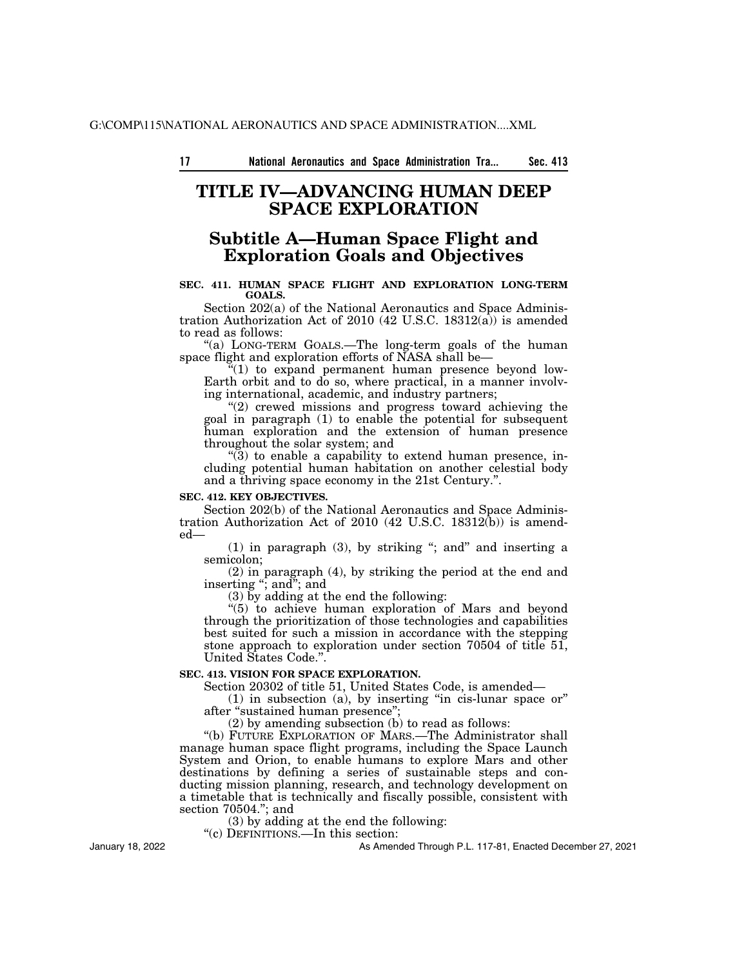# **TITLE IV—ADVANCING HUMAN DEEP SPACE EXPLORATION**

# **Subtitle A—Human Space Flight and Exploration Goals and Objectives**

# **SEC. 411. HUMAN SPACE FLIGHT AND EXPLORATION LONG-TERM GOALS.**

Section 202(a) of the National Aeronautics and Space Administration Authorization Act of 2010 (42 U.S.C. 18312(a)) is amended to read as follows:

"(a) LONG-TERM GOALS.—The long-term goals of the human space flight and exploration efforts of NASA shall be—

 $f''(1)$  to expand permanent human presence beyond low-Earth orbit and to do so, where practical, in a manner involving international, academic, and industry partners;

''(2) crewed missions and progress toward achieving the goal in paragraph (1) to enable the potential for subsequent human exploration and the extension of human presence throughout the solar system; and

''(3) to enable a capability to extend human presence, including potential human habitation on another celestial body and a thriving space economy in the 21st Century.''.

#### **SEC. 412. KEY OBJECTIVES.**

Section 202(b) of the National Aeronautics and Space Administration Authorization Act of  $2010$  (42 U.S.C. 18312 $(b)$ ) is amended—

 $(1)$  in paragraph  $(3)$ , by striking "; and" and inserting a semicolon;

(2) in paragraph (4), by striking the period at the end and inserting "; and"; and

(3) by adding at the end the following:

"(5) to achieve human exploration of Mars and beyond through the prioritization of those technologies and capabilities best suited for such a mission in accordance with the stepping stone approach to exploration under section 70504 of title 51, United States Code.''.

## **SEC. 413. VISION FOR SPACE EXPLORATION.**

Section 20302 of title 51, United States Code, is amended—

 $(1)$  in subsection  $(a)$ , by inserting "in cis-lunar space or" after ''sustained human presence'';

(2) by amending subsection (b) to read as follows:

''(b) FUTURE EXPLORATION OF MARS.—The Administrator shall manage human space flight programs, including the Space Launch System and Orion, to enable humans to explore Mars and other destinations by defining a series of sustainable steps and conducting mission planning, research, and technology development on a timetable that is technically and fiscally possible, consistent with section 70504.''; and

(3) by adding at the end the following:

''(c) DEFINITIONS.—In this section:

January 18, 2022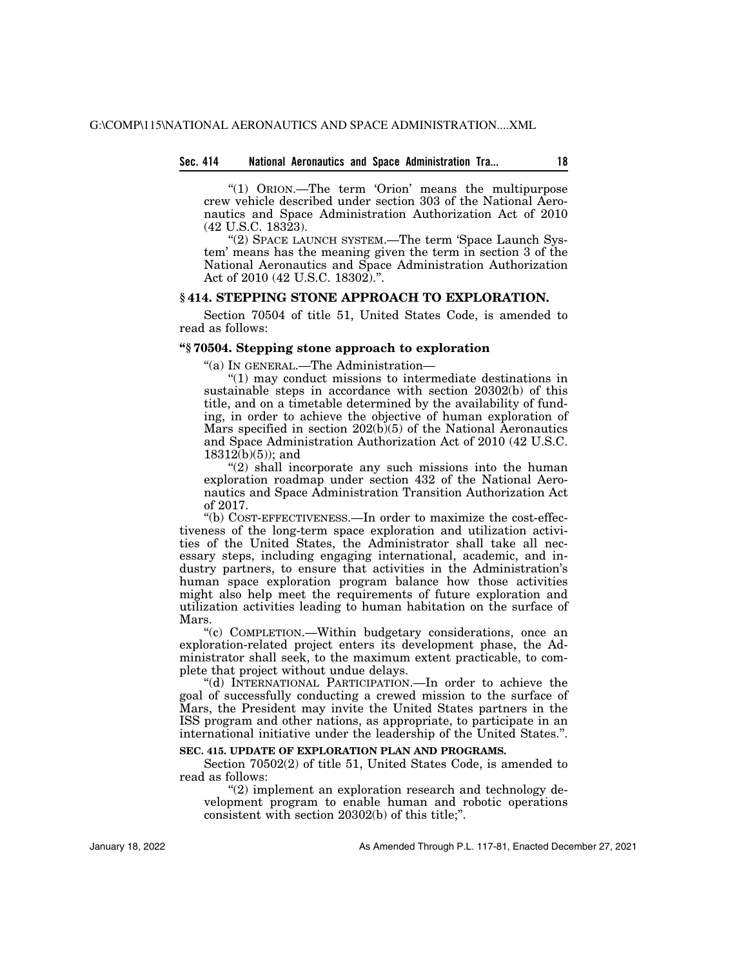# **Sec. 414 National Aeronautics and Space Administration Tra... 18**

''(1) ORION.—The term 'Orion' means the multipurpose crew vehicle described under section 303 of the National Aeronautics and Space Administration Authorization Act of 2010 (42 U.S.C. 18323).

''(2) SPACE LAUNCH SYSTEM.—The term 'Space Launch System' means has the meaning given the term in section 3 of the National Aeronautics and Space Administration Authorization Act of 2010 (42 U.S.C. 18302).''.

# **§ 414. STEPPING STONE APPROACH TO EXPLORATION.**

Section 70504 of title 51, United States Code, is amended to read as follows:

## **''§ 70504. Stepping stone approach to exploration**

''(a) IN GENERAL.—The Administration—

''(1) may conduct missions to intermediate destinations in sustainable steps in accordance with section 20302(b) of this title, and on a timetable determined by the availability of funding, in order to achieve the objective of human exploration of Mars specified in section 202(b)(5) of the National Aeronautics and Space Administration Authorization Act of 2010 (42 U.S.C. 18312(b)(5)); and

 $''(2)$  shall incorporate any such missions into the human exploration roadmap under section 432 of the National Aeronautics and Space Administration Transition Authorization Act of 2017.

''(b) COST-EFFECTIVENESS.—In order to maximize the cost-effectiveness of the long-term space exploration and utilization activities of the United States, the Administrator shall take all necessary steps, including engaging international, academic, and industry partners, to ensure that activities in the Administration's human space exploration program balance how those activities might also help meet the requirements of future exploration and utilization activities leading to human habitation on the surface of Mars.

''(c) COMPLETION.—Within budgetary considerations, once an exploration-related project enters its development phase, the Administrator shall seek, to the maximum extent practicable, to complete that project without undue delays.

'(d) INTERNATIONAL PARTICIPATION.—In order to achieve the goal of successfully conducting a crewed mission to the surface of Mars, the President may invite the United States partners in the ISS program and other nations, as appropriate, to participate in an international initiative under the leadership of the United States.''.

# **SEC. 415. UPDATE OF EXPLORATION PLAN AND PROGRAMS.**

Section 70502(2) of title 51, United States Code, is amended to read as follows:

"(2) implement an exploration research and technology development program to enable human and robotic operations consistent with section 20302(b) of this title;''.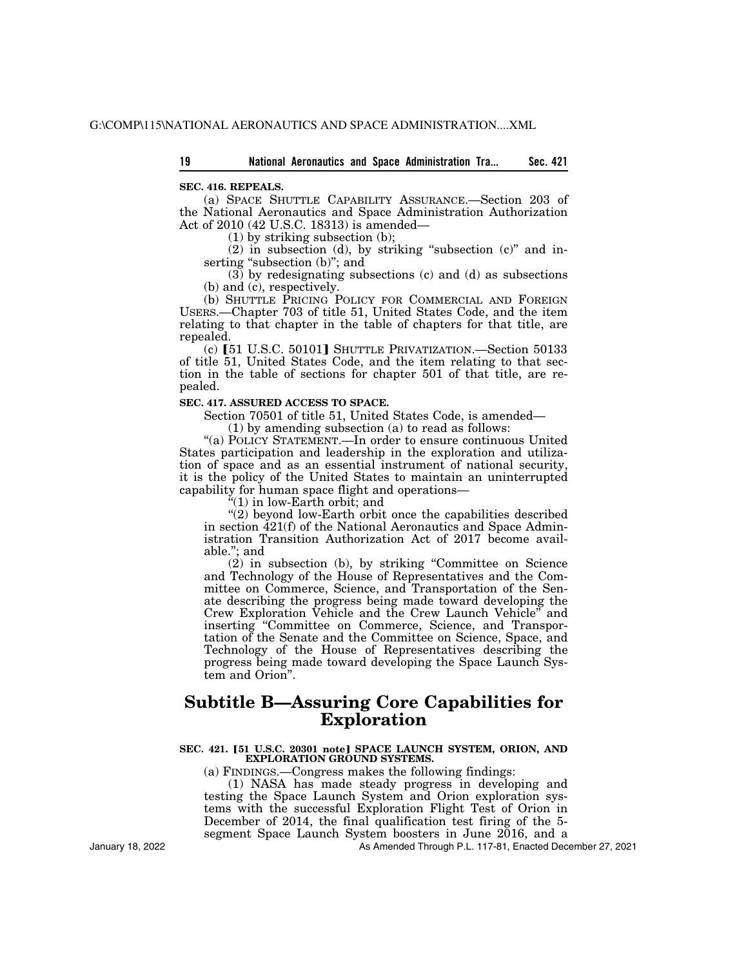## **SEC. 416. REPEALS.**

(a) SPACE SHUTTLE CAPABILITY ASSURANCE.—Section 203 of the National Aeronautics and Space Administration Authorization Act of 2010 (42 U.S.C. 18313) is amended—

(1) by striking subsection (b);

 $(2)$  in subsection  $(d)$ , by striking "subsection  $(c)$ " and inserting "subsection (b)"; and

(3) by redesignating subsections (c) and (d) as subsections (b) and (c), respectively.

(b) SHUTTLE PRICING POLICY FOR COMMERCIAL AND FOREIGN USERS.—Chapter 703 of title 51, United States Code, and the item relating to that chapter in the table of chapters for that title, are repealed.

(c)  $[51$  U.S.C. 50101] SHUTTLE PRIVATIZATION.—Section 50133 of title 51, United States Code, and the item relating to that section in the table of sections for chapter 501 of that title, are repealed.

# **SEC. 417. ASSURED ACCESS TO SPACE.**

Section 70501 of title 51, United States Code, is amended—

(1) by amending subsection (a) to read as follows:

"(a) POLICY STATEMENT.—In order to ensure continuous United States participation and leadership in the exploration and utilization of space and as an essential instrument of national security, it is the policy of the United States to maintain an uninterrupted capability for human space flight and operations—

 $*(1)$  in low-Earth orbit; and

 $\hat{C}(2)$  beyond low-Earth orbit once the capabilities described in section 421(f) of the National Aeronautics and Space Administration Transition Authorization Act of 2017 become available.''; and

 $(2)$  in subsection (b), by striking "Committee on Science and Technology of the House of Representatives and the Committee on Commerce, Science, and Transportation of the Senate describing the progress being made toward developing the Crew Exploration Vehicle and the Crew Launch Vehicle'' and inserting ''Committee on Commerce, Science, and Transportation of the Senate and the Committee on Science, Space, and Technology of the House of Representatives describing the progress being made toward developing the Space Launch System and Orion''.

# **Subtitle B—Assuring Core Capabilities for Exploration**

## SEC. 421. [51 U.S.C. 20301 note] SPACE LAUNCH SYSTEM, ORION, AND **EXPLORATION GROUND SYSTEMS.**

(a) FINDINGS.—Congress makes the following findings:

(1) NASA has made steady progress in developing and testing the Space Launch System and Orion exploration systems with the successful Exploration Flight Test of Orion in December of 2014, the final qualification test firing of the 5 segment Space Launch System boosters in June 2016, and a

January 18, 2022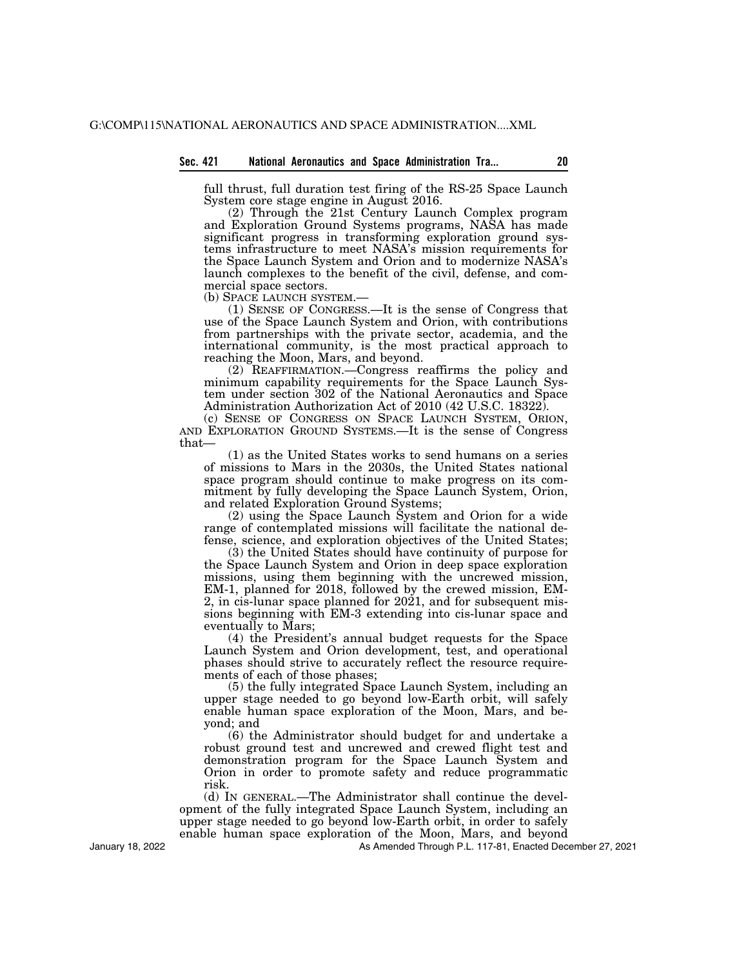full thrust, full duration test firing of the RS-25 Space Launch System core stage engine in August 2016.

(2) Through the 21st Century Launch Complex program and Exploration Ground Systems programs, NASA has made significant progress in transforming exploration ground systems infrastructure to meet NASA's mission requirements for the Space Launch System and Orion and to modernize NASA's launch complexes to the benefit of the civil, defense, and commercial space sectors.<br>(b) SPACE LAUNCH SYSTEM.—

 $(1)$  SENSE OF CONGRESS.—It is the sense of Congress that use of the Space Launch System and Orion, with contributions from partnerships with the private sector, academia, and the international community, is the most practical approach to reaching the Moon, Mars, and beyond.

(2) REAFFIRMATION.—Congress reaffirms the policy and minimum capability requirements for the Space Launch System under section 302 of the National Aeronautics and Space Administration Authorization Act of 2010 (42 U.S.C. 18322).<br>(c) SENSE OF CONGRESS ON SPACE LAUNCH SYSTEM, ORION.

AND EXPLORATION GROUND SYSTEMS.—It is the sense of Congress that—

(1) as the United States works to send humans on a series of missions to Mars in the 2030s, the United States national space program should continue to make progress on its commitment by fully developing the Space Launch System, Orion, and related Exploration Ground Systems;

(2) using the Space Launch System and Orion for a wide range of contemplated missions will facilitate the national defense, science, and exploration objectives of the United States;

(3) the United States should have continuity of purpose for the Space Launch System and Orion in deep space exploration missions, using them beginning with the uncrewed mission, EM-1, planned for 2018, followed by the crewed mission, EM-2, in cis-lunar space planned for 2021, and for subsequent missions beginning with EM-3 extending into cis-lunar space and eventually to Mars;

(4) the President's annual budget requests for the Space Launch System and Orion development, test, and operational phases should strive to accurately reflect the resource requirements of each of those phases;

(5) the fully integrated Space Launch System, including an upper stage needed to go beyond low-Earth orbit, will safely enable human space exploration of the Moon, Mars, and beyond; and

(6) the Administrator should budget for and undertake a robust ground test and uncrewed and crewed flight test and demonstration program for the Space Launch System and Orion in order to promote safety and reduce programmatic risk.

(d) IN GENERAL.—The Administrator shall continue the development of the fully integrated Space Launch System, including an upper stage needed to go beyond low-Earth orbit, in order to safely enable human space exploration of the Moon, Mars, and beyond

As Amended Through P.L. 117-81, Enacted December 27, 2021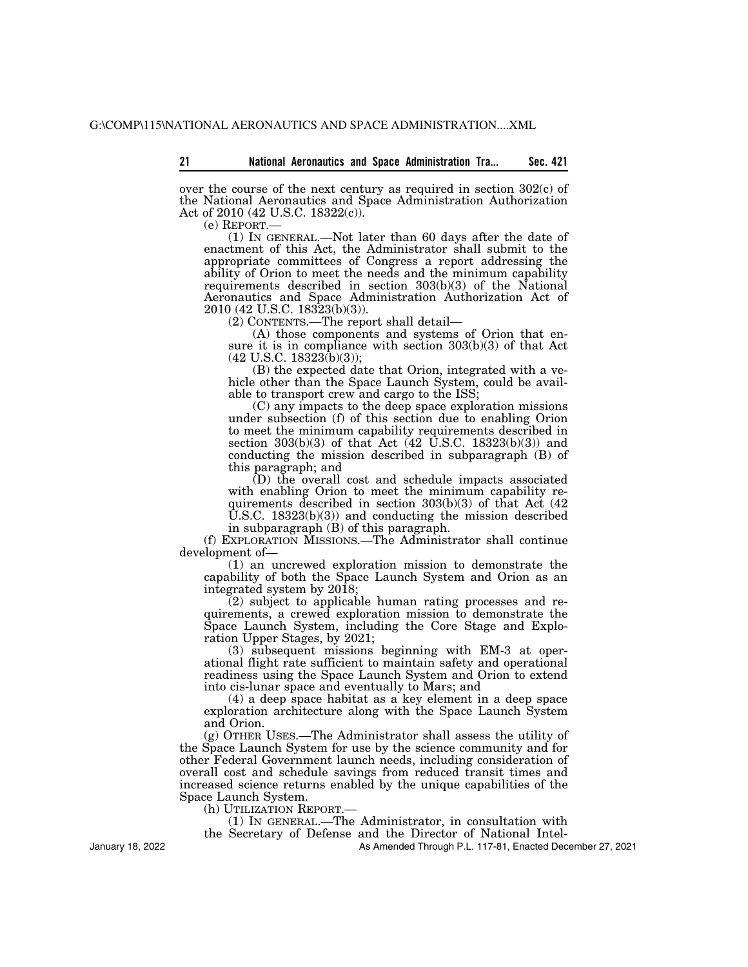over the course of the next century as required in section  $302(c)$  of the National Aeronautics and Space Administration Authorization Act of 2010 (42 U.S.C. 18322(c)).

(e) REPORT.— (1) IN GENERAL.—Not later than 60 days after the date of enactment of this Act, the Administrator shall submit to the appropriate committees of Congress a report addressing the ability of Orion to meet the needs and the minimum capability requirements described in section 303(b)(3) of the National Aeronautics and Space Administration Authorization Act of 2010 (42 U.S.C. 18323(b)(3)).

(2) CONTENTS.—The report shall detail—

(A) those components and systems of Orion that ensure it is in compliance with section 303(b)(3) of that Act  $(42 \text{ U.S.C. } 18323(\text{b})(3))$ ;

(B) the expected date that Orion, integrated with a vehicle other than the Space Launch System, could be available to transport crew and cargo to the ISS;

(C) any impacts to the deep space exploration missions under subsection (f) of this section due to enabling Orion to meet the minimum capability requirements described in section  $303(b)(3)$  of that Act (42 U.S.C. 18323(b)(3)) and conducting the mission described in subparagraph (B) of this paragraph; and

(D) the overall cost and schedule impacts associated with enabling Orion to meet the minimum capability requirements described in section 303(b)(3) of that Act (42  $\hat{U}$ .S.C. 18323(b)(3)) and conducting the mission described in subparagraph (B) of this paragraph.

(f) EXPLORATION MISSIONS.—The Administrator shall continue development of—

(1) an uncrewed exploration mission to demonstrate the capability of both the Space Launch System and Orion as an integrated system by 2018;

(2) subject to applicable human rating processes and requirements, a crewed exploration mission to demonstrate the Space Launch System, including the Core Stage and Exploration Upper Stages, by 2021;

(3) subsequent missions beginning with EM-3 at operational flight rate sufficient to maintain safety and operational readiness using the Space Launch System and Orion to extend into cis-lunar space and eventually to Mars; and

(4) a deep space habitat as a key element in a deep space exploration architecture along with the Space Launch System and Orion.

(g) OTHER USES.—The Administrator shall assess the utility of the Space Launch System for use by the science community and for other Federal Government launch needs, including consideration of overall cost and schedule savings from reduced transit times and increased science returns enabled by the unique capabilities of the Space Launch System.

(h) UTILIZATION REPORT.—

(1) IN GENERAL.—The Administrator, in consultation with

the Secretary of Defense and the Director of National Intel-

As Amended Through P.L. 117-81, Enacted December 27, 2021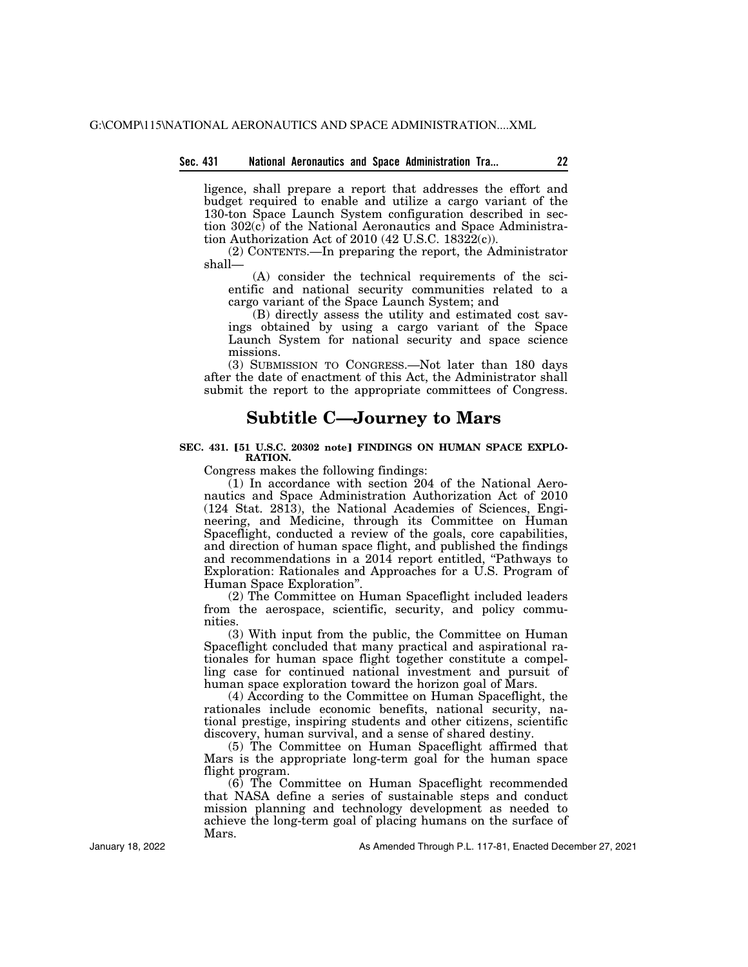#### **Sec. 431 National Aeronautics and Space Administration Tra... 22**

ligence, shall prepare a report that addresses the effort and budget required to enable and utilize a cargo variant of the 130-ton Space Launch System configuration described in section 302(c) of the National Aeronautics and Space Administration Authorization Act of  $2010$  (42 U.S.C. 18322(c)).

(2) CONTENTS.—In preparing the report, the Administrator shall—

(A) consider the technical requirements of the scientific and national security communities related to a cargo variant of the Space Launch System; and

(B) directly assess the utility and estimated cost savings obtained by using a cargo variant of the Space Launch System for national security and space science missions.

(3) SUBMISSION TO CONGRESS.—Not later than 180 days after the date of enactment of this Act, the Administrator shall submit the report to the appropriate committees of Congress.

# **Subtitle C—Journey to Mars**

## SEC. 431. [51 U.S.C. 20302 note] FINDINGS ON HUMAN SPACE EXPLO-**RATION.**

Congress makes the following findings:

 $(1)$  In accordance with section 204 of the National Aeronautics and Space Administration Authorization Act of 2010 (124 Stat. 2813), the National Academies of Sciences, Engineering, and Medicine, through its Committee on Human Spaceflight, conducted a review of the goals, core capabilities, and direction of human space flight, and published the findings and recommendations in a 2014 report entitled, "Pathways to Exploration: Rationales and Approaches for a U.S. Program of Human Space Exploration''.

(2) The Committee on Human Spaceflight included leaders from the aerospace, scientific, security, and policy communities.

(3) With input from the public, the Committee on Human Spaceflight concluded that many practical and aspirational rationales for human space flight together constitute a compelling case for continued national investment and pursuit of human space exploration toward the horizon goal of Mars.

(4) According to the Committee on Human Spaceflight, the rationales include economic benefits, national security, national prestige, inspiring students and other citizens, scientific discovery, human survival, and a sense of shared destiny.

(5) The Committee on Human Spaceflight affirmed that Mars is the appropriate long-term goal for the human space flight program.

(6) The Committee on Human Spaceflight recommended that NASA define a series of sustainable steps and conduct mission planning and technology development as needed to achieve the long-term goal of placing humans on the surface of Mars.

January 18, 2022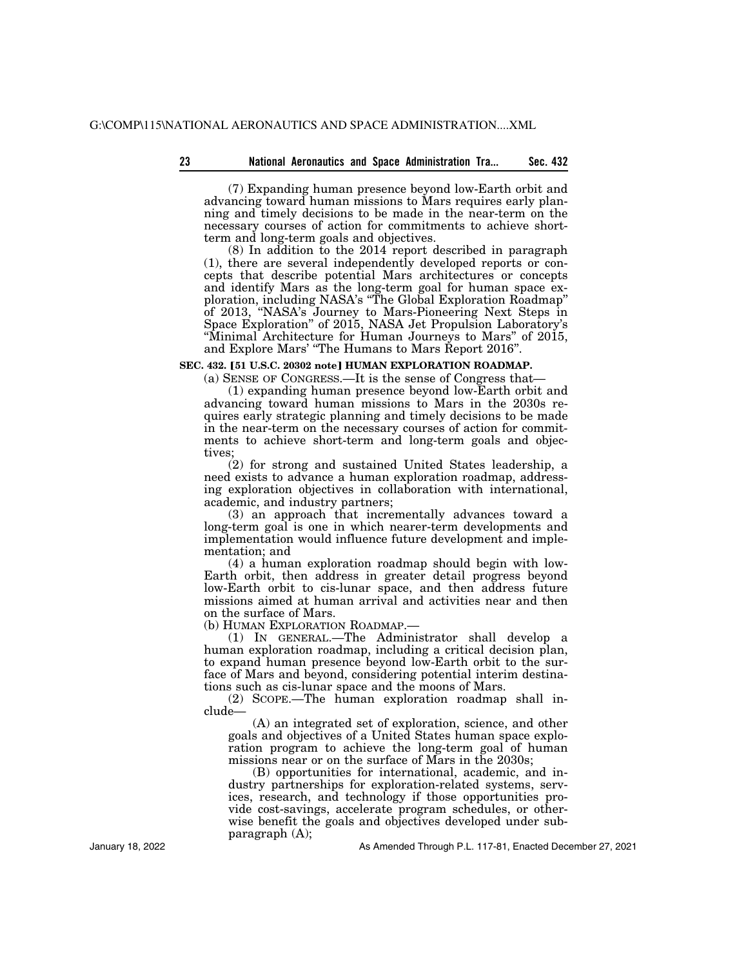(7) Expanding human presence beyond low-Earth orbit and advancing toward human missions to Mars requires early planning and timely decisions to be made in the near-term on the necessary courses of action for commitments to achieve shortterm and long-term goals and objectives.

(8) In addition to the 2014 report described in paragraph (1), there are several independently developed reports or concepts that describe potential Mars architectures or concepts and identify Mars as the long-term goal for human space exploration, including NASA's ''The Global Exploration Roadmap'' of 2013, ''NASA's Journey to Mars-Pioneering Next Steps in Space Exploration'' of 2015, NASA Jet Propulsion Laboratory's ''Minimal Architecture for Human Journeys to Mars'' of 2015, and Explore Mars' ''The Humans to Mars Report 2016''.

# **SEC. 432. [51 U.S.C. 20302 note] HUMAN EXPLORATION ROADMAP.**

(a) SENSE OF CONGRESS.—It is the sense of Congress that—

(1) expanding human presence beyond low-Earth orbit and advancing toward human missions to Mars in the 2030s requires early strategic planning and timely decisions to be made in the near-term on the necessary courses of action for commitments to achieve short-term and long-term goals and objectives;

(2) for strong and sustained United States leadership, a need exists to advance a human exploration roadmap, addressing exploration objectives in collaboration with international, academic, and industry partners;

(3) an approach that incrementally advances toward a long-term goal is one in which nearer-term developments and implementation would influence future development and implementation; and

(4) a human exploration roadmap should begin with low-Earth orbit, then address in greater detail progress beyond low-Earth orbit to cis-lunar space, and then address future missions aimed at human arrival and activities near and then on the surface of Mars.

(b) HUMAN EXPLORATION ROADMAP.—

(1) IN GENERAL.—The Administrator shall develop a human exploration roadmap, including a critical decision plan, to expand human presence beyond low-Earth orbit to the surface of Mars and beyond, considering potential interim destinations such as cis-lunar space and the moons of Mars.

(2) SCOPE.—The human exploration roadmap shall include—

(A) an integrated set of exploration, science, and other goals and objectives of a United States human space exploration program to achieve the long-term goal of human missions near or on the surface of Mars in the 2030s;

(B) opportunities for international, academic, and industry partnerships for exploration-related systems, services, research, and technology if those opportunities provide cost-savings, accelerate program schedules, or otherwise benefit the goals and objectives developed under subparagraph (A);

As Amended Through P.L. 117-81, Enacted December 27, 2021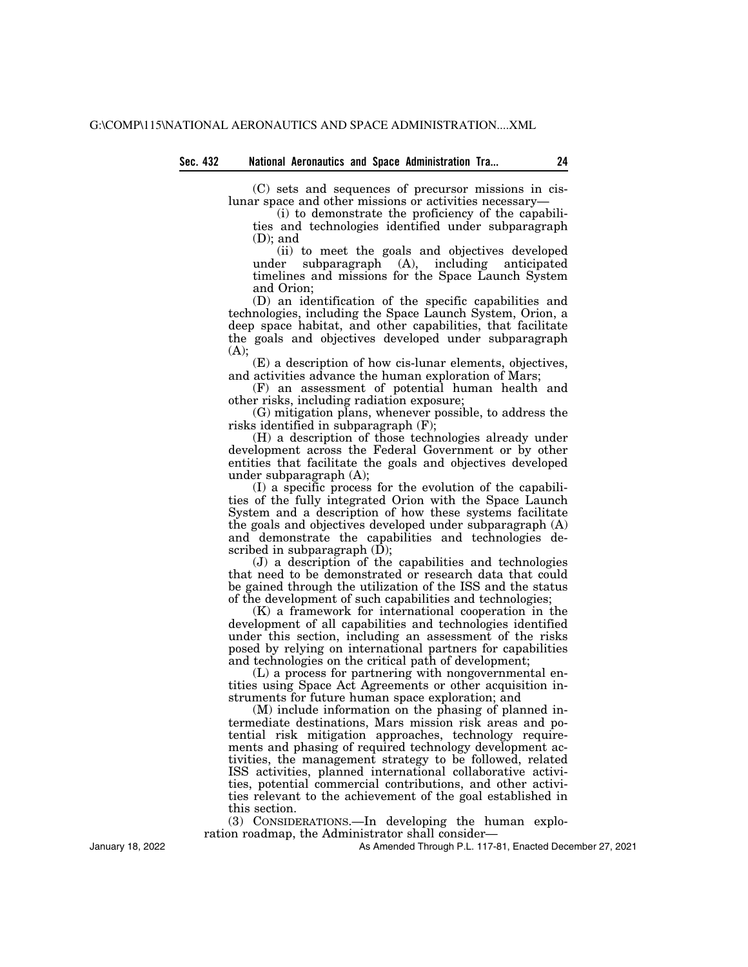(C) sets and sequences of precursor missions in cislunar space and other missions or activities necessary—

(i) to demonstrate the proficiency of the capabilities and technologies identified under subparagraph (D); and

(ii) to meet the goals and objectives developed under subparagraph (A), including anticipated timelines and missions for the Space Launch System and Orion;

(D) an identification of the specific capabilities and technologies, including the Space Launch System, Orion, a deep space habitat, and other capabilities, that facilitate the goals and objectives developed under subparagraph  $(A)$ :

(E) a description of how cis-lunar elements, objectives, and activities advance the human exploration of Mars;

(F) an assessment of potential human health and other risks, including radiation exposure;

(G) mitigation plans, whenever possible, to address the risks identified in subparagraph (F);

(H) a description of those technologies already under development across the Federal Government or by other entities that facilitate the goals and objectives developed under subparagraph (A);

(I) a specific process for the evolution of the capabilities of the fully integrated Orion with the Space Launch System and a description of how these systems facilitate the goals and objectives developed under subparagraph (A) and demonstrate the capabilities and technologies described in subparagraph  $(D)$ ;

(J) a description of the capabilities and technologies that need to be demonstrated or research data that could be gained through the utilization of the ISS and the status of the development of such capabilities and technologies;

(K) a framework for international cooperation in the development of all capabilities and technologies identified under this section, including an assessment of the risks posed by relying on international partners for capabilities and technologies on the critical path of development;

(L) a process for partnering with nongovernmental entities using Space Act Agreements or other acquisition instruments for future human space exploration; and

(M) include information on the phasing of planned intermediate destinations, Mars mission risk areas and potential risk mitigation approaches, technology requirements and phasing of required technology development activities, the management strategy to be followed, related ISS activities, planned international collaborative activities, potential commercial contributions, and other activities relevant to the achievement of the goal established in this section.

(3) CONSIDERATIONS.—In developing the human exploration roadmap, the Administrator shall consider—

As Amended Through P.L. 117-81, Enacted December 27, 2021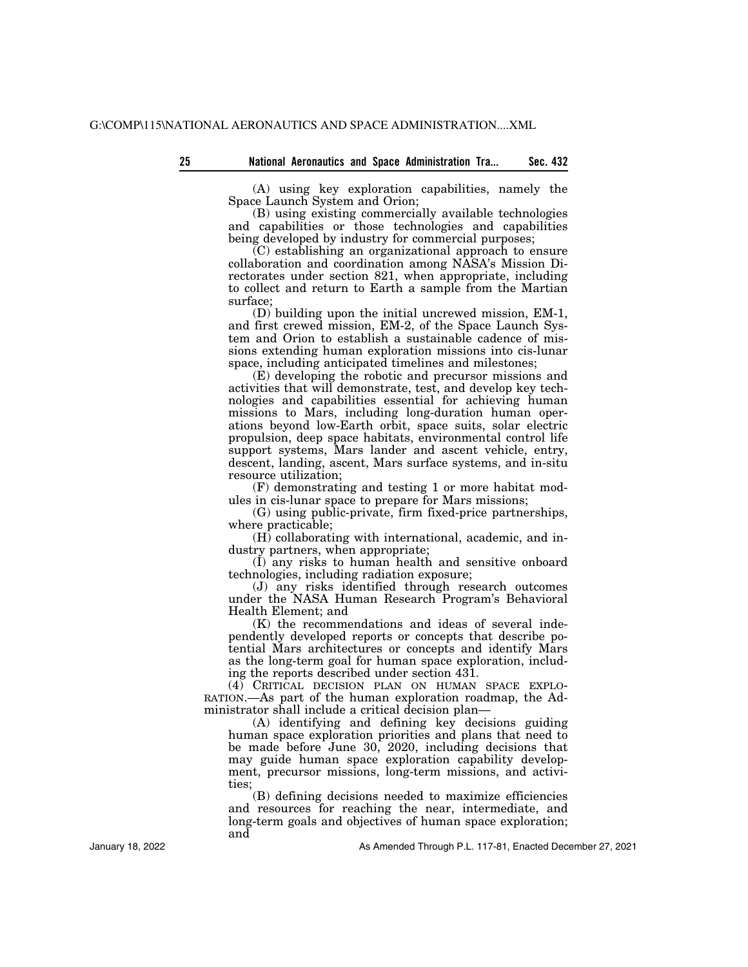(A) using key exploration capabilities, namely the Space Launch System and Orion;

(B) using existing commercially available technologies and capabilities or those technologies and capabilities being developed by industry for commercial purposes;

(C) establishing an organizational approach to ensure collaboration and coordination among NASA's Mission Directorates under section 821, when appropriate, including to collect and return to Earth a sample from the Martian surface;

(D) building upon the initial uncrewed mission, EM-1, and first crewed mission, EM-2, of the Space Launch System and Orion to establish a sustainable cadence of missions extending human exploration missions into cis-lunar space, including anticipated timelines and milestones;

(E) developing the robotic and precursor missions and activities that will demonstrate, test, and develop key technologies and capabilities essential for achieving human missions to Mars, including long-duration human operations beyond low-Earth orbit, space suits, solar electric propulsion, deep space habitats, environmental control life support systems, Mars lander and ascent vehicle, entry, descent, landing, ascent, Mars surface systems, and in-situ resource utilization;

(F) demonstrating and testing 1 or more habitat modules in cis-lunar space to prepare for Mars missions;

(G) using public-private, firm fixed-price partnerships, where practicable;

(H) collaborating with international, academic, and industry partners, when appropriate;

(I) any risks to human health and sensitive onboard technologies, including radiation exposure;

(J) any risks identified through research outcomes under the NASA Human Research Program's Behavioral Health Element; and

(K) the recommendations and ideas of several independently developed reports or concepts that describe potential Mars architectures or concepts and identify Mars as the long-term goal for human space exploration, including the reports described under section 431.

(4) CRITICAL DECISION PLAN ON HUMAN SPACE EXPLO-RATION.—As part of the human exploration roadmap, the Administrator shall include a critical decision plan—

(A) identifying and defining key decisions guiding human space exploration priorities and plans that need to be made before June 30, 2020, including decisions that may guide human space exploration capability development, precursor missions, long-term missions, and activities;

(B) defining decisions needed to maximize efficiencies and resources for reaching the near, intermediate, and long-term goals and objectives of human space exploration; and

January 18, 2022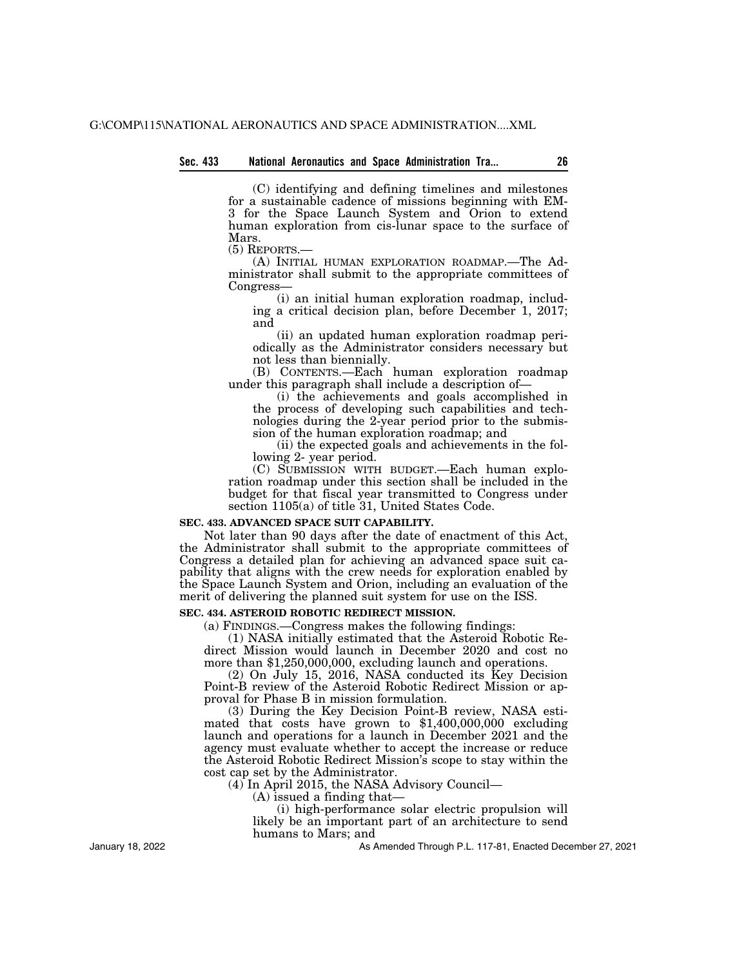#### **Sec. 433 National Aeronautics and Space Administration Tra... 26**

(C) identifying and defining timelines and milestones for a sustainable cadence of missions beginning with EM-3 for the Space Launch System and Orion to extend human exploration from cis-lunar space to the surface of Mars.

(5) REPORTS.—

(A) INITIAL HUMAN EXPLORATION ROADMAP.—The Administrator shall submit to the appropriate committees of Congress—

(i) an initial human exploration roadmap, including a critical decision plan, before December 1, 2017; and

(ii) an updated human exploration roadmap periodically as the Administrator considers necessary but not less than biennially.

(B) CONTENTS.—Each human exploration roadmap under this paragraph shall include a description of—

(i) the achievements and goals accomplished in the process of developing such capabilities and technologies during the 2-year period prior to the submission of the human exploration roadmap; and

(ii) the expected goals and achievements in the following 2- year period.

(C) SUBMISSION WITH BUDGET.—Each human exploration roadmap under this section shall be included in the budget for that fiscal year transmitted to Congress under section 1105(a) of title 31, United States Code.

# **SEC. 433. ADVANCED SPACE SUIT CAPABILITY.**

Not later than 90 days after the date of enactment of this Act, the Administrator shall submit to the appropriate committees of Congress a detailed plan for achieving an advanced space suit capability that aligns with the crew needs for exploration enabled by the Space Launch System and Orion, including an evaluation of the merit of delivering the planned suit system for use on the ISS.

# **SEC. 434. ASTEROID ROBOTIC REDIRECT MISSION.**

(a) FINDINGS.—Congress makes the following findings:

(1) NASA initially estimated that the Asteroid Robotic Redirect Mission would launch in December 2020 and cost no more than \$1,250,000,000, excluding launch and operations.

(2) On July 15, 2016, NASA conducted its Key Decision Point-B review of the Asteroid Robotic Redirect Mission or approval for Phase B in mission formulation.

(3) During the Key Decision Point-B review, NASA esti- mated that costs have grown to \$1,400,000,000 excluding launch and operations for a launch in December 2021 and the agency must evaluate whether to accept the increase or reduce the Asteroid Robotic Redirect Mission's scope to stay within the cost cap set by the Administrator.

(4) In April 2015, the NASA Advisory Council—

(A) issued a finding that—

(i) high-performance solar electric propulsion will likely be an important part of an architecture to send humans to Mars; and

As Amended Through P.L. 117-81, Enacted December 27, 2021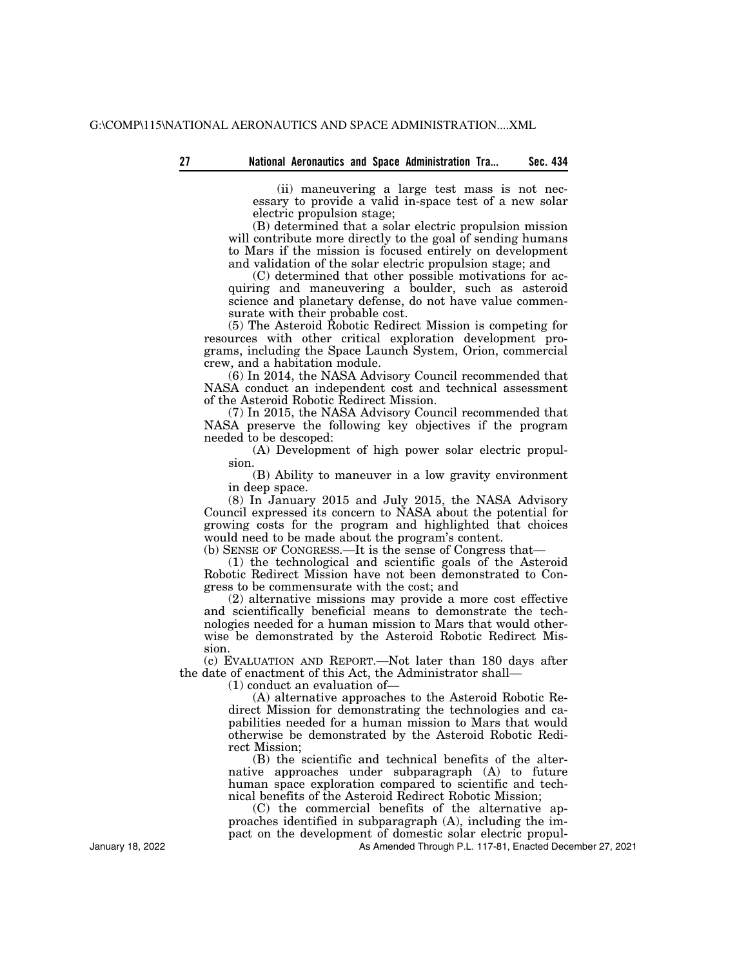(ii) maneuvering a large test mass is not necessary to provide a valid in-space test of a new solar electric propulsion stage;

(B) determined that a solar electric propulsion mission will contribute more directly to the goal of sending humans to Mars if the mission is focused entirely on development and validation of the solar electric propulsion stage; and

(C) determined that other possible motivations for acquiring and maneuvering a boulder, such as asteroid science and planetary defense, do not have value commensurate with their probable cost.

(5) The Asteroid Robotic Redirect Mission is competing for resources with other critical exploration development programs, including the Space Launch System, Orion, commercial crew, and a habitation module.

(6) In 2014, the NASA Advisory Council recommended that NASA conduct an independent cost and technical assessment of the Asteroid Robotic Redirect Mission.

(7) In 2015, the NASA Advisory Council recommended that NASA preserve the following key objectives if the program needed to be descoped:

(A) Development of high power solar electric propulsion.

(B) Ability to maneuver in a low gravity environment in deep space.

(8) In January 2015 and July 2015, the NASA Advisory Council expressed its concern to NASA about the potential for growing costs for the program and highlighted that choices would need to be made about the program's content.

(b) SENSE OF CONGRESS.—It is the sense of Congress that—

(1) the technological and scientific goals of the Asteroid Robotic Redirect Mission have not been demonstrated to Congress to be commensurate with the cost; and

(2) alternative missions may provide a more cost effective and scientifically beneficial means to demonstrate the technologies needed for a human mission to Mars that would otherwise be demonstrated by the Asteroid Robotic Redirect Mission.

(c) EVALUATION AND REPORT.—Not later than 180 days after the date of enactment of this Act, the Administrator shall—

(1) conduct an evaluation of—

(A) alternative approaches to the Asteroid Robotic Redirect Mission for demonstrating the technologies and capabilities needed for a human mission to Mars that would otherwise be demonstrated by the Asteroid Robotic Redirect Mission;

(B) the scientific and technical benefits of the alternative approaches under subparagraph (A) to future human space exploration compared to scientific and technical benefits of the Asteroid Redirect Robotic Mission;

(C) the commercial benefits of the alternative approaches identified in subparagraph (A), including the impact on the development of domestic solar electric propul-

As Amended Through P.L. 117-81, Enacted December 27, 2021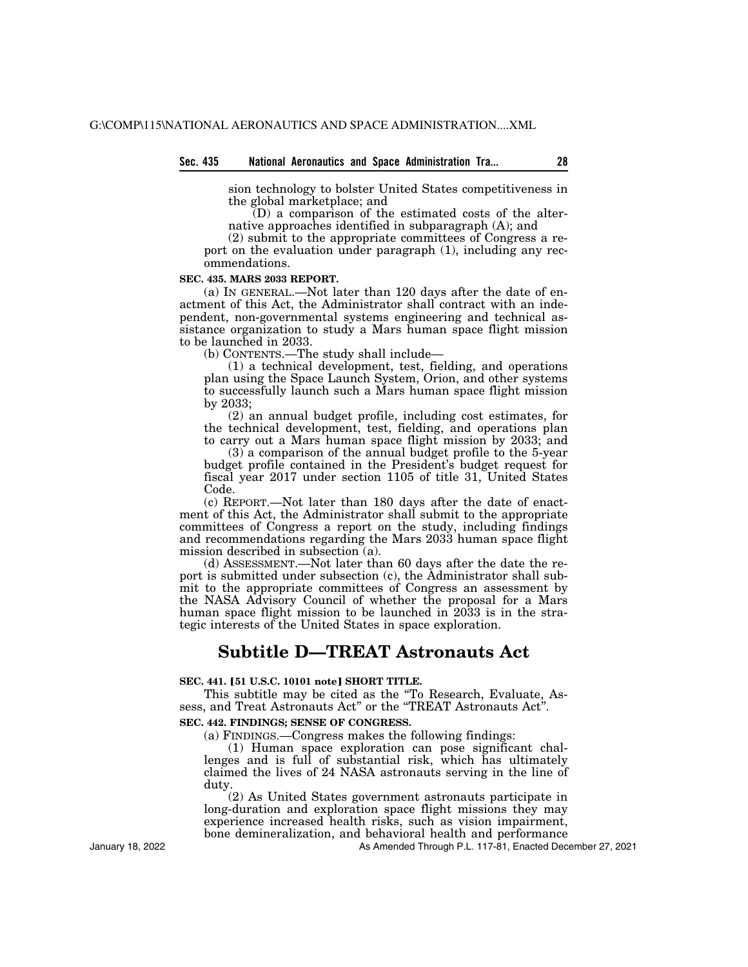### **Sec. 435 National Aeronautics and Space Administration Tra... 28**

sion technology to bolster United States competitiveness in the global marketplace; and

 $\overline{D}$ ) a comparison of the estimated costs of the alternative approaches identified in subparagraph (A); and

(2) submit to the appropriate committees of Congress a report on the evaluation under paragraph (1), including any recommendations.

#### **SEC. 435. MARS 2033 REPORT.**

(a) IN GENERAL.—Not later than 120 days after the date of enactment of this Act, the Administrator shall contract with an independent, non-governmental systems engineering and technical assistance organization to study a Mars human space flight mission to be launched in 2033.

(b) CONTENTS.—The study shall include—

(1) a technical development, test, fielding, and operations plan using the Space Launch System, Orion, and other systems to successfully launch such a Mars human space flight mission by 2033;

(2) an annual budget profile, including cost estimates, for the technical development, test, fielding, and operations plan to carry out a Mars human space flight mission by 2033; and

(3) a comparison of the annual budget profile to the 5-year budget profile contained in the President's budget request for fiscal year 2017 under section 1105 of title 31, United States Code.

(c) REPORT.—Not later than 180 days after the date of enactment of this Act, the Administrator shall submit to the appropriate committees of Congress a report on the study, including findings and recommendations regarding the Mars 2033 human space flight mission described in subsection (a).

(d) ASSESSMENT.—Not later than 60 days after the date the report is submitted under subsection (c), the Administrator shall submit to the appropriate committees of Congress an assessment by the NASA Advisory Council of whether the proposal for a Mars human space flight mission to be launched in 2033 is in the strategic interests of the United States in space exploration.

# **Subtitle D—TREAT Astronauts Act**

# **SEC. 441. [51 U.S.C. 10101 note] SHORT TITLE.**

This subtitle may be cited as the ''To Research, Evaluate, Assess, and Treat Astronauts Act'' or the ''TREAT Astronauts Act''.

# **SEC. 442. FINDINGS; SENSE OF CONGRESS.**

(a) FINDINGS.—Congress makes the following findings:

(1) Human space exploration can pose significant challenges and is full of substantial risk, which has ultimately claimed the lives of 24 NASA astronauts serving in the line of duty.

(2) As United States government astronauts participate in long-duration and exploration space flight missions they may experience increased health risks, such as vision impairment, bone demineralization, and behavioral health and performance

As Amended Through P.L. 117-81, Enacted December 27, 2021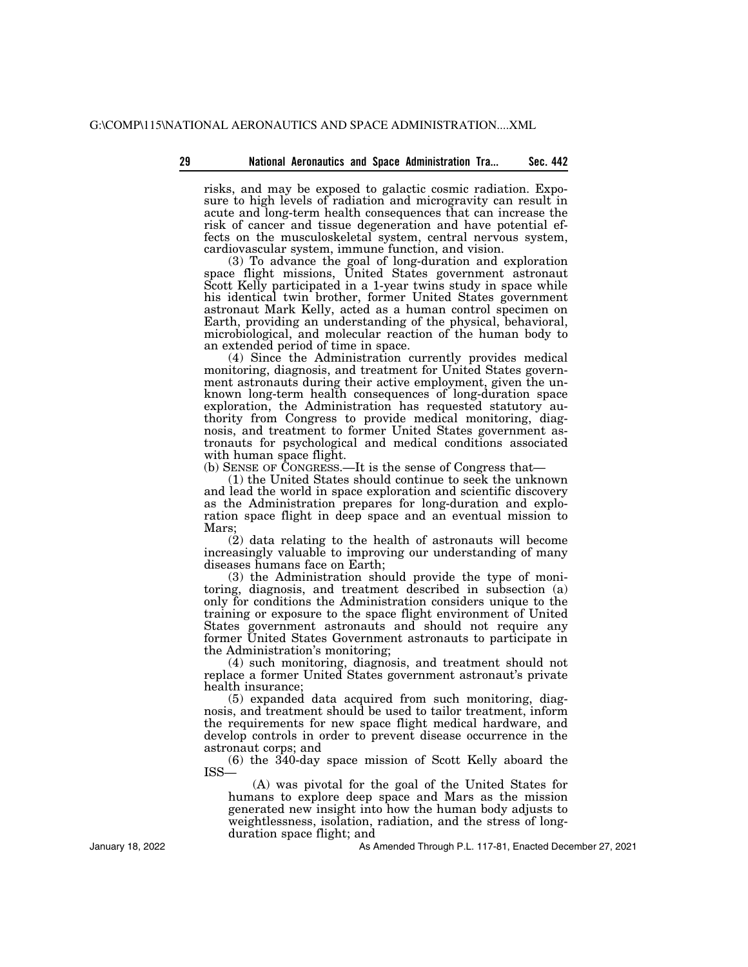risks, and may be exposed to galactic cosmic radiation. Exposure to high levels of radiation and microgravity can result in acute and long-term health consequences that can increase the risk of cancer and tissue degeneration and have potential effects on the musculoskeletal system, central nervous system, cardiovascular system, immune function, and vision.

(3) To advance the goal of long-duration and exploration space flight missions, United States government astronaut Scott Kelly participated in a 1-year twins study in space while his identical twin brother, former United States government astronaut Mark Kelly, acted as a human control specimen on Earth, providing an understanding of the physical, behavioral, microbiological, and molecular reaction of the human body to an extended period of time in space.

(4) Since the Administration currently provides medical monitoring, diagnosis, and treatment for United States government astronauts during their active employment, given the unknown long-term health consequences of long-duration space exploration, the Administration has requested statutory authority from Congress to provide medical monitoring, diagnosis, and treatment to former United States government astronauts for psychological and medical conditions associated with human space flight.

(b) SENSE OF CONGRESS.—It is the sense of Congress that—

(1) the United States should continue to seek the unknown and lead the world in space exploration and scientific discovery as the Administration prepares for long-duration and exploration space flight in deep space and an eventual mission to Mars;

(2) data relating to the health of astronauts will become increasingly valuable to improving our understanding of many diseases humans face on Earth;

(3) the Administration should provide the type of monitoring, diagnosis, and treatment described in subsection (a) only for conditions the Administration considers unique to the training or exposure to the space flight environment of United States government astronauts and should not require any former United States Government astronauts to participate in the Administration's monitoring;

(4) such monitoring, diagnosis, and treatment should not replace a former United States government astronaut's private health insurance;

(5) expanded data acquired from such monitoring, diagnosis, and treatment should be used to tailor treatment, inform the requirements for new space flight medical hardware, and develop controls in order to prevent disease occurrence in the astronaut corps; and

(6) the 340-day space mission of Scott Kelly aboard the ISS—

(A) was pivotal for the goal of the United States for humans to explore deep space and Mars as the mission generated new insight into how the human body adjusts to weightlessness, isolation, radiation, and the stress of longduration space flight; and

As Amended Through P.L. 117-81, Enacted December 27, 2021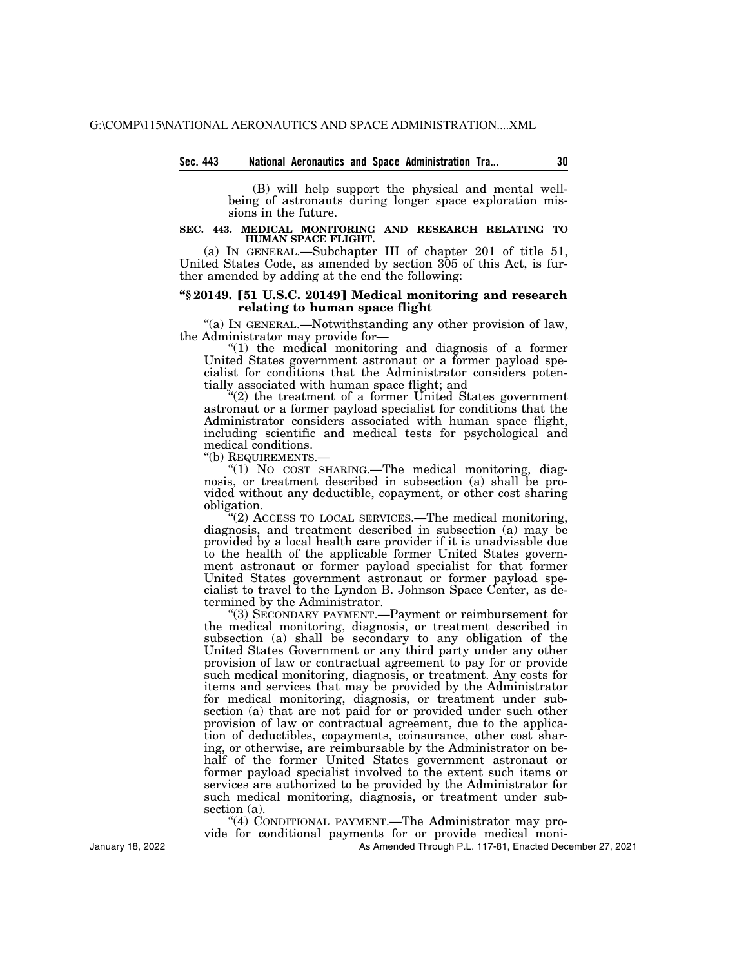## **Sec. 443 National Aeronautics and Space Administration Tra... 30**

(B) will help support the physical and mental wellbeing of astronauts during longer space exploration missions in the future.

#### **SEC. 443. MEDICAL MONITORING AND RESEARCH RELATING TO HUMAN SPACE FLIGHT.**

(a) IN GENERAL.—Subchapter III of chapter 201 of title 51, United States Code, as amended by section 305 of this Act, is further amended by adding at the end the following:

# **''§ 20149.** ø**51 U.S.C. 20149**¿ **Medical monitoring and research relating to human space flight**

''(a) IN GENERAL.—Notwithstanding any other provision of law, the Administrator may provide for—

''(1) the medical monitoring and diagnosis of a former United States government astronaut or a former payload specialist for conditions that the Administrator considers potentially associated with human space flight; and

 $\tilde{C}(2)$  the treatment of a former United States government astronaut or a former payload specialist for conditions that the Administrator considers associated with human space flight, including scientific and medical tests for psychological and medical conditions.<br>"(b) REQUIREMENTS.-

" $(1)$  No cost sharing.—The medical monitoring, diagnosis, or treatment described in subsection (a) shall be provided without any deductible, copayment, or other cost sharing obligation.

"(2) ACCESS TO LOCAL SERVICES.—The medical monitoring, diagnosis, and treatment described in subsection (a) may be provided by a local health care provider if it is unadvisable due to the health of the applicable former United States government astronaut or former payload specialist for that former United States government astronaut or former payload specialist to travel to the Lyndon B. Johnson Space Center, as determined by the Administrator.

''(3) SECONDARY PAYMENT.—Payment or reimbursement for the medical monitoring, diagnosis, or treatment described in subsection (a) shall be secondary to any obligation of the United States Government or any third party under any other provision of law or contractual agreement to pay for or provide such medical monitoring, diagnosis, or treatment. Any costs for items and services that may be provided by the Administrator for medical monitoring, diagnosis, or treatment under subsection (a) that are not paid for or provided under such other provision of law or contractual agreement, due to the application of deductibles, copayments, coinsurance, other cost sharing, or otherwise, are reimbursable by the Administrator on behalf of the former United States government astronaut or former payload specialist involved to the extent such items or services are authorized to be provided by the Administrator for such medical monitoring, diagnosis, or treatment under subsection (a).

''(4) CONDITIONAL PAYMENT.—The Administrator may pro-

vide for conditional payments for or provide medical moni-

As Amended Through P.L. 117-81, Enacted December 27, 2021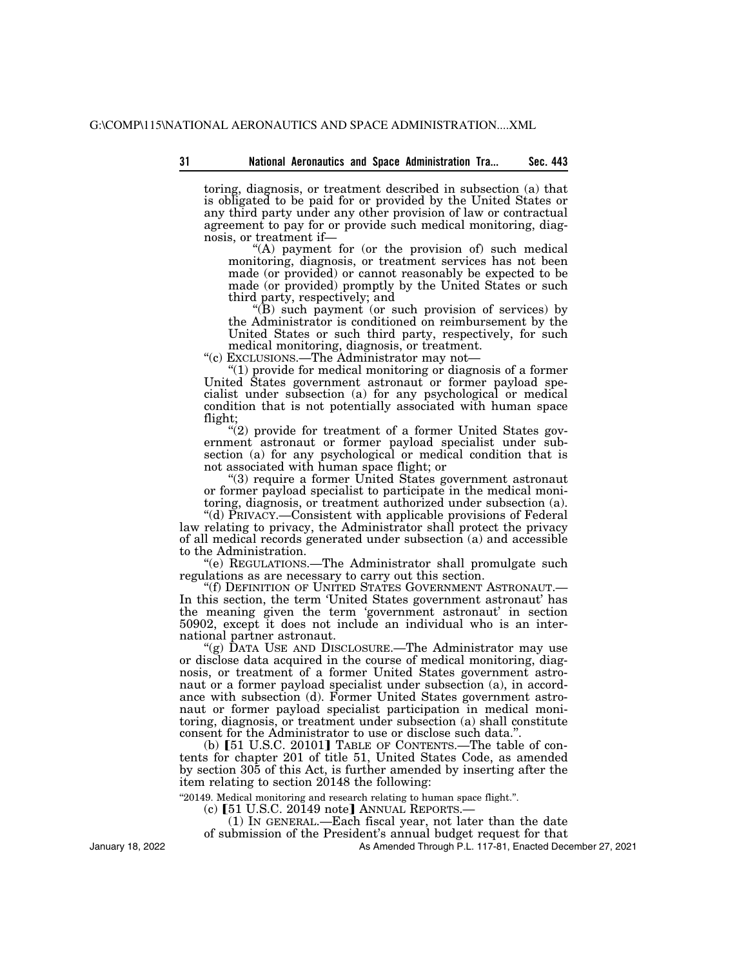toring, diagnosis, or treatment described in subsection (a) that is obligated to be paid for or provided by the United States or any third party under any other provision of law or contractual agreement to pay for or provide such medical monitoring, diagnosis, or treatment if—

"(A) payment for (or the provision of) such medical monitoring, diagnosis, or treatment services has not been made (or provided) or cannot reasonably be expected to be made (or provided) promptly by the United States or such third party, respectively; and

''(B) such payment (or such provision of services) by the Administrator is conditioned on reimbursement by the United States or such third party, respectively, for such medical monitoring, diagnosis, or treatment.

''(c) EXCLUSIONS.—The Administrator may not—

''(1) provide for medical monitoring or diagnosis of a former United States government astronaut or former payload specialist under subsection (a) for any psychological or medical condition that is not potentially associated with human space flight;

"(2) provide for treatment of a former United States government astronaut or former payload specialist under subsection (a) for any psychological or medical condition that is not associated with human space flight; or

''(3) require a former United States government astronaut or former payload specialist to participate in the medical monitoring, diagnosis, or treatment authorized under subsection (a).

''(d) PRIVACY.—Consistent with applicable provisions of Federal law relating to privacy, the Administrator shall protect the privacy of all medical records generated under subsection (a) and accessible to the Administration.

''(e) REGULATIONS.—The Administrator shall promulgate such regulations as are necessary to carry out this section.<br>"(f) DEFINITION OF UNITED STATES GOVERNMENT ASTRONAUT.—

In this section, the term 'United States government astronaut' has the meaning given the term 'government astronaut' in section 50902, except it does not include an individual who is an international partner astronaut.

''(g) DATA USE AND DISCLOSURE.—The Administrator may use or disclose data acquired in the course of medical monitoring, diagnosis, or treatment of a former United States government astronaut or a former payload specialist under subsection (a), in accordance with subsection (d). Former United States government astronaut or former payload specialist participation in medical monitoring, diagnosis, or treatment under subsection (a) shall constitute consent for the Administrator to use or disclose such data."

(b)  $[51 \text{ U.S.C. } 20101]$  TABLE OF CONTENTS.—The table of contents for chapter 201 of title 51, United States Code, as amended by section 305 of this Act, is further amended by inserting after the item relating to section 20148 the following:

''20149. Medical monitoring and research relating to human space flight.''.

(c)  $[51 \text{ U.S.C. } 20149 \text{ note}]$  ANNUAL REPORTS.

(1) IN GENERAL.—Each fiscal year, not later than the date

of submission of the President's annual budget request for that

As Amended Through P.L. 117-81, Enacted December 27, 2021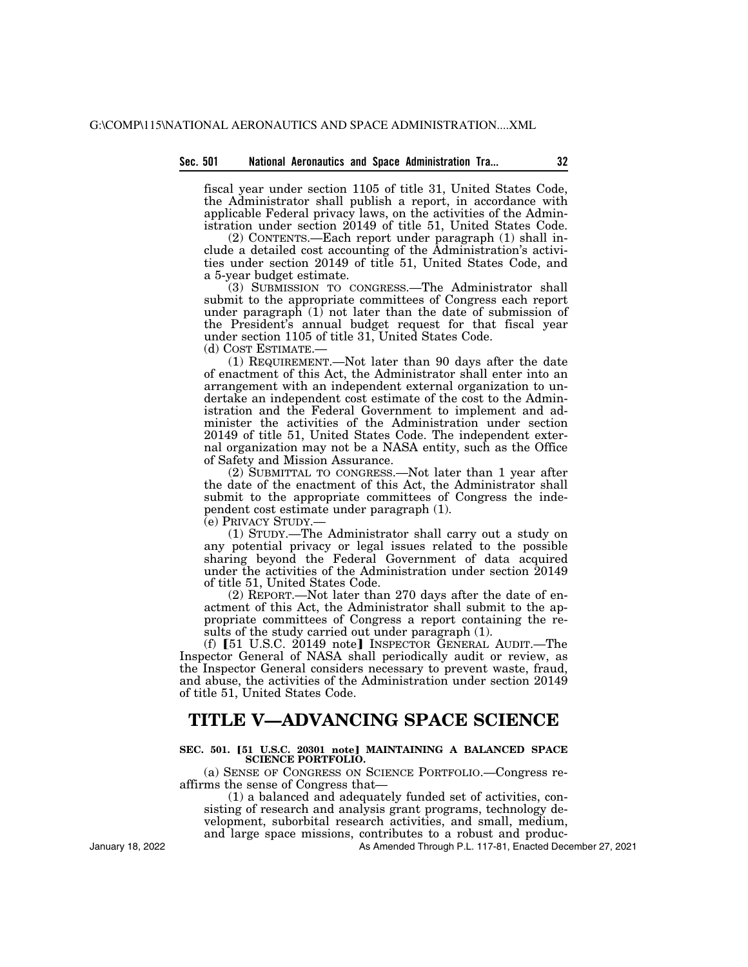#### **Sec. 501 National Aeronautics and Space Administration Tra... 32**

fiscal year under section 1105 of title 31, United States Code, the Administrator shall publish a report, in accordance with applicable Federal privacy laws, on the activities of the Administration under section 20149 of title 51, United States Code.

(2) CONTENTS.—Each report under paragraph (1) shall include a detailed cost accounting of the Administration's activities under section 20149 of title 51, United States Code, and a 5-year budget estimate.

(3) SUBMISSION TO CONGRESS.—The Administrator shall submit to the appropriate committees of Congress each report under paragraph (1) not later than the date of submission of the President's annual budget request for that fiscal year under section 1105 of title 31, United States Code.

(d) COST ESTIMATE.—

(1) REQUIREMENT.—Not later than 90 days after the date of enactment of this Act, the Administrator shall enter into an arrangement with an independent external organization to undertake an independent cost estimate of the cost to the Administration and the Federal Government to implement and administer the activities of the Administration under section 20149 of title 51, United States Code. The independent external organization may not be a NASA entity, such as the Office of Safety and Mission Assurance.

(2) SUBMITTAL TO CONGRESS.—Not later than 1 year after the date of the enactment of this Act, the Administrator shall submit to the appropriate committees of Congress the independent cost estimate under paragraph (1).

(e) PRIVACY STUDY.—

(1) STUDY.—The Administrator shall carry out a study on any potential privacy or legal issues related to the possible sharing beyond the Federal Government of data acquired under the activities of the Administration under section 20149 of title 51, United States Code.

(2) REPORT.—Not later than 270 days after the date of enactment of this Act, the Administrator shall submit to the appropriate committees of Congress a report containing the results of the study carried out under paragraph (1).

(f) [51 U.S.C. 20149 note] INSPECTOR GENERAL AUDIT.—The Inspector General of NASA shall periodically audit or review, as the Inspector General considers necessary to prevent waste, fraud, and abuse, the activities of the Administration under section 20149 of title 51, United States Code.

# **TITLE V—ADVANCING SPACE SCIENCE**

## SEC. 501. [51 U.S.C. 20301 note] MAINTAINING A BALANCED SPACE **SCIENCE PORTFOLIO.**

(a) SENSE OF CONGRESS ON SCIENCE PORTFOLIO.—Congress reaffirms the sense of Congress that—

(1) a balanced and adequately funded set of activities, consisting of research and analysis grant programs, technology development, suborbital research activities, and small, medium, and large space missions, contributes to a robust and produc-

As Amended Through P.L. 117-81, Enacted December 27, 2021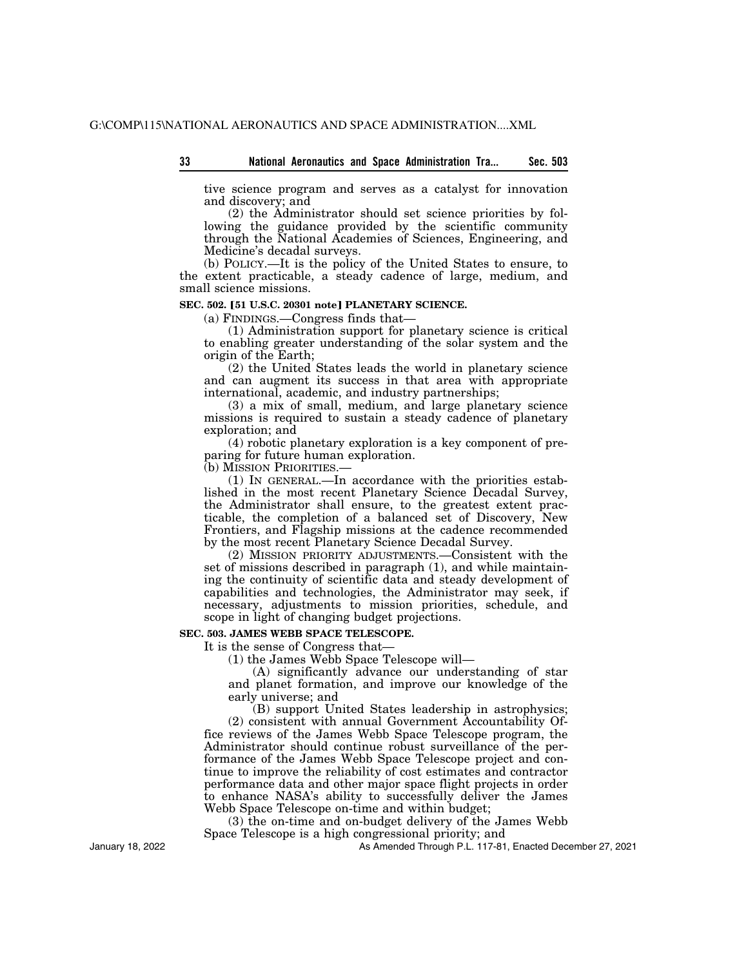| 33 |  |  | National Aeronautics and Space Administration Tra | Sec. 503 |
|----|--|--|---------------------------------------------------|----------|
|    |  |  |                                                   |          |

tive science program and serves as a catalyst for innovation and discovery; and

(2) the Administrator should set science priorities by following the guidance provided by the scientific community through the National Academies of Sciences, Engineering, and Medicine's decadal surveys.

(b) POLICY.—It is the policy of the United States to ensure, to the extent practicable, a steady cadence of large, medium, and small science missions.

### **SEC. 502. [51 U.S.C. 20301 note] PLANETARY SCIENCE.**

(a) FINDINGS.—Congress finds that—

(1) Administration support for planetary science is critical to enabling greater understanding of the solar system and the origin of the Earth;

(2) the United States leads the world in planetary science and can augment its success in that area with appropriate international, academic, and industry partnerships;

(3) a mix of small, medium, and large planetary science missions is required to sustain a steady cadence of planetary exploration; and

(4) robotic planetary exploration is a key component of preparing for future human exploration.

(b) MISSION PRIORITIES.—

(1) IN GENERAL.—In accordance with the priorities established in the most recent Planetary Science Decadal Survey, the Administrator shall ensure, to the greatest extent practicable, the completion of a balanced set of Discovery, New Frontiers, and Flagship missions at the cadence recommended by the most recent Planetary Science Decadal Survey.

(2) MISSION PRIORITY ADJUSTMENTS.—Consistent with the set of missions described in paragraph (1), and while maintaining the continuity of scientific data and steady development of capabilities and technologies, the Administrator may seek, if necessary, adjustments to mission priorities, schedule, and scope in light of changing budget projections.

# **SEC. 503. JAMES WEBB SPACE TELESCOPE.**

It is the sense of Congress that—

(1) the James Webb Space Telescope will—

(A) significantly advance our understanding of star and planet formation, and improve our knowledge of the early universe; and

(B) support United States leadership in astrophysics; (2) consistent with annual Government Accountability Office reviews of the James Webb Space Telescope program, the Administrator should continue robust surveillance of the performance of the James Webb Space Telescope project and continue to improve the reliability of cost estimates and contractor performance data and other major space flight projects in order to enhance NASA's ability to successfully deliver the James Webb Space Telescope on-time and within budget;

(3) the on-time and on-budget delivery of the James Webb Space Telescope is a high congressional priority; and

As Amended Through P.L. 117-81, Enacted December 27, 2021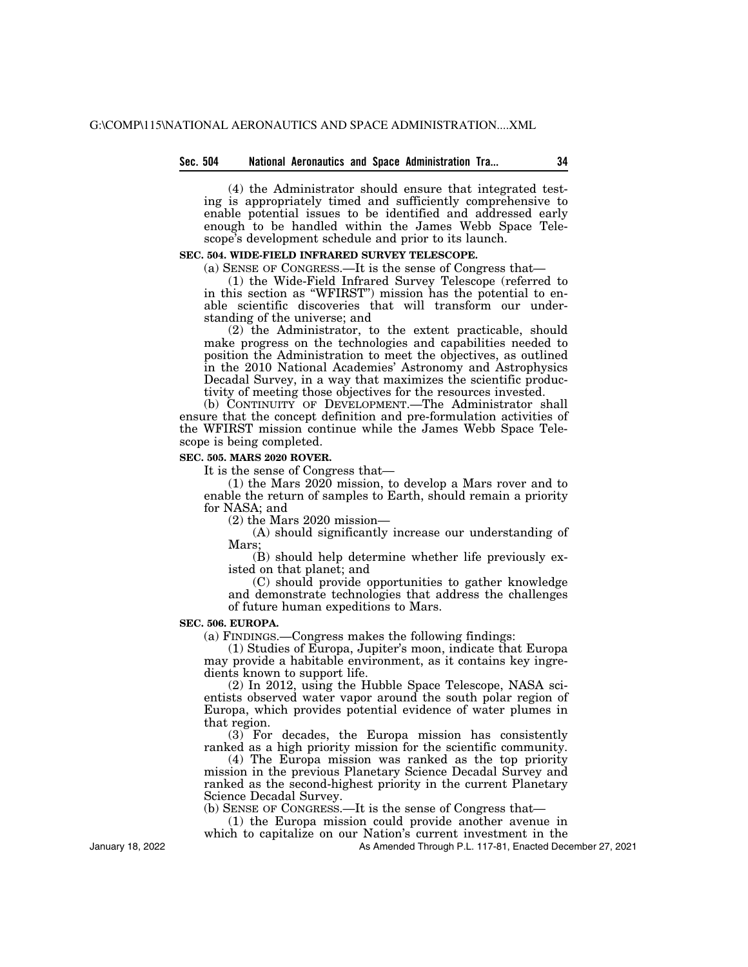## **Sec. 504 National Aeronautics and Space Administration Tra... 34**

(4) the Administrator should ensure that integrated testing is appropriately timed and sufficiently comprehensive to enable potential issues to be identified and addressed early enough to be handled within the James Webb Space Telescope's development schedule and prior to its launch.

# **SEC. 504. WIDE-FIELD INFRARED SURVEY TELESCOPE.**

(a) SENSE OF CONGRESS.—It is the sense of Congress that—

(1) the Wide-Field Infrared Survey Telescope (referred to in this section as ''WFIRST'') mission has the potential to enable scientific discoveries that will transform our understanding of the universe; and

(2) the Administrator, to the extent practicable, should make progress on the technologies and capabilities needed to position the Administration to meet the objectives, as outlined in the 2010 National Academies' Astronomy and Astrophysics Decadal Survey, in a way that maximizes the scientific productivity of meeting those objectives for the resources invested.

(b) CONTINUITY OF DEVELOPMENT.—The Administrator shall ensure that the concept definition and pre-formulation activities of the WFIRST mission continue while the James Webb Space Telescope is being completed.

### **SEC. 505. MARS 2020 ROVER.**

It is the sense of Congress that—

(1) the Mars 2020 mission, to develop a Mars rover and to enable the return of samples to Earth, should remain a priority for NASA; and

(2) the Mars 2020 mission—

(A) should significantly increase our understanding of Mars;

(B) should help determine whether life previously existed on that planet; and

(C) should provide opportunities to gather knowledge and demonstrate technologies that address the challenges of future human expeditions to Mars.

# **SEC. 506. EUROPA.**

(a) FINDINGS.—Congress makes the following findings:

(1) Studies of Europa, Jupiter's moon, indicate that Europa may provide a habitable environment, as it contains key ingredients known to support life.

(2) In 2012, using the Hubble Space Telescope, NASA scientists observed water vapor around the south polar region of Europa, which provides potential evidence of water plumes in that region.

(3) For decades, the Europa mission has consistently ranked as a high priority mission for the scientific community.

(4) The Europa mission was ranked as the top priority mission in the previous Planetary Science Decadal Survey and ranked as the second-highest priority in the current Planetary Science Decadal Survey.

(b) SENSE OF CONGRESS.—It is the sense of Congress that—

(1) the Europa mission could provide another avenue in

which to capitalize on our Nation's current investment in the As Amended Through P.L. 117-81, Enacted December 27, 2021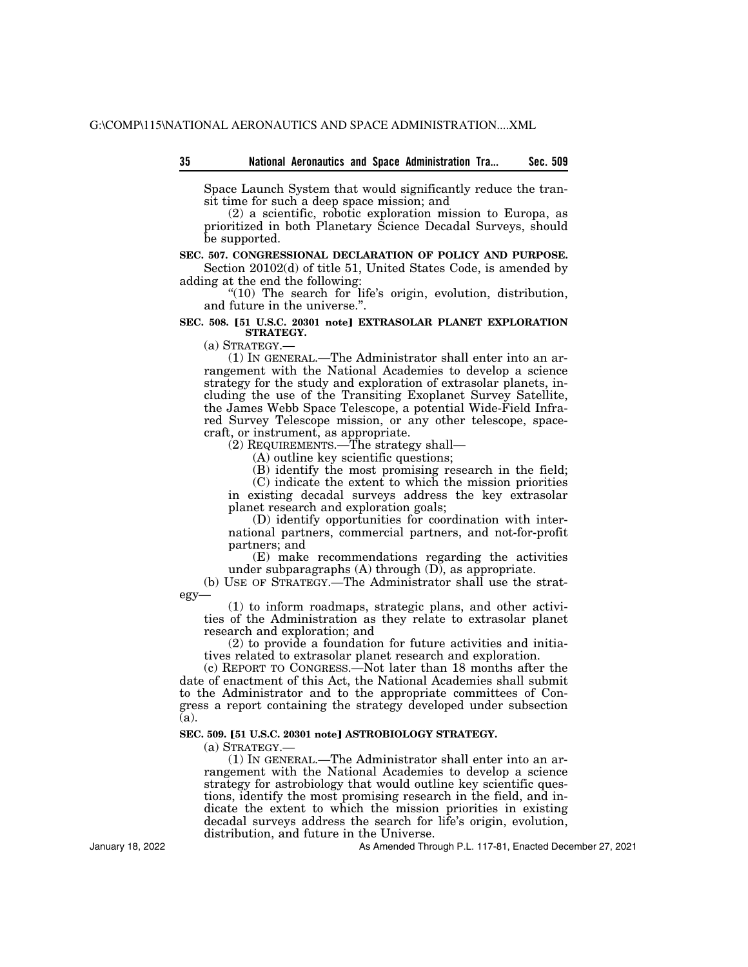Space Launch System that would significantly reduce the transit time for such a deep space mission; and

(2) a scientific, robotic exploration mission to Europa, as prioritized in both Planetary Science Decadal Surveys, should be supported.

## **SEC. 507. CONGRESSIONAL DECLARATION OF POLICY AND PURPOSE.**

Section 20102(d) of title 51, United States Code, is amended by adding at the end the following:

''(10) The search for life's origin, evolution, distribution, and future in the universe.''.

## **SEC. 508. [51 U.S.C. 20301 note] EXTRASOLAR PLANET EXPLORATION STRATEGY.**

(a) STRATEGY.—

(1) IN GENERAL.—The Administrator shall enter into an arrangement with the National Academies to develop a science strategy for the study and exploration of extrasolar planets, including the use of the Transiting Exoplanet Survey Satellite, the James Webb Space Telescope, a potential Wide-Field Infrared Survey Telescope mission, or any other telescope, spacecraft, or instrument, as appropriate.

(2) REQUIREMENTS.—The strategy shall—

(A) outline key scientific questions;

(B) identify the most promising research in the field;

(C) indicate the extent to which the mission priorities in existing decadal surveys address the key extrasolar planet research and exploration goals;

(D) identify opportunities for coordination with international partners, commercial partners, and not-for-profit partners; and

(E) make recommendations regarding the activities under subparagraphs (A) through (D), as appropriate.

(b) USE OF STRATEGY.—The Administrator shall use the strategy—

(1) to inform roadmaps, strategic plans, and other activities of the Administration as they relate to extrasolar planet research and exploration; and

(2) to provide a foundation for future activities and initiatives related to extrasolar planet research and exploration.

(c) REPORT TO CONGRESS.—Not later than 18 months after the date of enactment of this Act, the National Academies shall submit to the Administrator and to the appropriate committees of Congress a report containing the strategy developed under subsection (a).

### SEC. 509. [51 U.S.C. 20301 note] ASTROBIOLOGY STRATEGY.

(a) STRATEGY.—

(1) IN GENERAL.—The Administrator shall enter into an arrangement with the National Academies to develop a science strategy for astrobiology that would outline key scientific questions, identify the most promising research in the field, and indicate the extent to which the mission priorities in existing decadal surveys address the search for life's origin, evolution, distribution, and future in the Universe.

As Amended Through P.L. 117-81, Enacted December 27, 2021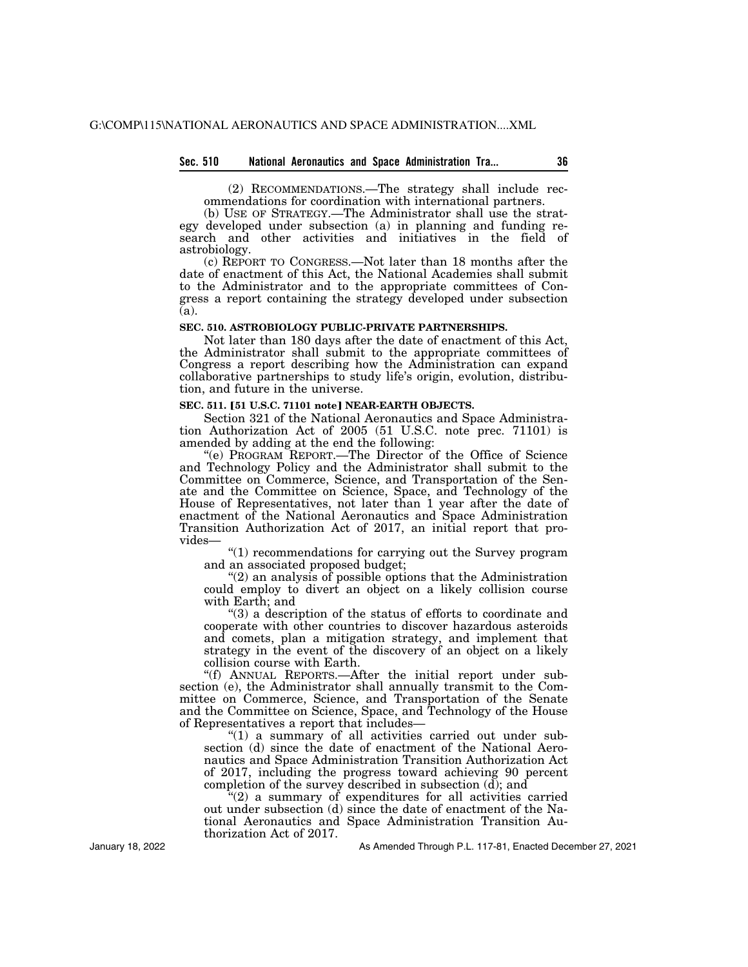### **Sec. 510 National Aeronautics and Space Administration Tra... 36**

(2) RECOMMENDATIONS.—The strategy shall include recommendations for coordination with international partners.

(b) USE OF STRATEGY.—The Administrator shall use the strategy developed under subsection (a) in planning and funding research and other activities and initiatives in the field of astrobiology.

(c) REPORT TO CONGRESS.—Not later than 18 months after the date of enactment of this Act, the National Academies shall submit to the Administrator and to the appropriate committees of Congress a report containing the strategy developed under subsection (a).

# **SEC. 510. ASTROBIOLOGY PUBLIC-PRIVATE PARTNERSHIPS.**

Not later than 180 days after the date of enactment of this Act, the Administrator shall submit to the appropriate committees of Congress a report describing how the Administration can expand collaborative partnerships to study life's origin, evolution, distribution, and future in the universe.

#### SEC. 511. [51 U.S.C. 71101 note] **NEAR-EARTH OBJECTS.**

Section 321 of the National Aeronautics and Space Administration Authorization Act of 2005 (51 U.S.C. note prec. 71101) is amended by adding at the end the following:

''(e) PROGRAM REPORT.—The Director of the Office of Science and Technology Policy and the Administrator shall submit to the Committee on Commerce, Science, and Transportation of the Senate and the Committee on Science, Space, and Technology of the House of Representatives, not later than 1 year after the date of enactment of the National Aeronautics and Space Administration Transition Authorization Act of 2017, an initial report that provides—

"(1) recommendations for carrying out the Survey program and an associated proposed budget;

"(2) an analysis of possible options that the Administration could employ to divert an object on a likely collision course with Earth; and

''(3) a description of the status of efforts to coordinate and cooperate with other countries to discover hazardous asteroids and comets, plan a mitigation strategy, and implement that strategy in the event of the discovery of an object on a likely collision course with Earth.

''(f) ANNUAL REPORTS.—After the initial report under subsection (e), the Administrator shall annually transmit to the Committee on Commerce, Science, and Transportation of the Senate and the Committee on Science, Space, and Technology of the House of Representatives a report that includes—

"(1) a summary of all activities carried out under subsection (d) since the date of enactment of the National Aeronautics and Space Administration Transition Authorization Act of 2017, including the progress toward achieving 90 percent completion of the survey described in subsection (d); and

''(2) a summary of expenditures for all activities carried out under subsection (d) since the date of enactment of the National Aeronautics and Space Administration Transition Authorization Act of 2017.

As Amended Through P.L. 117-81, Enacted December 27, 2021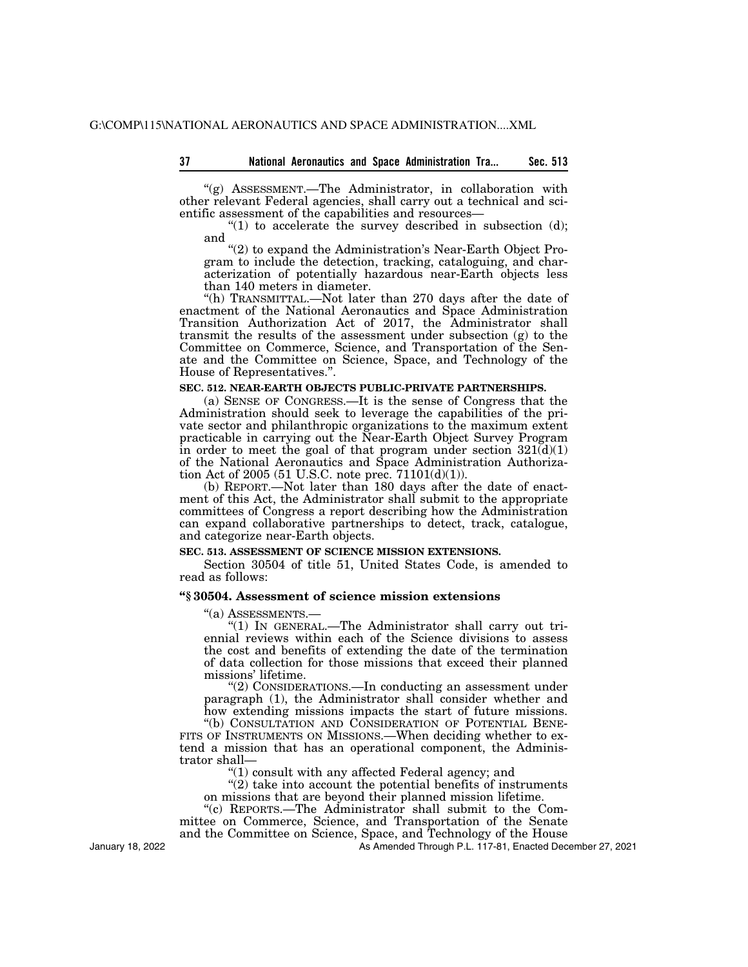''(g) ASSESSMENT.—The Administrator, in collaboration with other relevant Federal agencies, shall carry out a technical and scientific assessment of the capabilities and resources—

"(1) to accelerate the survey described in subsection  $(d)$ ; and

"(2) to expand the Administration's Near-Earth Object Program to include the detection, tracking, cataloguing, and characterization of potentially hazardous near-Earth objects less than 140 meters in diameter.

''(h) TRANSMITTAL.—Not later than 270 days after the date of enactment of the National Aeronautics and Space Administration Transition Authorization Act of 2017, the Administrator shall transmit the results of the assessment under subsection (g) to the Committee on Commerce, Science, and Transportation of the Senate and the Committee on Science, Space, and Technology of the House of Representatives.''.

## **SEC. 512. NEAR-EARTH OBJECTS PUBLIC-PRIVATE PARTNERSHIPS.**

(a) SENSE OF CONGRESS.—It is the sense of Congress that the Administration should seek to leverage the capabilities of the private sector and philanthropic organizations to the maximum extent practicable in carrying out the Near-Earth Object Survey Program in order to meet the goal of that program under section  $321(d)(1)$ of the National Aeronautics and Space Administration Authorization Act of 2005 (51 U.S.C. note prec.  $71101(d)(1)$ ).

(b) REPORT.—Not later than 180 days after the date of enactment of this Act, the Administrator shall submit to the appropriate committees of Congress a report describing how the Administration can expand collaborative partnerships to detect, track, catalogue, and categorize near-Earth objects.

# **SEC. 513. ASSESSMENT OF SCIENCE MISSION EXTENSIONS.**

Section 30504 of title 51, United States Code, is amended to read as follows:

## **''§ 30504. Assessment of science mission extensions**

''(a) ASSESSMENTS.— ''(1) IN GENERAL.—The Administrator shall carry out triennial reviews within each of the Science divisions to assess the cost and benefits of extending the date of the termination of data collection for those missions that exceed their planned missions' lifetime.

''(2) CONSIDERATIONS.—In conducting an assessment under paragraph (1), the Administrator shall consider whether and how extending missions impacts the start of future missions.

''(b) CONSULTATION AND CONSIDERATION OF POTENTIAL BENE- FITS OF INSTRUMENTS ON MISSIONS.—When deciding whether to extend a mission that has an operational component, the Administrator shall—

''(1) consult with any affected Federal agency; and

''(2) take into account the potential benefits of instruments on missions that are beyond their planned mission lifetime.

''(c) REPORTS.—The Administrator shall submit to the Committee on Commerce, Science, and Transportation of the Senate

and the Committee on Science, Space, and Technology of the House

As Amended Through P.L. 117-81, Enacted December 27, 2021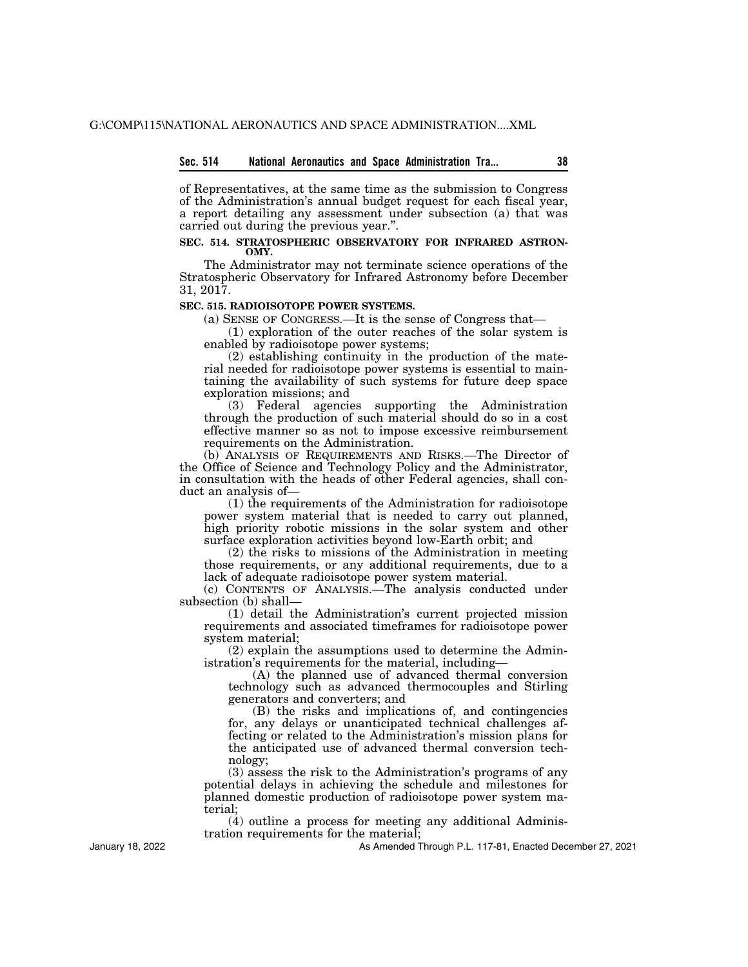#### **Sec. 514 National Aeronautics and Space Administration Tra... 38**

of Representatives, at the same time as the submission to Congress of the Administration's annual budget request for each fiscal year, a report detailing any assessment under subsection (a) that was carried out during the previous year.''.

#### **SEC. 514. STRATOSPHERIC OBSERVATORY FOR INFRARED ASTRON-OMY.**

The Administrator may not terminate science operations of the Stratospheric Observatory for Infrared Astronomy before December 31, 2017.

### **SEC. 515. RADIOISOTOPE POWER SYSTEMS.**

(a) SENSE OF CONGRESS.—It is the sense of Congress that—

(1) exploration of the outer reaches of the solar system is enabled by radioisotope power systems;

(2) establishing continuity in the production of the material needed for radioisotope power systems is essential to maintaining the availability of such systems for future deep space exploration missions; and

(3) Federal agencies supporting the Administration through the production of such material should do so in a cost effective manner so as not to impose excessive reimbursement requirements on the Administration.

(b) ANALYSIS OF REQUIREMENTS AND RISKS.—The Director of the Office of Science and Technology Policy and the Administrator, in consultation with the heads of other Federal agencies, shall conduct an analysis of—

(1) the requirements of the Administration for radioisotope power system material that is needed to carry out planned, high priority robotic missions in the solar system and other surface exploration activities beyond low-Earth orbit; and

(2) the risks to missions of the Administration in meeting those requirements, or any additional requirements, due to a lack of adequate radioisotope power system material.

(c) CONTENTS OF ANALYSIS.—The analysis conducted under subsection (b) shall—

(1) detail the Administration's current projected mission requirements and associated timeframes for radioisotope power system material;

(2) explain the assumptions used to determine the Administration's requirements for the material, including—

(A) the planned use of advanced thermal conversion technology such as advanced thermocouples and Stirling generators and converters; and

(B) the risks and implications of, and contingencies for, any delays or unanticipated technical challenges affecting or related to the Administration's mission plans for the anticipated use of advanced thermal conversion technology;

(3) assess the risk to the Administration's programs of any potential delays in achieving the schedule and milestones for planned domestic production of radioisotope power system material;

(4) outline a process for meeting any additional Administration requirements for the material;

As Amended Through P.L. 117-81, Enacted December 27, 2021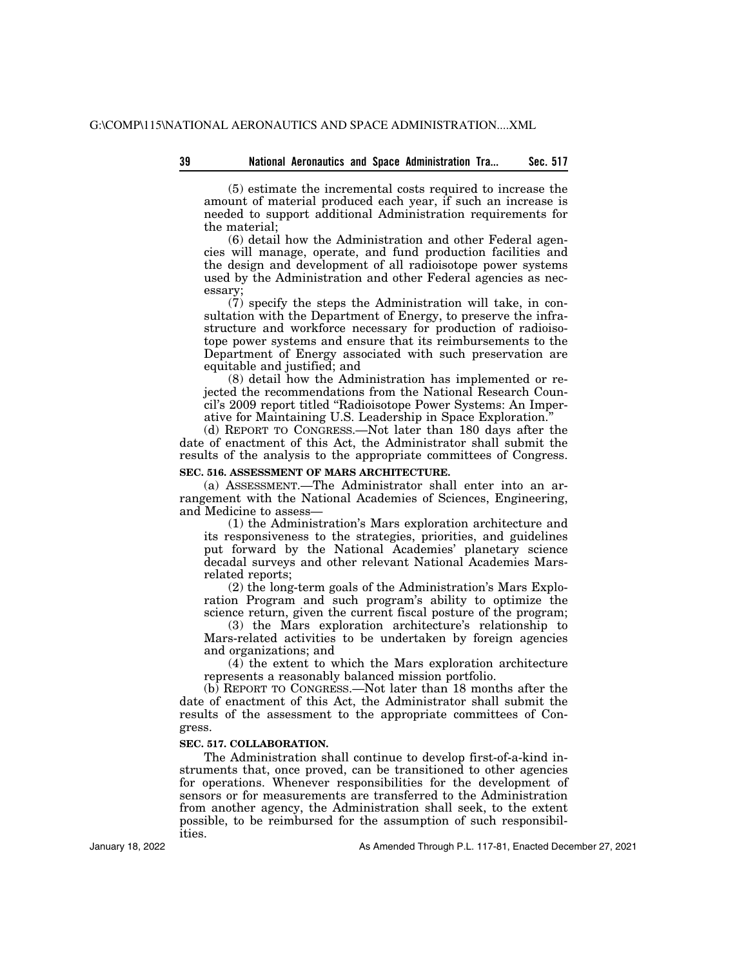(5) estimate the incremental costs required to increase the amount of material produced each year, if such an increase is needed to support additional Administration requirements for the material;

(6) detail how the Administration and other Federal agencies will manage, operate, and fund production facilities and the design and development of all radioisotope power systems used by the Administration and other Federal agencies as necessary;

(7) specify the steps the Administration will take, in consultation with the Department of Energy, to preserve the infrastructure and workforce necessary for production of radioisotope power systems and ensure that its reimbursements to the Department of Energy associated with such preservation are equitable and justified; and

(8) detail how the Administration has implemented or rejected the recommendations from the National Research Council's 2009 report titled ''Radioisotope Power Systems: An Imperative for Maintaining U.S. Leadership in Space Exploration.''

(d) REPORT TO CONGRESS.—Not later than 180 days after the date of enactment of this Act, the Administrator shall submit the results of the analysis to the appropriate committees of Congress.

## **SEC. 516. ASSESSMENT OF MARS ARCHITECTURE.**

(a) ASSESSMENT.—The Administrator shall enter into an arrangement with the National Academies of Sciences, Engineering, and Medicine to assess—

(1) the Administration's Mars exploration architecture and its responsiveness to the strategies, priorities, and guidelines put forward by the National Academies' planetary science decadal surveys and other relevant National Academies Marsrelated reports;

(2) the long-term goals of the Administration's Mars Exploration Program and such program's ability to optimize the science return, given the current fiscal posture of the program;

(3) the Mars exploration architecture's relationship to Mars-related activities to be undertaken by foreign agencies and organizations; and

(4) the extent to which the Mars exploration architecture represents a reasonably balanced mission portfolio.

(b) REPORT TO CONGRESS.—Not later than 18 months after the date of enactment of this Act, the Administrator shall submit the results of the assessment to the appropriate committees of Congress.

#### **SEC. 517. COLLABORATION.**

The Administration shall continue to develop first-of-a-kind instruments that, once proved, can be transitioned to other agencies for operations. Whenever responsibilities for the development of sensors or for measurements are transferred to the Administration from another agency, the Administration shall seek, to the extent possible, to be reimbursed for the assumption of such responsibilities.

January 18, 2022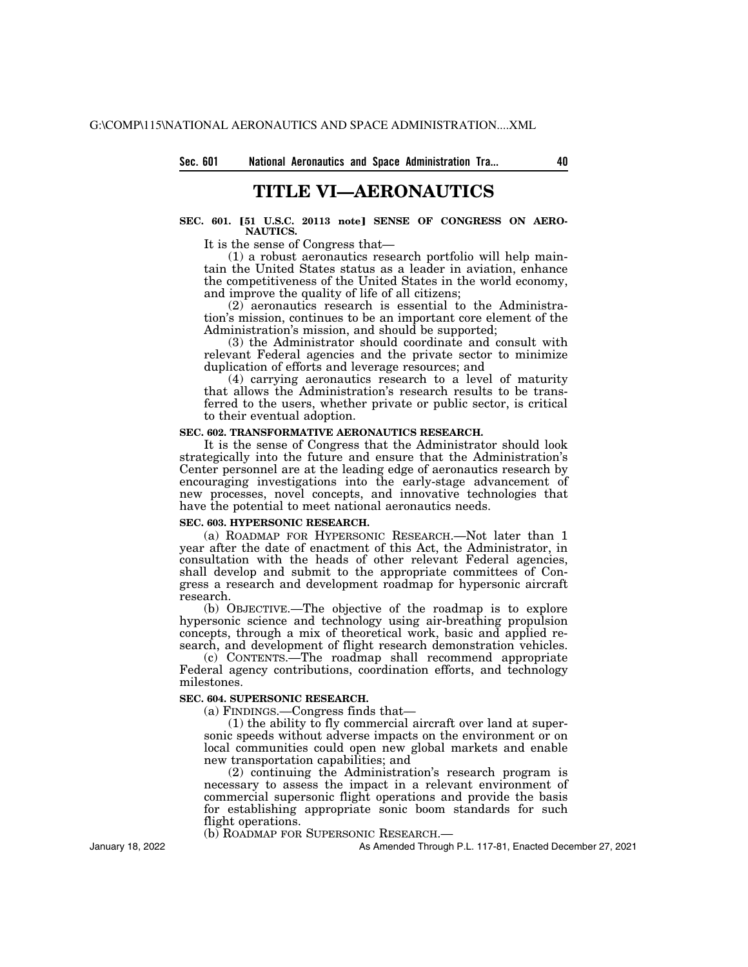# **TITLE VI—AERONAUTICS**

# SEC. 601. [51 U.S.C. 20113 note] SENSE OF CONGRESS ON AERO-**NAUTICS.**

It is the sense of Congress that—

(1) a robust aeronautics research portfolio will help maintain the United States status as a leader in aviation, enhance the competitiveness of the United States in the world economy, and improve the quality of life of all citizens;

(2) aeronautics research is essential to the Administration's mission, continues to be an important core element of the Administration's mission, and should be supported;

(3) the Administrator should coordinate and consult with relevant Federal agencies and the private sector to minimize duplication of efforts and leverage resources; and

(4) carrying aeronautics research to a level of maturity that allows the Administration's research results to be transferred to the users, whether private or public sector, is critical to their eventual adoption.

### **SEC. 602. TRANSFORMATIVE AERONAUTICS RESEARCH.**

It is the sense of Congress that the Administrator should look strategically into the future and ensure that the Administration's Center personnel are at the leading edge of aeronautics research by encouraging investigations into the early-stage advancement of new processes, novel concepts, and innovative technologies that have the potential to meet national aeronautics needs.

# **SEC. 603. HYPERSONIC RESEARCH.**

(a) ROADMAP FOR HYPERSONIC RESEARCH.—Not later than 1 year after the date of enactment of this Act, the Administrator, in consultation with the heads of other relevant Federal agencies, shall develop and submit to the appropriate committees of Congress a research and development roadmap for hypersonic aircraft research.

(b) OBJECTIVE.—The objective of the roadmap is to explore hypersonic science and technology using air-breathing propulsion concepts, through a mix of theoretical work, basic and applied research, and development of flight research demonstration vehicles.

(c) CONTENTS.—The roadmap shall recommend appropriate Federal agency contributions, coordination efforts, and technology milestones.

## **SEC. 604. SUPERSONIC RESEARCH.**

(a) FINDINGS.—Congress finds that—

(1) the ability to fly commercial aircraft over land at supersonic speeds without adverse impacts on the environment or on local communities could open new global markets and enable new transportation capabilities; and

(2) continuing the Administration's research program is necessary to assess the impact in a relevant environment of commercial supersonic flight operations and provide the basis for establishing appropriate sonic boom standards for such flight operations.

(b) ROADMAP FOR SUPERSONIC RESEARCH.—

As Amended Through P.L. 117-81, Enacted December 27, 2021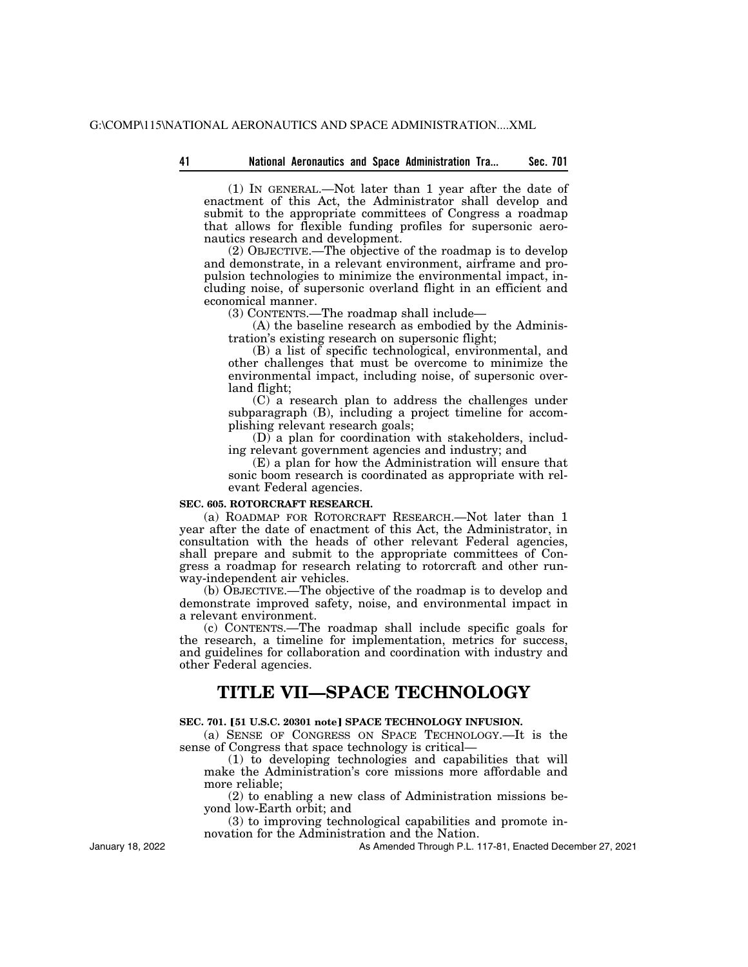(1) IN GENERAL.—Not later than 1 year after the date of enactment of this Act, the Administrator shall develop and submit to the appropriate committees of Congress a roadmap that allows for flexible funding profiles for supersonic aeronautics research and development.

(2) OBJECTIVE.—The objective of the roadmap is to develop and demonstrate, in a relevant environment, airframe and propulsion technologies to minimize the environmental impact, including noise, of supersonic overland flight in an efficient and economical manner.

(3) CONTENTS.—The roadmap shall include—

(A) the baseline research as embodied by the Administration's existing research on supersonic flight;

(B) a list of specific technological, environmental, and other challenges that must be overcome to minimize the environmental impact, including noise, of supersonic overland flight;

(C) a research plan to address the challenges under subparagraph (B), including a project timeline for accomplishing relevant research goals;

(D) a plan for coordination with stakeholders, including relevant government agencies and industry; and

(E) a plan for how the Administration will ensure that sonic boom research is coordinated as appropriate with relevant Federal agencies.

## **SEC. 605. ROTORCRAFT RESEARCH.**

(a) ROADMAP FOR ROTORCRAFT RESEARCH.—Not later than 1 year after the date of enactment of this Act, the Administrator, in consultation with the heads of other relevant Federal agencies, shall prepare and submit to the appropriate committees of Congress a roadmap for research relating to rotorcraft and other runway-independent air vehicles.

(b) OBJECTIVE.—The objective of the roadmap is to develop and demonstrate improved safety, noise, and environmental impact in a relevant environment.

(c) CONTENTS.—The roadmap shall include specific goals for the research, a timeline for implementation, metrics for success, and guidelines for collaboration and coordination with industry and other Federal agencies.

# **TITLE VII—SPACE TECHNOLOGY**

## **SEC. 701. [51 U.S.C. 20301 note] SPACE TECHNOLOGY INFUSION.**

(a) SENSE OF CONGRESS ON SPACE TECHNOLOGY.—It is the sense of Congress that space technology is critical—

(1) to developing technologies and capabilities that will make the Administration's core missions more affordable and more reliable;

(2) to enabling a new class of Administration missions beyond low-Earth orbit; and

(3) to improving technological capabilities and promote innovation for the Administration and the Nation.

As Amended Through P.L. 117-81, Enacted December 27, 2021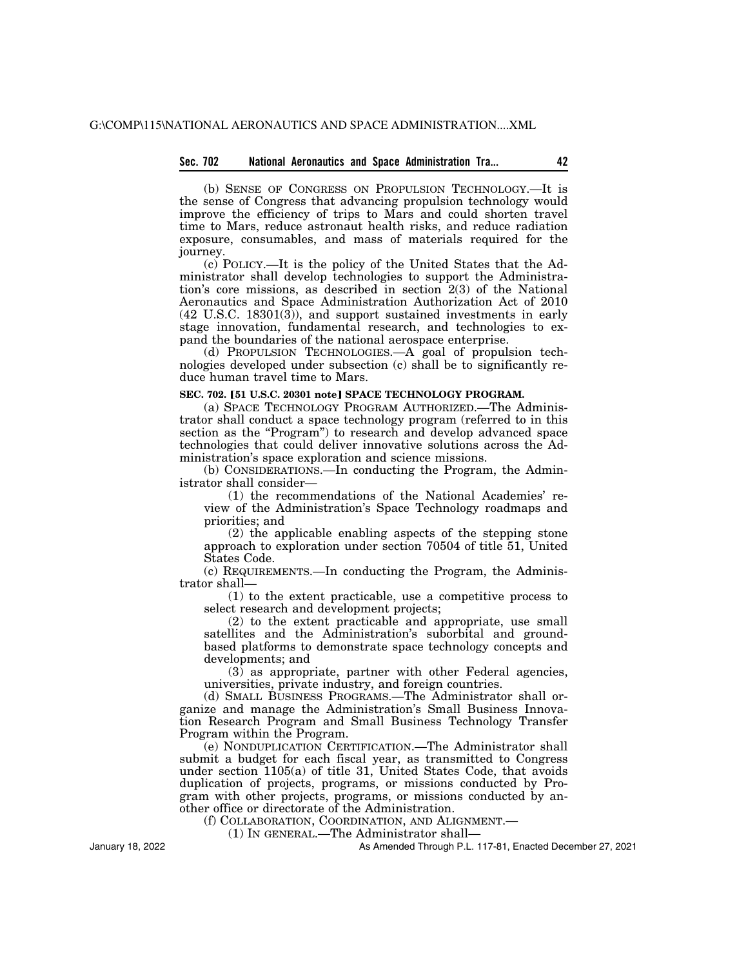# **Sec. 702 National Aeronautics and Space Administration Tra... 42**

(b) SENSE OF CONGRESS ON PROPULSION TECHNOLOGY.—It is the sense of Congress that advancing propulsion technology would improve the efficiency of trips to Mars and could shorten travel time to Mars, reduce astronaut health risks, and reduce radiation exposure, consumables, and mass of materials required for the journey.

(c) POLICY.—It is the policy of the United States that the Administrator shall develop technologies to support the Administration's core missions, as described in section 2(3) of the National Aeronautics and Space Administration Authorization Act of 2010  $(42 \text{ U.S.C. } 18301(3))$ , and support sustained investments in early stage innovation, fundamental research, and technologies to expand the boundaries of the national aerospace enterprise.

(d) PROPULSION TECHNOLOGIES.—A goal of propulsion technologies developed under subsection (c) shall be to significantly reduce human travel time to Mars.

#### **SEC. 702. [51 U.S.C. 20301 notel SPACE TECHNOLOGY PROGRAM.**

(a) SPACE TECHNOLOGY PROGRAM AUTHORIZED.—The Administrator shall conduct a space technology program (referred to in this section as the "Program") to research and develop advanced space technologies that could deliver innovative solutions across the Administration's space exploration and science missions.

(b) CONSIDERATIONS.—In conducting the Program, the Administrator shall consider—

(1) the recommendations of the National Academies' review of the Administration's Space Technology roadmaps and priorities; and

(2) the applicable enabling aspects of the stepping stone approach to exploration under section 70504 of title 51, United States Code.

(c) REQUIREMENTS.—In conducting the Program, the Administrator shall—

(1) to the extent practicable, use a competitive process to select research and development projects;

(2) to the extent practicable and appropriate, use small satellites and the Administration's suborbital and groundbased platforms to demonstrate space technology concepts and developments; and

(3) as appropriate, partner with other Federal agencies, universities, private industry, and foreign countries.

(d) SMALL BUSINESS PROGRAMS.—The Administrator shall organize and manage the Administration's Small Business Innovation Research Program and Small Business Technology Transfer Program within the Program.

(e) NONDUPLICATION CERTIFICATION.—The Administrator shall submit a budget for each fiscal year, as transmitted to Congress under section 1105(a) of title 31, United States Code, that avoids duplication of projects, programs, or missions conducted by Program with other projects, programs, or missions conducted by another office or directorate of the Administration.

(f) COLLABORATION, COORDINATION, AND ALIGNMENT.—

(1) IN GENERAL.—The Administrator shall—

As Amended Through P.L. 117-81, Enacted December 27, 2021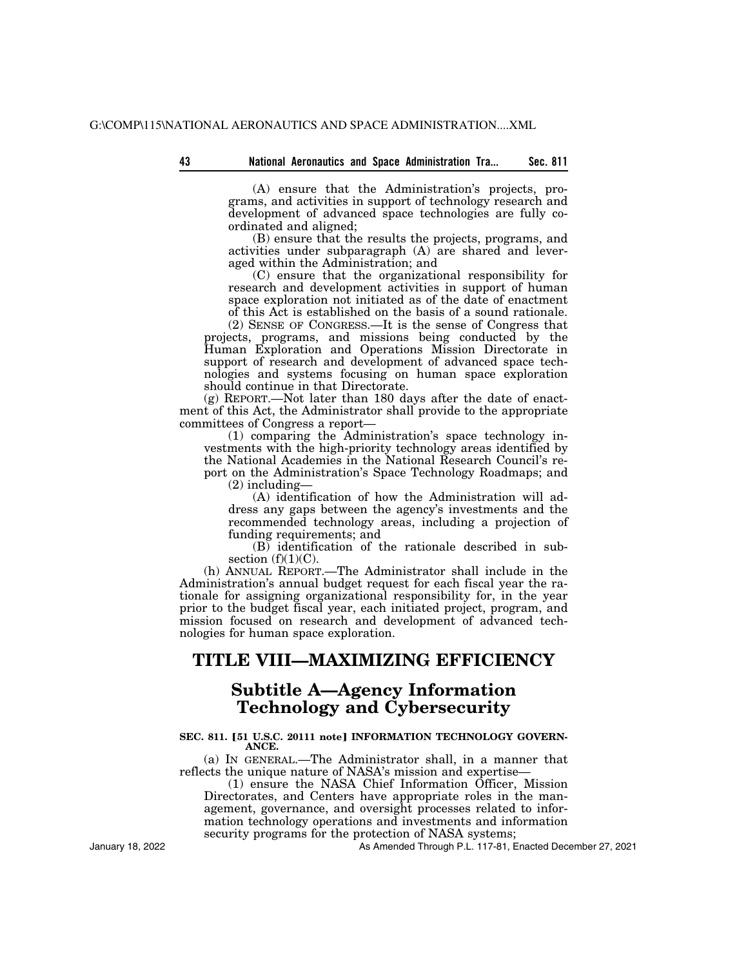(A) ensure that the Administration's projects, programs, and activities in support of technology research and development of advanced space technologies are fully coordinated and aligned;

(B) ensure that the results the projects, programs, and activities under subparagraph (A) are shared and leveraged within the Administration; and

(C) ensure that the organizational responsibility for research and development activities in support of human space exploration not initiated as of the date of enactment of this Act is established on the basis of a sound rationale.

(2) SENSE OF CONGRESS.—It is the sense of Congress that projects, programs, and missions being conducted by the Human Exploration and Operations Mission Directorate in support of research and development of advanced space technologies and systems focusing on human space exploration should continue in that Directorate.

(g) REPORT.—Not later than 180 days after the date of enactment of this Act, the Administrator shall provide to the appropriate committees of Congress a report—

(1) comparing the Administration's space technology investments with the high-priority technology areas identified by the National Academies in the National Research Council's report on the Administration's Space Technology Roadmaps; and (2) including—

(A) identification of how the Administration will address any gaps between the agency's investments and the recommended technology areas, including a projection of funding requirements; and

(B) identification of the rationale described in subsection  $(f)(1)(C)$ .

(h) ANNUAL REPORT.—The Administrator shall include in the Administration's annual budget request for each fiscal year the rationale for assigning organizational responsibility for, in the year prior to the budget fiscal year, each initiated project, program, and mission focused on research and development of advanced technologies for human space exploration.

# **TITLE VIII—MAXIMIZING EFFICIENCY**

# **Subtitle A—Agency Information Technology and Cybersecurity**

# SEC. 811. [51 U.S.C. 20111 note] INFORMATION TECHNOLOGY GOVERN-**ANCE.**

(a) IN GENERAL.—The Administrator shall, in a manner that reflects the unique nature of NASA's mission and expertise—

(1) ensure the NASA Chief Information Officer, Mission Directorates, and Centers have appropriate roles in the management, governance, and oversight processes related to information technology operations and investments and information security programs for the protection of NASA systems;

As Amended Through P.L. 117-81, Enacted December 27, 2021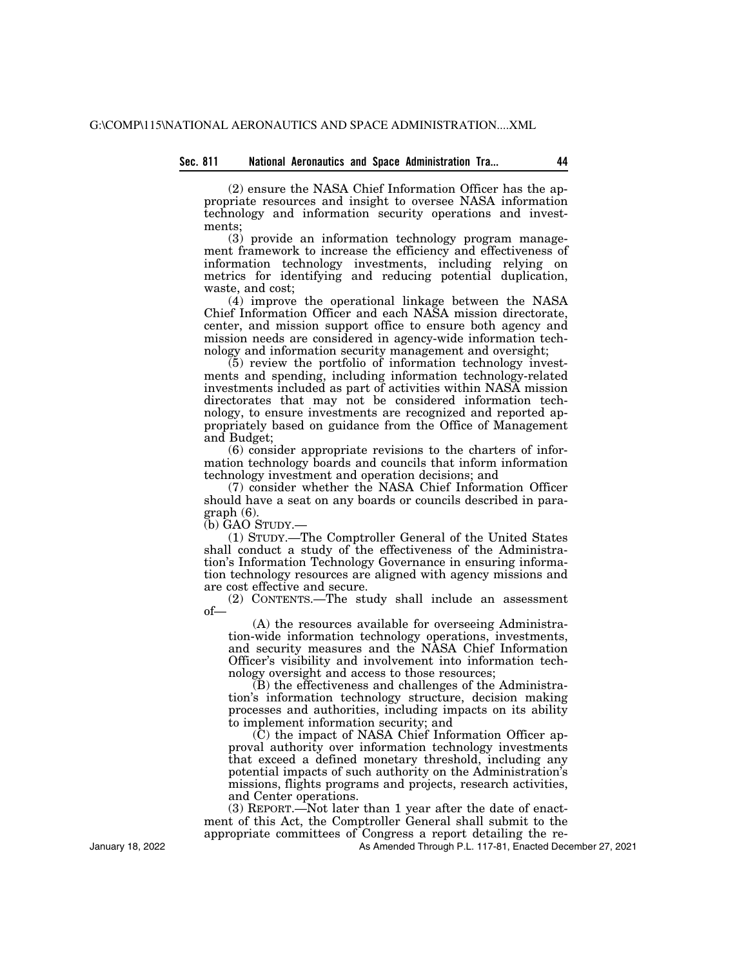## **Sec. 811 National Aeronautics and Space Administration Tra... 44**

(2) ensure the NASA Chief Information Officer has the appropriate resources and insight to oversee NASA information technology and information security operations and investments;

(3) provide an information technology program management framework to increase the efficiency and effectiveness of information technology investments, including relying on metrics for identifying and reducing potential duplication, waste, and cost;

(4) improve the operational linkage between the NASA Chief Information Officer and each NASA mission directorate, center, and mission support office to ensure both agency and mission needs are considered in agency-wide information technology and information security management and oversight;

(5) review the portfolio of information technology investments and spending, including information technology-related investments included as part of activities within NASA mission directorates that may not be considered information technology, to ensure investments are recognized and reported appropriately based on guidance from the Office of Management and Budget;

(6) consider appropriate revisions to the charters of information technology boards and councils that inform information technology investment and operation decisions; and

(7) consider whether the NASA Chief Information Officer should have a seat on any boards or councils described in paragraph (6).

(b) GAO STUDY.—

(1) STUDY.—The Comptroller General of the United States shall conduct a study of the effectiveness of the Administration's Information Technology Governance in ensuring information technology resources are aligned with agency missions and are cost effective and secure.

(2) CONTENTS.—The study shall include an assessment of—

(A) the resources available for overseeing Administration-wide information technology operations, investments, and security measures and the NASA Chief Information Officer's visibility and involvement into information technology oversight and access to those resources;

(B) the effectiveness and challenges of the Administration's information technology structure, decision making processes and authorities, including impacts on its ability to implement information security; and

(C) the impact of NASA Chief Information Officer approval authority over information technology investments that exceed a defined monetary threshold, including any potential impacts of such authority on the Administration's missions, flights programs and projects, research activities, and Center operations.

(3) REPORT.—Not later than 1 year after the date of enactment of this Act, the Comptroller General shall submit to the appropriate committees of Congress a report detailing the re-

As Amended Through P.L. 117-81, Enacted December 27, 2021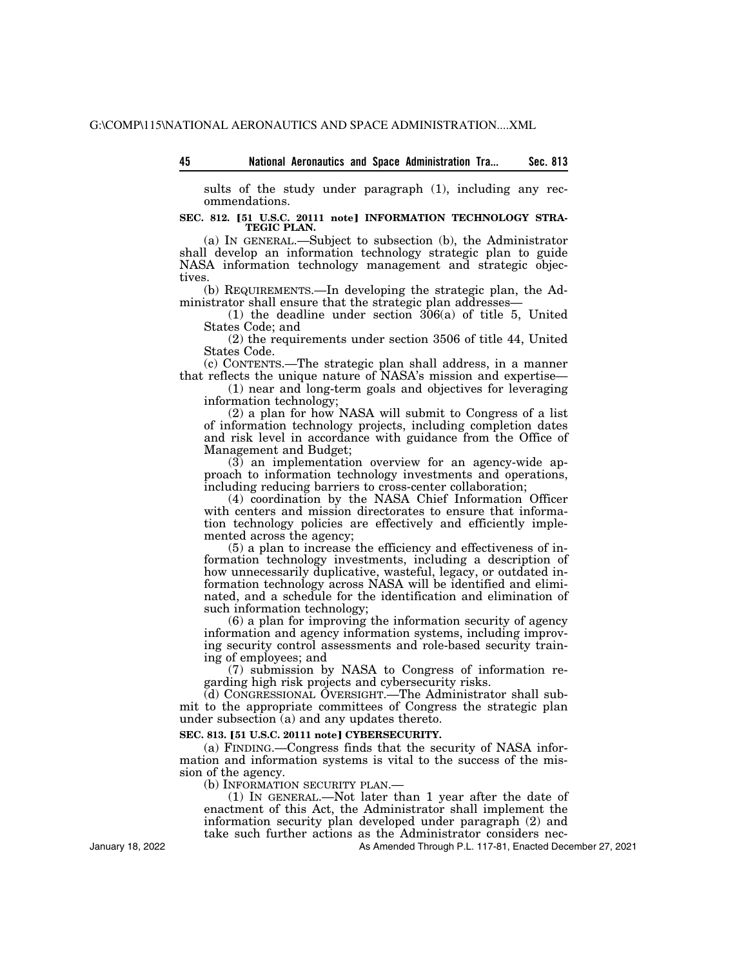| - 45 |  |  |  |  | National Aeronautics and Space Administration Tra |  | Sec. 813 |
|------|--|--|--|--|---------------------------------------------------|--|----------|
|------|--|--|--|--|---------------------------------------------------|--|----------|

sults of the study under paragraph (1), including any recommendations.

### SEC. 812. [51 U.S.C. 20111 note] INFORMATION TECHNOLOGY STRA-**TEGIC PLAN.**

(a) IN GENERAL.—Subject to subsection (b), the Administrator shall develop an information technology strategic plan to guide NASA information technology management and strategic objectives.

(b) REQUIREMENTS.—In developing the strategic plan, the Administrator shall ensure that the strategic plan addresses—

(1) the deadline under section  $306(a)$  of title 5, United States Code; and

(2) the requirements under section 3506 of title 44, United States Code.

(c) CONTENTS.—The strategic plan shall address, in a manner that reflects the unique nature of NASA's mission and expertise—

(1) near and long-term goals and objectives for leveraging information technology;

(2) a plan for how NASA will submit to Congress of a list of information technology projects, including completion dates and risk level in accordance with guidance from the Office of Management and Budget;

(3) an implementation overview for an agency-wide approach to information technology investments and operations, including reducing barriers to cross-center collaboration;

(4) coordination by the NASA Chief Information Officer with centers and mission directorates to ensure that information technology policies are effectively and efficiently implemented across the agency;

(5) a plan to increase the efficiency and effectiveness of information technology investments, including a description of how unnecessarily duplicative, wasteful, legacy, or outdated information technology across NASA will be identified and eliminated, and a schedule for the identification and elimination of such information technology;

(6) a plan for improving the information security of agency information and agency information systems, including improving security control assessments and role-based security training of employees; and

(7) submission by NASA to Congress of information regarding high risk projects and cybersecurity risks.

(d) CONGRESSIONAL OVERSIGHT.—The Administrator shall submit to the appropriate committees of Congress the strategic plan under subsection (a) and any updates thereto.

### **SEC. 813. [51 U.S.C. 20111 note] CYBERSECURITY.**

(a) FINDING.—Congress finds that the security of NASA information and information systems is vital to the success of the mission of the agency.

(b) INFORMATION SECURITY PLAN.—

(1) IN GENERAL.—Not later than 1 year after the date of enactment of this Act, the Administrator shall implement the information security plan developed under paragraph (2) and take such further actions as the Administrator considers nec-

As Amended Through P.L. 117-81, Enacted December 27, 2021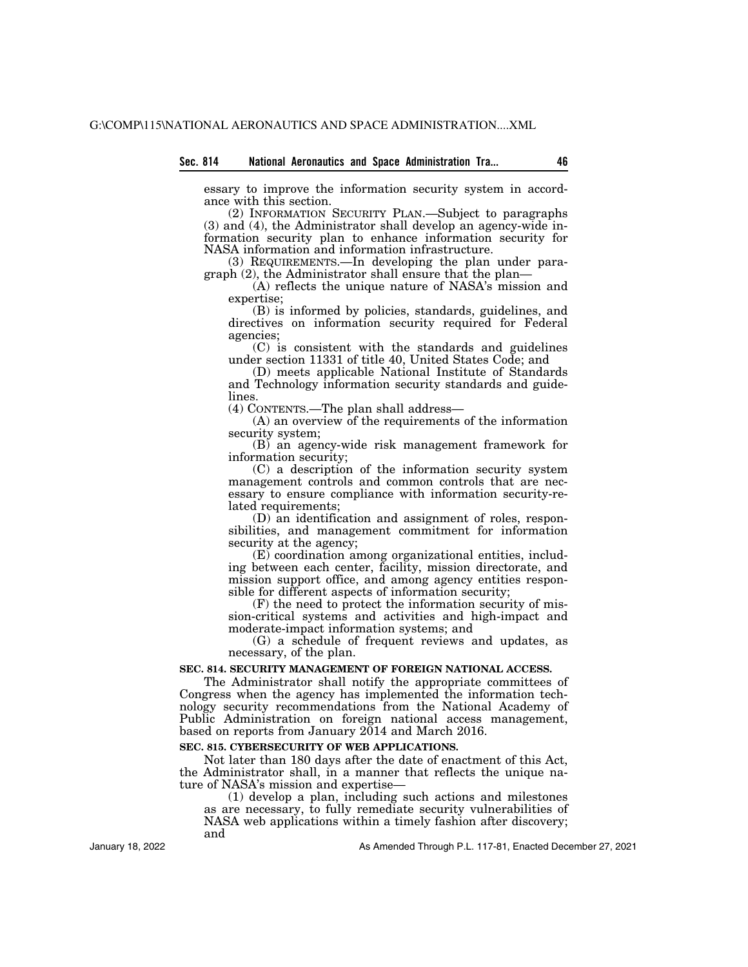essary to improve the information security system in accordance with this section.

(2) INFORMATION SECURITY PLAN.—Subject to paragraphs (3) and (4), the Administrator shall develop an agency-wide information security plan to enhance information security for NASA information and information infrastructure.

(3) REQUIREMENTS.—In developing the plan under paragraph (2), the Administrator shall ensure that the plan—

(A) reflects the unique nature of NASA's mission and expertise;

(B) is informed by policies, standards, guidelines, and directives on information security required for Federal agencies;

(C) is consistent with the standards and guidelines under section 11331 of title 40, United States Code; and

(D) meets applicable National Institute of Standards and Technology information security standards and guidelines.

(4) CONTENTS.—The plan shall address—

(A) an overview of the requirements of the information security system;

(B) an agency-wide risk management framework for information security;

(C) a description of the information security system management controls and common controls that are necessary to ensure compliance with information security-related requirements;

(D) an identification and assignment of roles, responsibilities, and management commitment for information security at the agency;

(E) coordination among organizational entities, including between each center, facility, mission directorate, and mission support office, and among agency entities responsible for different aspects of information security;

(F) the need to protect the information security of mission-critical systems and activities and high-impact and moderate-impact information systems; and

(G) a schedule of frequent reviews and updates, as necessary, of the plan.

#### **SEC. 814. SECURITY MANAGEMENT OF FOREIGN NATIONAL ACCESS.**

The Administrator shall notify the appropriate committees of Congress when the agency has implemented the information technology security recommendations from the National Academy of Public Administration on foreign national access management, based on reports from January 2014 and March 2016.

# **SEC. 815. CYBERSECURITY OF WEB APPLICATIONS.**

Not later than 180 days after the date of enactment of this Act, the Administrator shall, in a manner that reflects the unique nature of NASA's mission and expertise—

(1) develop a plan, including such actions and milestones as are necessary, to fully remediate security vulnerabilities of NASA web applications within a timely fashion after discovery; and

January 18, 2022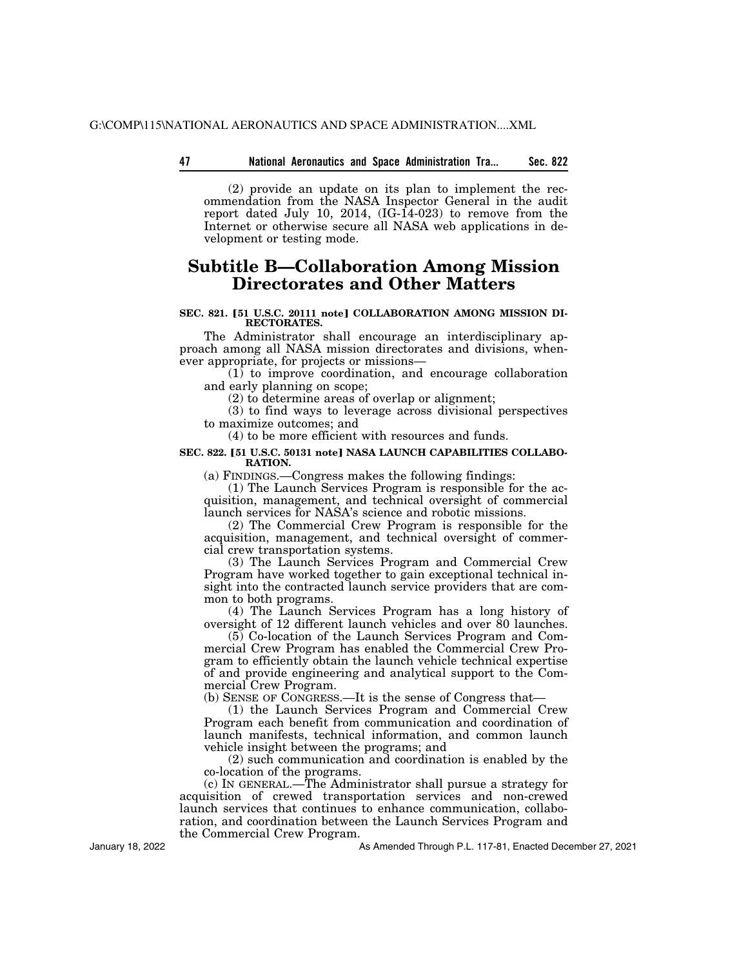# **47 Sec. 822 National Aeronautics and Space Administration Tra...**

(2) provide an update on its plan to implement the recommendation from the NASA Inspector General in the audit report dated July 10, 2014,  $(IG-14-023)$  to remove from the Internet or otherwise secure all NASA web applications in development or testing mode.

# **Subtitle B—Collaboration Among Mission Directorates and Other Matters**

### SEC. 821. [51 U.S.C. 20111 note] COLLABORATION AMONG MISSION DI-**RECTORATES.**

The Administrator shall encourage an interdisciplinary approach among all NASA mission directorates and divisions, whenever appropriate, for projects or missions—

(1) to improve coordination, and encourage collaboration and early planning on scope;

(2) to determine areas of overlap or alignment;

(3) to find ways to leverage across divisional perspectives to maximize outcomes; and

(4) to be more efficient with resources and funds.

### SEC. 822. **[51 U.S.C. 50131 notel NASA LAUNCH CAPABILITIES COLLABO-RATION.**

(a) FINDINGS.—Congress makes the following findings:

(1) The Launch Services Program is responsible for the acquisition, management, and technical oversight of commercial launch services for NASA's science and robotic missions.

(2) The Commercial Crew Program is responsible for the acquisition, management, and technical oversight of commercial crew transportation systems.

(3) The Launch Services Program and Commercial Crew Program have worked together to gain exceptional technical insight into the contracted launch service providers that are common to both programs.

(4) The Launch Services Program has a long history of oversight of 12 different launch vehicles and over 80 launches.

(5) Co-location of the Launch Services Program and Commercial Crew Program has enabled the Commercial Crew Program to efficiently obtain the launch vehicle technical expertise of and provide engineering and analytical support to the Commercial Crew Program.

(b) SENSE OF CONGRESS.—It is the sense of Congress that—

(1) the Launch Services Program and Commercial Crew Program each benefit from communication and coordination of launch manifests, technical information, and common launch vehicle insight between the programs; and

(2) such communication and coordination is enabled by the co-location of the programs.

(c) IN GENERAL.—The Administrator shall pursue a strategy for acquisition of crewed transportation services and non-crewed launch services that continues to enhance communication, collaboration, and coordination between the Launch Services Program and the Commercial Crew Program.

January 18, 2022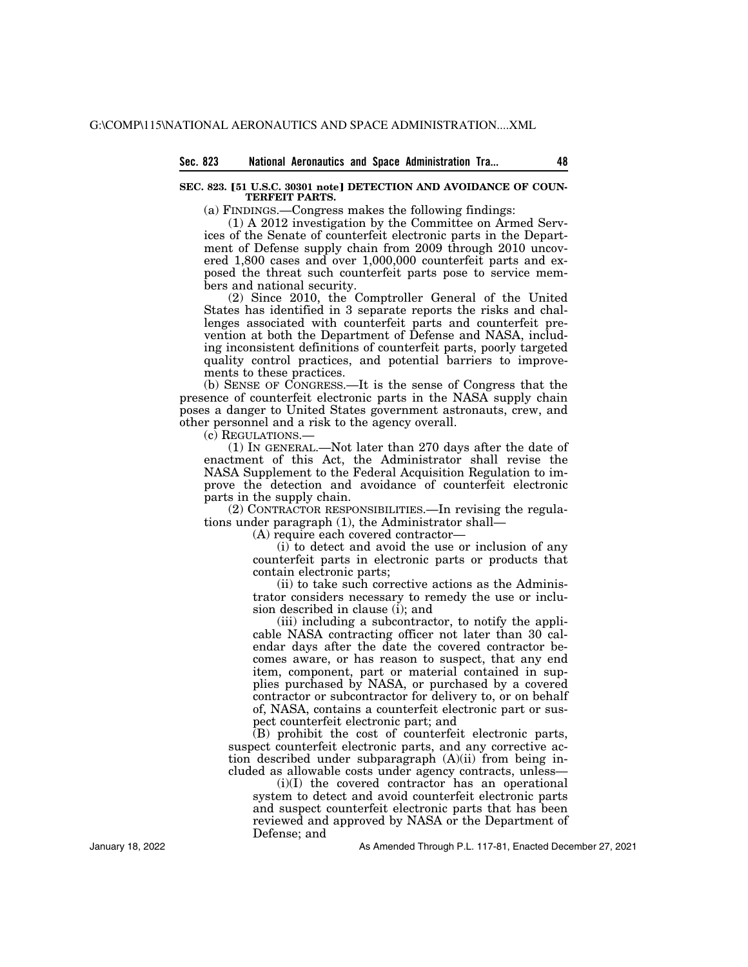## SEC. 823. [51 U.S.C. 30301 note] DETECTION AND AVOIDANCE OF COUN-**TERFEIT PARTS.**

(a) FINDINGS.—Congress makes the following findings:

(1) A 2012 investigation by the Committee on Armed Services of the Senate of counterfeit electronic parts in the Department of Defense supply chain from 2009 through 2010 uncovered 1,800 cases and over 1,000,000 counterfeit parts and exposed the threat such counterfeit parts pose to service members and national security.

(2) Since 2010, the Comptroller General of the United States has identified in 3 separate reports the risks and challenges associated with counterfeit parts and counterfeit prevention at both the Department of Defense and NASA, including inconsistent definitions of counterfeit parts, poorly targeted quality control practices, and potential barriers to improvements to these practices.

(b) SENSE OF CONGRESS.—It is the sense of Congress that the presence of counterfeit electronic parts in the NASA supply chain poses a danger to United States government astronauts, crew, and other personnel and a risk to the agency overall.

(c) REGULATIONS.—

(1) IN GENERAL.—Not later than 270 days after the date of enactment of this Act, the Administrator shall revise the NASA Supplement to the Federal Acquisition Regulation to improve the detection and avoidance of counterfeit electronic parts in the supply chain.

(2) CONTRACTOR RESPONSIBILITIES.—In revising the regulations under paragraph (1), the Administrator shall—

(A) require each covered contractor—

(i) to detect and avoid the use or inclusion of any counterfeit parts in electronic parts or products that contain electronic parts;

(ii) to take such corrective actions as the Administrator considers necessary to remedy the use or inclusion described in clause (i); and

(iii) including a subcontractor, to notify the applicable NASA contracting officer not later than 30 calendar days after the date the covered contractor becomes aware, or has reason to suspect, that any end item, component, part or material contained in supplies purchased by NASA, or purchased by a covered contractor or subcontractor for delivery to, or on behalf of, NASA, contains a counterfeit electronic part or suspect counterfeit electronic part; and

(B) prohibit the cost of counterfeit electronic parts, suspect counterfeit electronic parts, and any corrective action described under subparagraph (A)(ii) from being included as allowable costs under agency contracts, unless—

(i)(I) the covered contractor has an operational system to detect and avoid counterfeit electronic parts and suspect counterfeit electronic parts that has been reviewed and approved by NASA or the Department of Defense; and

As Amended Through P.L. 117-81, Enacted December 27, 2021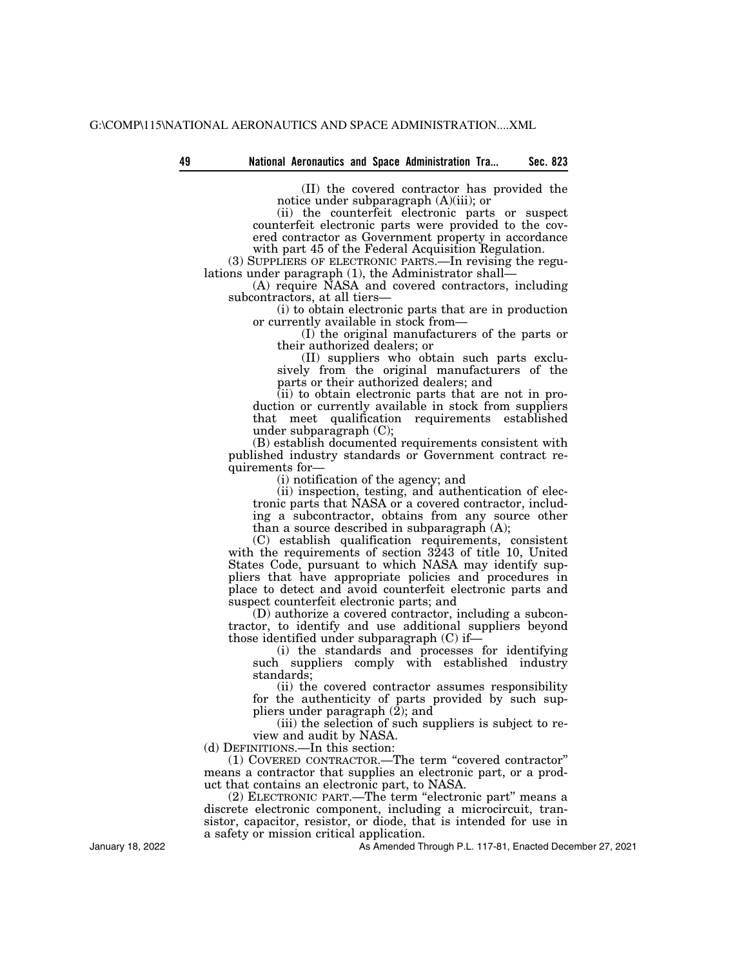(II) the covered contractor has provided the notice under subparagraph (A)(iii); or

(ii) the counterfeit electronic parts or suspect counterfeit electronic parts were provided to the covered contractor as Government property in accordance with part 45 of the Federal Acquisition Regulation.

(3) SUPPLIERS OF ELECTRONIC PARTS.—In revising the regulations under paragraph (1), the Administrator shall—

(A) require NASA and covered contractors, including subcontractors, at all tiers-

(i) to obtain electronic parts that are in production or currently available in stock from—

(I) the original manufacturers of the parts or their authorized dealers; or

(II) suppliers who obtain such parts exclusively from the original manufacturers of the parts or their authorized dealers; and

(ii) to obtain electronic parts that are not in production or currently available in stock from suppliers that meet qualification requirements established under subparagraph (C);

(B) establish documented requirements consistent with published industry standards or Government contract requirements for—

(i) notification of the agency; and

(ii) inspection, testing, and authentication of electronic parts that NASA or a covered contractor, including a subcontractor, obtains from any source other than a source described in subparagraph (A);

(C) establish qualification requirements, consistent with the requirements of section 3243 of title 10, United States Code, pursuant to which NASA may identify suppliers that have appropriate policies and procedures in place to detect and avoid counterfeit electronic parts and suspect counterfeit electronic parts; and

(D) authorize a covered contractor, including a subcontractor, to identify and use additional suppliers beyond those identified under subparagraph (C) if—

(i) the standards and processes for identifying such suppliers comply with established industry standards;

(ii) the covered contractor assumes responsibility for the authenticity of parts provided by such suppliers under paragraph  $(\overline{2})$ ; and

(iii) the selection of such suppliers is subject to review and audit by NASA.

(d) DEFINITIONS.—In this section:

(1) COVERED CONTRACTOR.—The term ''covered contractor'' means a contractor that supplies an electronic part, or a product that contains an electronic part, to NASA.

(2) ELECTRONIC PART.—The term "electronic part" means a discrete electronic component, including a microcircuit, transistor, capacitor, resistor, or diode, that is intended for use in a safety or mission critical application.

As Amended Through P.L. 117-81, Enacted December 27, 2021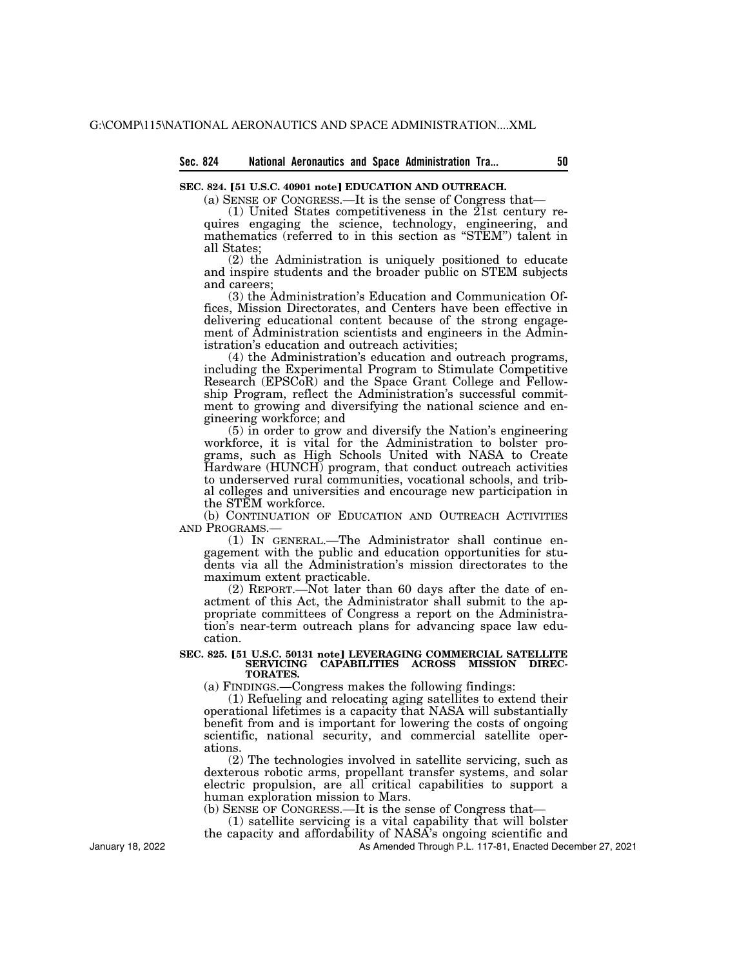# **Sec. 824 National Aeronautics and Space Administration Tra... 50**

# SEC. 824. [51 U.S.C. 40901 note] EDUCATION AND OUTREACH.

(a) SENSE OF CONGRESS.—It is the sense of Congress that—

(1) United States competitiveness in the 21st century requires engaging the science, technology, engineering, and mathematics (referred to in this section as ''STEM'') talent in all States;

(2) the Administration is uniquely positioned to educate and inspire students and the broader public on STEM subjects and careers;

(3) the Administration's Education and Communication Offices, Mission Directorates, and Centers have been effective in delivering educational content because of the strong engagement of Administration scientists and engineers in the Administration's education and outreach activities;

(4) the Administration's education and outreach programs, including the Experimental Program to Stimulate Competitive Research (EPSCoR) and the Space Grant College and Fellowship Program, reflect the Administration's successful commitment to growing and diversifying the national science and engineering workforce; and

(5) in order to grow and diversify the Nation's engineering workforce, it is vital for the Administration to bolster programs, such as High Schools United with NASA to Create Hardware (HUNCH) program, that conduct outreach activities to underserved rural communities, vocational schools, and tribal colleges and universities and encourage new participation in the STEM workforce.

(b) CONTINUATION OF EDUCATION AND OUTREACH ACTIVITIES AND PROGRAMS.—

(1) IN GENERAL.—The Administrator shall continue engagement with the public and education opportunities for students via all the Administration's mission directorates to the maximum extent practicable.

(2) REPORT.—Not later than 60 days after the date of enactment of this Act, the Administrator shall submit to the appropriate committees of Congress a report on the Administration's near-term outreach plans for advancing space law education.

#### SEC. 825. [51 U.S.C. 50131 note] LEVERAGING COMMERCIAL SATELLITE **SERVICING CAPABILITIES ACROSS MISSION DIREC-TORATES.**

(a) FINDINGS.—Congress makes the following findings:

(1) Refueling and relocating aging satellites to extend their operational lifetimes is a capacity that NASA will substantially benefit from and is important for lowering the costs of ongoing scientific, national security, and commercial satellite operations.

(2) The technologies involved in satellite servicing, such as dexterous robotic arms, propellant transfer systems, and solar electric propulsion, are all critical capabilities to support a human exploration mission to Mars.

(b) SENSE OF CONGRESS.—It is the sense of Congress that—

(1) satellite servicing is a vital capability that will bolster

the capacity and affordability of NASA's ongoing scientific and As Amended Through P.L. 117-81, Enacted December 27, 2021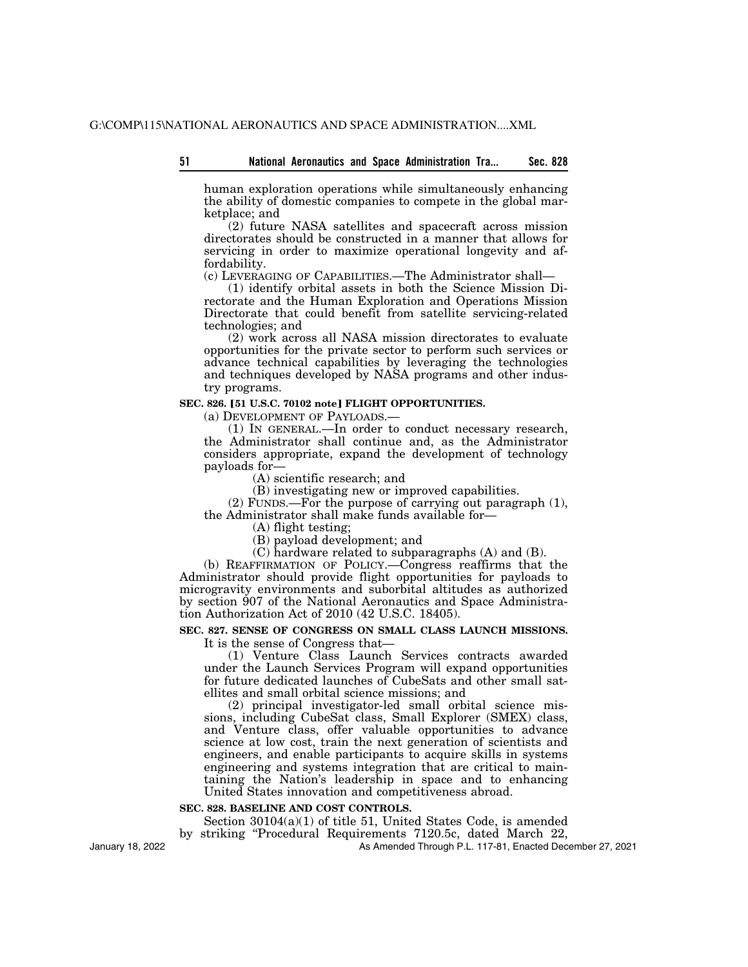human exploration operations while simultaneously enhancing the ability of domestic companies to compete in the global marketplace; and

(2) future NASA satellites and spacecraft across mission directorates should be constructed in a manner that allows for servicing in order to maximize operational longevity and affordability.

(c) LEVERAGING OF CAPABILITIES.—The Administrator shall—

(1) identify orbital assets in both the Science Mission Directorate and the Human Exploration and Operations Mission Directorate that could benefit from satellite servicing-related technologies; and

(2) work across all NASA mission directorates to evaluate opportunities for the private sector to perform such services or advance technical capabilities by leveraging the technologies and techniques developed by NASA programs and other industry programs.

# **SEC. 826. [51 U.S.C. 70102 note] FLIGHT OPPORTUNITIES.**

(a) DEVELOPMENT OF PAYLOADS.—

(1) IN GENERAL.—In order to conduct necessary research, the Administrator shall continue and, as the Administrator considers appropriate, expand the development of technology payloads for—

(A) scientific research; and

(B) investigating new or improved capabilities.

(2) FUNDS.—For the purpose of carrying out paragraph (1), the Administrator shall make funds available for—

(A) flight testing;

(B) payload development; and

(C) hardware related to subparagraphs (A) and (B).

(b) REAFFIRMATION OF POLICY.—Congress reaffirms that the Administrator should provide flight opportunities for payloads to microgravity environments and suborbital altitudes as authorized by section 907 of the National Aeronautics and Space Administration Authorization Act of 2010 (42 U.S.C. 18405).

# **SEC. 827. SENSE OF CONGRESS ON SMALL CLASS LAUNCH MISSIONS.**  It is the sense of Congress that—

(1) Venture Class Launch Services contracts awarded under the Launch Services Program will expand opportunities for future dedicated launches of CubeSats and other small satellites and small orbital science missions; and

(2) principal investigator-led small orbital science missions, including CubeSat class, Small Explorer (SMEX) class, and Venture class, offer valuable opportunities to advance science at low cost, train the next generation of scientists and engineers, and enable participants to acquire skills in systems engineering and systems integration that are critical to maintaining the Nation's leadership in space and to enhancing United States innovation and competitiveness abroad.

# **SEC. 828. BASELINE AND COST CONTROLS.**

Section 30104(a)(1) of title 51, United States Code, is amended

by striking ''Procedural Requirements 7120.5c, dated March 22,

As Amended Through P.L. 117-81, Enacted December 27, 2021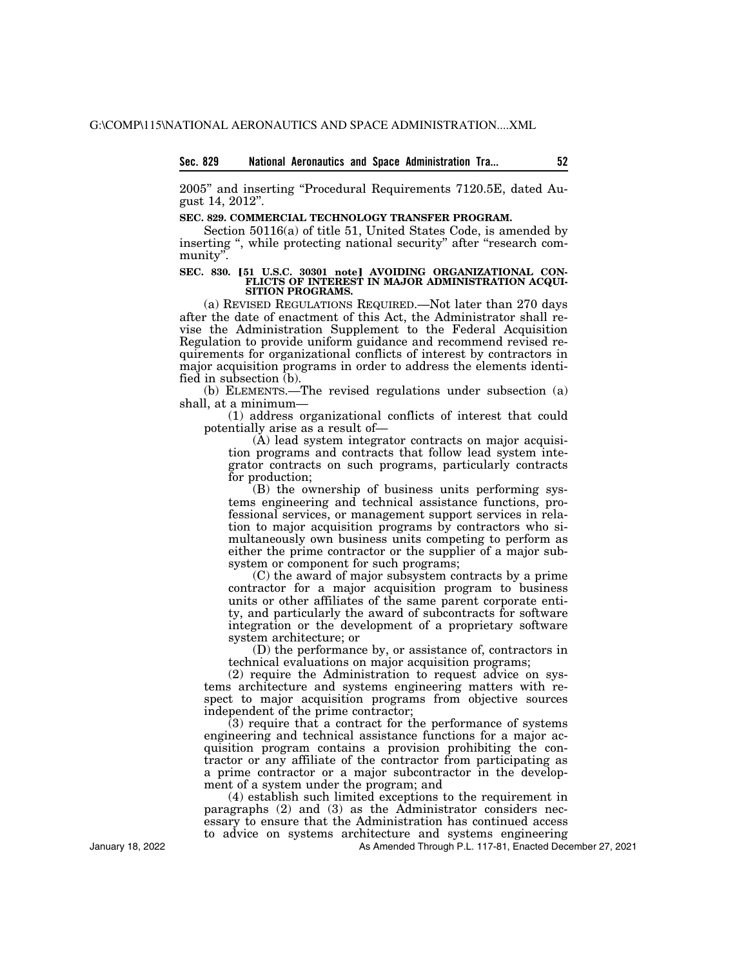## **Sec. 829 National Aeronautics and Space Administration Tra... 52**

2005'' and inserting ''Procedural Requirements 7120.5E, dated August 14, 2012''.

#### **SEC. 829. COMMERCIAL TECHNOLOGY TRANSFER PROGRAM.**

Section 50116(a) of title 51, United States Code, is amended by inserting ", while protecting national security" after "research community''.

#### SEC. 830. [51 U.S.C. 30301 note] AVOIDING ORGANIZATIONAL CON-**FLICTS OF INTEREST IN MAJOR ADMINISTRATION ACQUI-SITION PROGRAMS.**

(a) REVISED REGULATIONS REQUIRED.—Not later than 270 days after the date of enactment of this Act, the Administrator shall revise the Administration Supplement to the Federal Acquisition Regulation to provide uniform guidance and recommend revised requirements for organizational conflicts of interest by contractors in major acquisition programs in order to address the elements identified in subsection (b).

(b) ELEMENTS.—The revised regulations under subsection (a) shall, at a minimum—

(1) address organizational conflicts of interest that could potentially arise as a result of—

(A) lead system integrator contracts on major acquisition programs and contracts that follow lead system integrator contracts on such programs, particularly contracts for production;

(B) the ownership of business units performing systems engineering and technical assistance functions, professional services, or management support services in relation to major acquisition programs by contractors who simultaneously own business units competing to perform as either the prime contractor or the supplier of a major subsystem or component for such programs;

(C) the award of major subsystem contracts by a prime contractor for a major acquisition program to business units or other affiliates of the same parent corporate entity, and particularly the award of subcontracts for software integration or the development of a proprietary software system architecture; or

(D) the performance by, or assistance of, contractors in technical evaluations on major acquisition programs;

(2) require the Administration to request advice on systems architecture and systems engineering matters with respect to major acquisition programs from objective sources independent of the prime contractor;

(3) require that a contract for the performance of systems engineering and technical assistance functions for a major acquisition program contains a provision prohibiting the contractor or any affiliate of the contractor from participating as a prime contractor or a major subcontractor in the development of a system under the program; and

(4) establish such limited exceptions to the requirement in paragraphs (2) and (3) as the Administrator considers necessary to ensure that the Administration has continued access to advice on systems architecture and systems engineering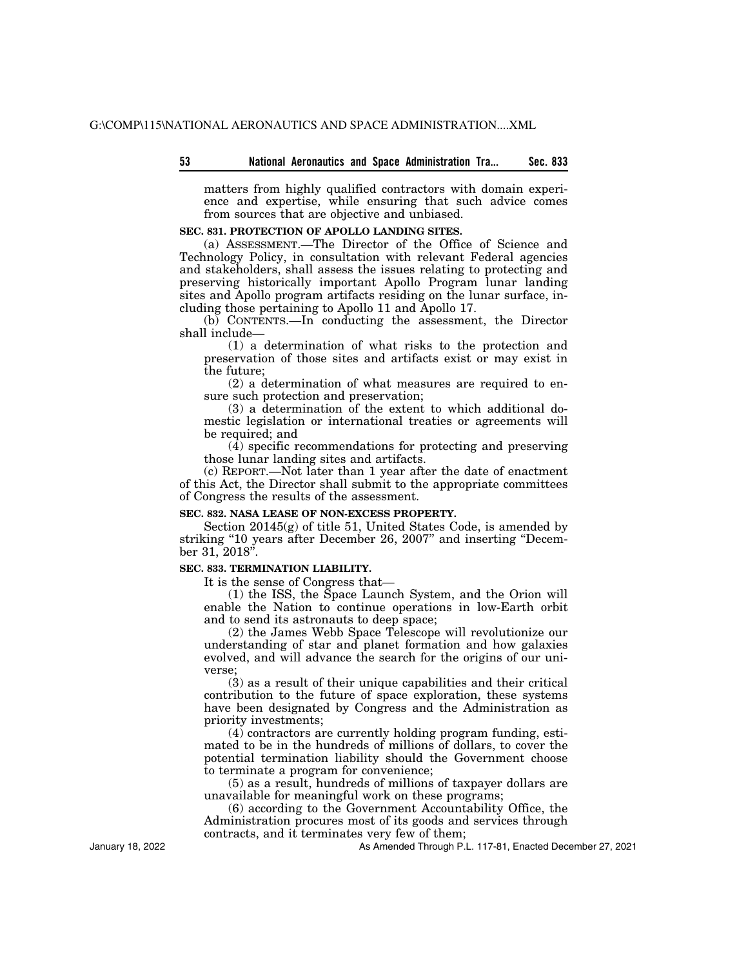| - 53 |  |  |  |  | National Aeronautics and Space Administration Tra |  | Sec. 833 |
|------|--|--|--|--|---------------------------------------------------|--|----------|
|------|--|--|--|--|---------------------------------------------------|--|----------|

matters from highly qualified contractors with domain experience and expertise, while ensuring that such advice comes from sources that are objective and unbiased.

# **SEC. 831. PROTECTION OF APOLLO LANDING SITES.**

(a) ASSESSMENT.—The Director of the Office of Science and Technology Policy, in consultation with relevant Federal agencies and stakeholders, shall assess the issues relating to protecting and preserving historically important Apollo Program lunar landing sites and Apollo program artifacts residing on the lunar surface, including those pertaining to Apollo 11 and Apollo 17.

(b) CONTENTS.—In conducting the assessment, the Director shall include—

(1) a determination of what risks to the protection and preservation of those sites and artifacts exist or may exist in the future;

(2) a determination of what measures are required to ensure such protection and preservation;

(3) a determination of the extent to which additional domestic legislation or international treaties or agreements will be required; and

 $(\overline{4})$  specific recommendations for protecting and preserving those lunar landing sites and artifacts.

(c) REPORT.—Not later than 1 year after the date of enactment of this Act, the Director shall submit to the appropriate committees of Congress the results of the assessment.

## **SEC. 832. NASA LEASE OF NON-EXCESS PROPERTY.**

Section 20145(g) of title 51, United States Code, is amended by striking "10 years after December 26, 2007" and inserting "December 31, 2018".

## **SEC. 833. TERMINATION LIABILITY.**

It is the sense of Congress that—

(1) the ISS, the Space Launch System, and the Orion will enable the Nation to continue operations in low-Earth orbit and to send its astronauts to deep space;

(2) the James Webb Space Telescope will revolutionize our understanding of star and planet formation and how galaxies evolved, and will advance the search for the origins of our universe;

(3) as a result of their unique capabilities and their critical contribution to the future of space exploration, these systems have been designated by Congress and the Administration as priority investments;

(4) contractors are currently holding program funding, estimated to be in the hundreds of millions of dollars, to cover the potential termination liability should the Government choose to terminate a program for convenience;

(5) as a result, hundreds of millions of taxpayer dollars are unavailable for meaningful work on these programs;

(6) according to the Government Accountability Office, the Administration procures most of its goods and services through contracts, and it terminates very few of them;

As Amended Through P.L. 117-81, Enacted December 27, 2021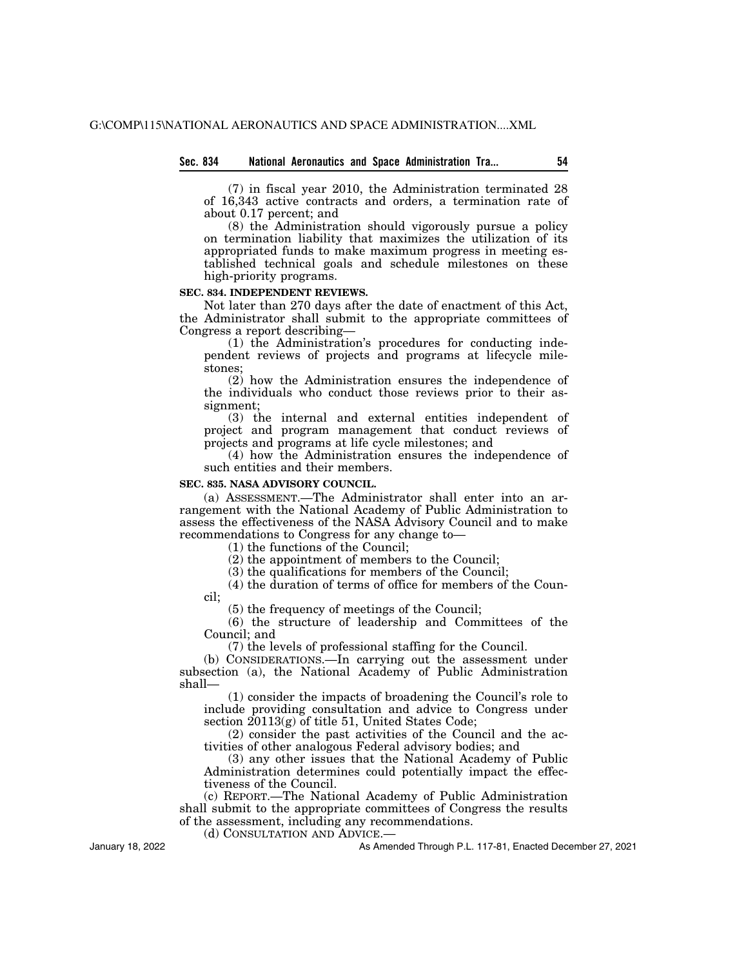# **Sec. 834 National Aeronautics and Space Administration Tra... 54**

(7) in fiscal year 2010, the Administration terminated 28 of 16,343 active contracts and orders, a termination rate of about 0.17 percent; and

(8) the Administration should vigorously pursue a policy on termination liability that maximizes the utilization of its appropriated funds to make maximum progress in meeting established technical goals and schedule milestones on these high-priority programs.

#### **SEC. 834. INDEPENDENT REVIEWS.**

Not later than 270 days after the date of enactment of this Act, the Administrator shall submit to the appropriate committees of Congress a report describing—

(1) the Administration's procedures for conducting independent reviews of projects and programs at lifecycle milestones;

(2) how the Administration ensures the independence of the individuals who conduct those reviews prior to their assignment;

(3) the internal and external entities independent of project and program management that conduct reviews of projects and programs at life cycle milestones; and

(4) how the Administration ensures the independence of such entities and their members.

# **SEC. 835. NASA ADVISORY COUNCIL.**

(a) ASSESSMENT.—The Administrator shall enter into an arrangement with the National Academy of Public Administration to assess the effectiveness of the NASA Advisory Council and to make recommendations to Congress for any change to—

(1) the functions of the Council;

(2) the appointment of members to the Council;

(3) the qualifications for members of the Council;

(4) the duration of terms of office for members of the Council;

(5) the frequency of meetings of the Council;

(6) the structure of leadership and Committees of the Council; and

(7) the levels of professional staffing for the Council.

(b) CONSIDERATIONS.—In carrying out the assessment under subsection (a), the National Academy of Public Administration shall—

(1) consider the impacts of broadening the Council's role to include providing consultation and advice to Congress under section 20113(g) of title 51, United States Code;

(2) consider the past activities of the Council and the activities of other analogous Federal advisory bodies; and

(3) any other issues that the National Academy of Public Administration determines could potentially impact the effectiveness of the Council.

(c) REPORT.—The National Academy of Public Administration shall submit to the appropriate committees of Congress the results of the assessment, including any recommendations.

(d) CONSULTATION AND ADVICE.—

As Amended Through P.L. 117-81, Enacted December 27, 2021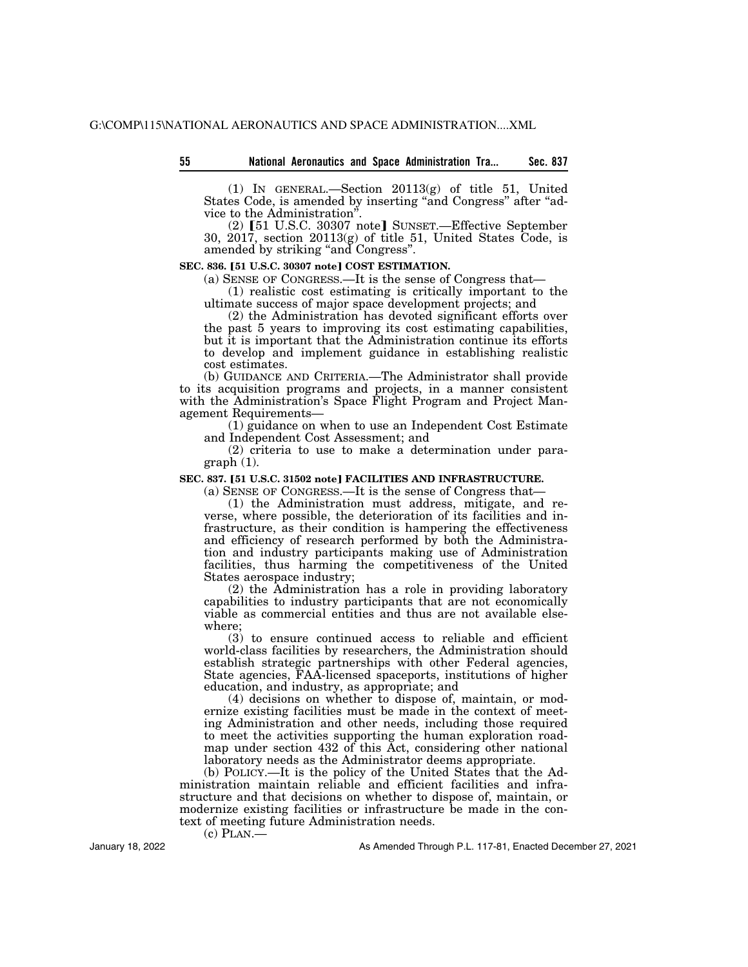| 55 |  | <b>National Aeronautics and Space Administration Tra</b> | Sec. 837 |
|----|--|----------------------------------------------------------|----------|
|    |  |                                                          |          |
|    |  |                                                          |          |

(1) IN GENERAL.—Section 20113(g) of title 51, United States Code, is amended by inserting "and Congress" after "advice to the Administration''.

(2) [51 U.S.C. 30307 note] SUNSET.—Effective September 30, 2017, section 20113(g) of title 51, United States Code, is amended by striking ''and Congress''.

### **SEC. 836. [51 U.S.C. 30307 note] COST ESTIMATION.**

(a) SENSE OF CONGRESS.—It is the sense of Congress that—

(1) realistic cost estimating is critically important to the ultimate success of major space development projects; and

(2) the Administration has devoted significant efforts over the past 5 years to improving its cost estimating capabilities, but it is important that the Administration continue its efforts to develop and implement guidance in establishing realistic cost estimates.

(b) GUIDANCE AND CRITERIA.—The Administrator shall provide to its acquisition programs and projects, in a manner consistent with the Administration's Space Flight Program and Project Management Requirements—

(1) guidance on when to use an Independent Cost Estimate and Independent Cost Assessment; and

(2) criteria to use to make a determination under paragraph (1).

#### **SEC. 837. [51 U.S.C. 31502 note] FACILITIES AND INFRASTRUCTURE.**

(a) SENSE OF CONGRESS.—It is the sense of Congress that—

(1) the Administration must address, mitigate, and reverse, where possible, the deterioration of its facilities and infrastructure, as their condition is hampering the effectiveness and efficiency of research performed by both the Administration and industry participants making use of Administration facilities, thus harming the competitiveness of the United States aerospace industry;

(2) the Administration has a role in providing laboratory capabilities to industry participants that are not economically viable as commercial entities and thus are not available elsewhere;

(3) to ensure continued access to reliable and efficient world-class facilities by researchers, the Administration should establish strategic partnerships with other Federal agencies, State agencies, FAA-licensed spaceports, institutions of higher education, and industry, as appropriate; and

(4) decisions on whether to dispose of, maintain, or modernize existing facilities must be made in the context of meeting Administration and other needs, including those required to meet the activities supporting the human exploration roadmap under section 432 of this Act, considering other national laboratory needs as the Administrator deems appropriate.

(b) POLICY.—It is the policy of the United States that the Administration maintain reliable and efficient facilities and infrastructure and that decisions on whether to dispose of, maintain, or modernize existing facilities or infrastructure be made in the context of meeting future Administration needs.

 $(c)$  PLAN.—

January 18, 2022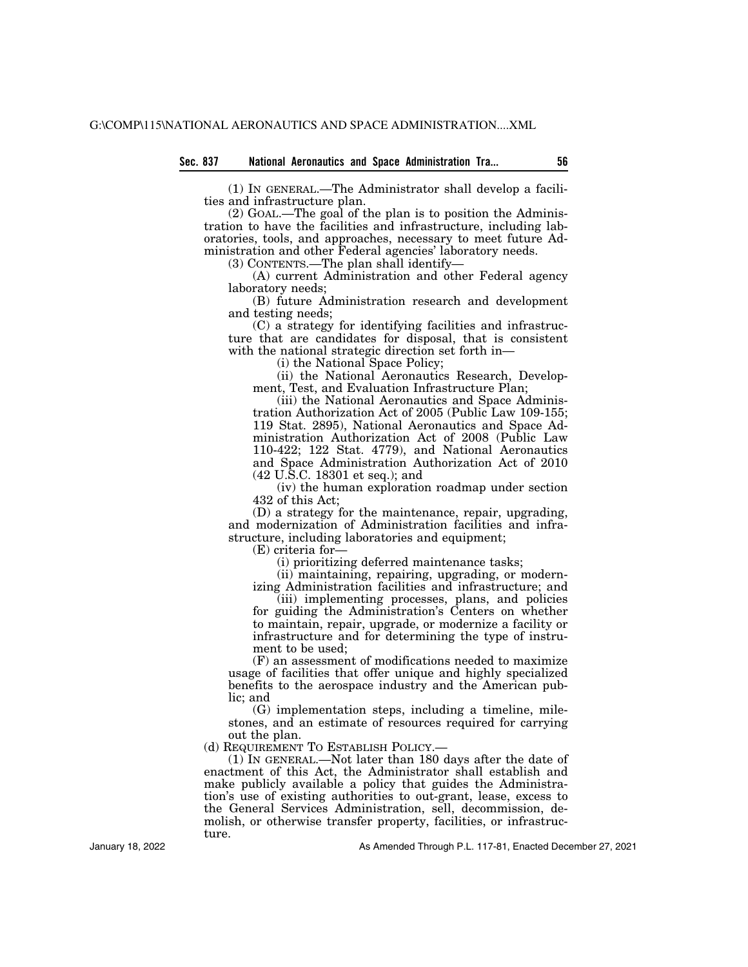(1) IN GENERAL.—The Administrator shall develop a facilities and infrastructure plan.

(2) GOAL.—The goal of the plan is to position the Administration to have the facilities and infrastructure, including laboratories, tools, and approaches, necessary to meet future Administration and other Federal agencies' laboratory needs.

(3) CONTENTS.—The plan shall identify—

(A) current Administration and other Federal agency laboratory needs;

(B) future Administration research and development and testing needs;

(C) a strategy for identifying facilities and infrastructure that are candidates for disposal, that is consistent with the national strategic direction set forth in—

(i) the National Space Policy;

(ii) the National Aeronautics Research, Development, Test, and Evaluation Infrastructure Plan;

(iii) the National Aeronautics and Space Administration Authorization Act of 2005 (Public Law 109-155; 119 Stat. 2895), National Aeronautics and Space Administration Authorization Act of 2008 (Public Law 110-422; 122 Stat. 4779), and National Aeronautics and Space Administration Authorization Act of 2010 (42 U.S.C. 18301 et seq.); and

(iv) the human exploration roadmap under section 432 of this Act;

(D) a strategy for the maintenance, repair, upgrading, and modernization of Administration facilities and infrastructure, including laboratories and equipment;

(E) criteria for—

(i) prioritizing deferred maintenance tasks;

(ii) maintaining, repairing, upgrading, or modernizing Administration facilities and infrastructure; and

(iii) implementing processes, plans, and policies for guiding the Administration's Centers on whether to maintain, repair, upgrade, or modernize a facility or infrastructure and for determining the type of instrument to be used;

(F) an assessment of modifications needed to maximize usage of facilities that offer unique and highly specialized benefits to the aerospace industry and the American public; and

(G) implementation steps, including a timeline, milestones, and an estimate of resources required for carrying out the plan.

(d) REQUIREMENT TO ESTABLISH POLICY.—

(1) IN GENERAL.—Not later than 180 days after the date of enactment of this Act, the Administrator shall establish and make publicly available a policy that guides the Administration's use of existing authorities to out-grant, lease, excess to the General Services Administration, sell, decommission, demolish, or otherwise transfer property, facilities, or infrastructure.

January 18, 2022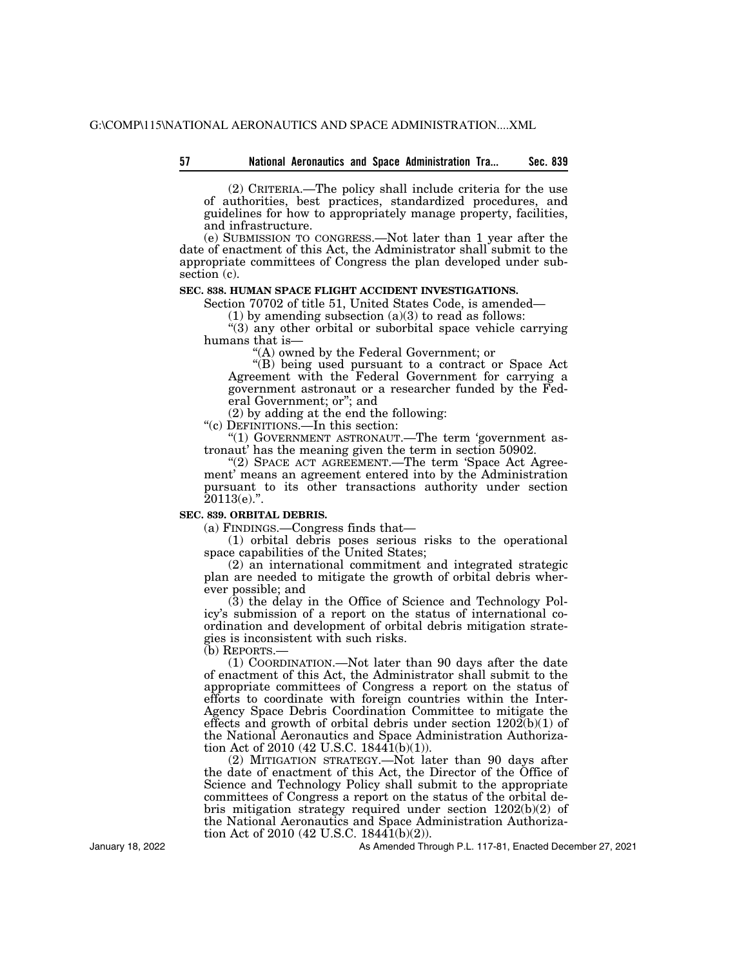## **57 Sec. 839 National Aeronautics and Space Administration Tra...**

(2) CRITERIA.—The policy shall include criteria for the use of authorities, best practices, standardized procedures, and guidelines for how to appropriately manage property, facilities, and infrastructure.

(e) SUBMISSION TO CONGRESS.—Not later than 1 year after the date of enactment of this Act, the Administrator shall submit to the appropriate committees of Congress the plan developed under subsection (c).

# **SEC. 838. HUMAN SPACE FLIGHT ACCIDENT INVESTIGATIONS.**

Section 70702 of title 51, United States Code, is amended—

(1) by amending subsection  $(a)(3)$  to read as follows:

"(3) any other orbital or suborbital space vehicle carrying humans that is—

''(A) owned by the Federal Government; or

''(B) being used pursuant to a contract or Space Act Agreement with the Federal Government for carrying a government astronaut or a researcher funded by the Federal Government; or''; and

(2) by adding at the end the following:

''(c) DEFINITIONS.—In this section:

"(1) GOVERNMENT ASTRONAUT.—The term 'government astronaut' has the meaning given the term in section 50902.

"(2) SPACE ACT AGREEMENT.—The term 'Space Act Agreement' means an agreement entered into by the Administration pursuant to its other transactions authority under section  $20113(e).$ ".

## **SEC. 839. ORBITAL DEBRIS.**

(a) FINDINGS.—Congress finds that—

(1) orbital debris poses serious risks to the operational space capabilities of the United States;

(2) an international commitment and integrated strategic plan are needed to mitigate the growth of orbital debris wherever possible; and

(3) the delay in the Office of Science and Technology Policy's submission of a report on the status of international coordination and development of orbital debris mitigation strategies is inconsistent with such risks.

(b) REPORTS.—

(1) COORDINATION.—Not later than 90 days after the date of enactment of this Act, the Administrator shall submit to the appropriate committees of Congress a report on the status of efforts to coordinate with foreign countries within the Inter-Agency Space Debris Coordination Committee to mitigate the effects and growth of orbital debris under section  $1202(b)(1)$  of the National Aeronautics and Space Administration Authorization Act of 2010 (42 U.S.C. 1844 $\tilde{1}(b)(1)$ ).

(2) MITIGATION STRATEGY.—Not later than 90 days after the date of enactment of this Act, the Director of the Office of Science and Technology Policy shall submit to the appropriate committees of Congress a report on the status of the orbital debris mitigation strategy required under section 1202(b)(2) of the National Aeronautics and Space Administration Authorization Act of 2010 (42 U.S.C. 1844 $\bar{1}(b)(2)$ ).

As Amended Through P.L. 117-81, Enacted December 27, 2021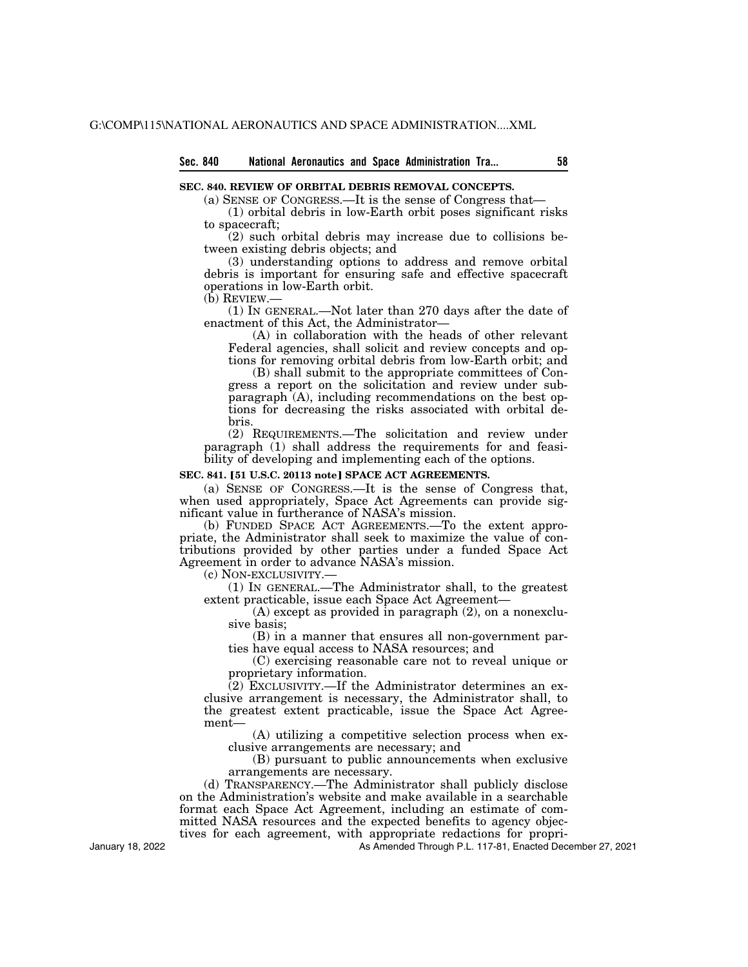# **Sec. 840 National Aeronautics and Space Administration Tra... 58**

#### **SEC. 840. REVIEW OF ORBITAL DEBRIS REMOVAL CONCEPTS.**

(a) SENSE OF CONGRESS.—It is the sense of Congress that—

(1) orbital debris in low-Earth orbit poses significant risks to spacecraft;

(2) such orbital debris may increase due to collisions between existing debris objects; and

(3) understanding options to address and remove orbital debris is important for ensuring safe and effective spacecraft operations in low-Earth orbit.

(b) REVIEW.—

(1) IN GENERAL.—Not later than 270 days after the date of enactment of this Act, the Administrator—

(A) in collaboration with the heads of other relevant Federal agencies, shall solicit and review concepts and options for removing orbital debris from low-Earth orbit; and

(B) shall submit to the appropriate committees of Congress a report on the solicitation and review under subparagraph (A), including recommendations on the best options for decreasing the risks associated with orbital debris.

(2) REQUIREMENTS.—The solicitation and review under paragraph (1) shall address the requirements for and feasibility of developing and implementing each of the options.

## **SEC. 841. [51 U.S.C. 20113 note] SPACE ACT AGREEMENTS.**

(a) SENSE OF CONGRESS.—It is the sense of Congress that, when used appropriately, Space Act Agreements can provide significant value in furtherance of NASA's mission.

(b) FUNDED SPACE ACT AGREEMENTS.—To the extent appropriate, the Administrator shall seek to maximize the value of contributions provided by other parties under a funded Space Act Agreement in order to advance NASA's mission.

(c) NON-EXCLUSIVITY.—

(1) IN GENERAL.—The Administrator shall, to the greatest extent practicable, issue each Space Act Agreement—

(A) except as provided in paragraph (2), on a nonexclusive basis;

(B) in a manner that ensures all non-government parties have equal access to NASA resources; and

(C) exercising reasonable care not to reveal unique or proprietary information.

(2) EXCLUSIVITY.—If the Administrator determines an exclusive arrangement is necessary, the Administrator shall, to the greatest extent practicable, issue the Space Act Agreement—

(A) utilizing a competitive selection process when exclusive arrangements are necessary; and

(B) pursuant to public announcements when exclusive arrangements are necessary.

(d) TRANSPARENCY.—The Administrator shall publicly disclose on the Administration's website and make available in a searchable format each Space Act Agreement, including an estimate of committed NASA resources and the expected benefits to agency objectives for each agreement, with appropriate redactions for propri-

As Amended Through P.L. 117-81, Enacted December 27, 2021